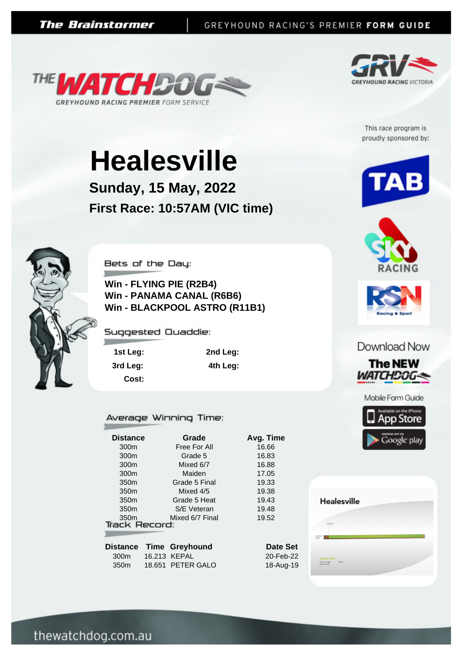



This race program is proudly sponsored by:

# **Healesville**

**Sunday, 15 May, 2022 First Race: 10:57AM (VIC time)**



Bets of the Day:

**Win - FLYING PIE (R2B4) Win - PANAMA CANAL (R6B6) Win - BLACKPOOL ASTRO (R11B1)**

Suggested Quaddie:

**1st Leg: 2nd Leg: 3rd Leg: 4th Leg: Cost:**

Average Winning Time:

| <b>Distance</b>                          | Grade           | Avg. Time |
|------------------------------------------|-----------------|-----------|
| 300m                                     | Free For All    | 16.66     |
| 300m                                     | Grade 5         | 16.83     |
| 300m                                     | Mixed 6/7       | 16.88     |
| 300m                                     | Maiden          | 17.05     |
| 350 <sub>m</sub>                         | Grade 5 Final   | 19.33     |
| 350 <sub>m</sub>                         | Mixed 4/5       | 19.38     |
| 350 <sub>m</sub>                         | Grade 5 Heat    | 19.43     |
| 350 <sub>m</sub>                         | S/E Veteran     | 19.48     |
| 350 <sub>m</sub><br><b>Track Record:</b> | Mixed 6/7 Final | 19.52     |
|                                          |                 |           |
| Distance<br>Time                         | Greyhound       | Date      |

| Distance         | Time Greynound    |
|------------------|-------------------|
| 300 <sub>m</sub> | 16.213 KEPAL      |
| 350 <sub>m</sub> | 18.651 PETER GALO |



20-Feb-22 18-Aug-19







#### Download Now



Mobile Form Guide



**Healesville** 

**TRACK INFO**<br>Track Length 340n<br>Grass Track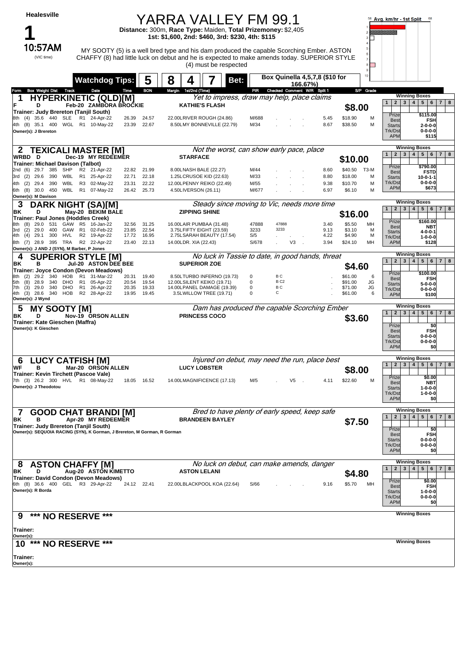| Healesville                                                                                                                   |                                                                                                                      | YARRA VALLEY FM 99.1                                                   |                                                                                                                        |                                                                                                                                                                                         |                                                | 58 Avg. km/hr - 1st Split<br>68                                                                                                                   |
|-------------------------------------------------------------------------------------------------------------------------------|----------------------------------------------------------------------------------------------------------------------|------------------------------------------------------------------------|------------------------------------------------------------------------------------------------------------------------|-----------------------------------------------------------------------------------------------------------------------------------------------------------------------------------------|------------------------------------------------|---------------------------------------------------------------------------------------------------------------------------------------------------|
|                                                                                                                               |                                                                                                                      | Distance: 300m, Race Type: Maiden, Total Prizemoney: \$2,405           | 1st: \$1,600, 2nd: \$460, 3rd: \$230, 4th: \$115                                                                       |                                                                                                                                                                                         |                                                | Williammin                                                                                                                                        |
| 10:57AM<br>(VIC time)                                                                                                         |                                                                                                                      |                                                                        | (4) must be respected                                                                                                  | MY SOOTY (5) is a well bred type and his dam produced the capable Scorching Ember. ASTON<br>CHAFFY (8) had little luck on debut and he is expected to make amends today. SUPERIOR STYLE | 8<br>۰                                         |                                                                                                                                                   |
|                                                                                                                               | <b>Watchdog Tips:</b>                                                                                                | 8<br>5<br>4                                                            | Bet:                                                                                                                   | Box Quinella 4,5,7,8 (\$10 for<br>$166.67\%$                                                                                                                                            | 9<br>$10 -$                                    |                                                                                                                                                   |
| <b>Box Weight Dist</b><br>Track<br>Form<br>1                                                                                  | Time<br>Date<br><b>HYPERKINETIC (QLD)[M]</b>                                                                         | <b>BON</b><br>Margin 1st/2nd (Time)                                    | PIR                                                                                                                    | Checked Comment W/R Split 1<br>Yet to impress, draw may help, place claims                                                                                                              | S/P Grade                                      | <b>Winning Boxes</b>                                                                                                                              |
| D<br>Trainer: Judy Brereton (Tanjil South)                                                                                    | Feb-20 ZAMBORA BROCKIE                                                                                               |                                                                        | <b>KATHIE'S FLASH</b>                                                                                                  |                                                                                                                                                                                         | \$8.00                                         | $3 \mid 4 \mid$<br>5   6   7  <br>8<br>$\mathbf{1}$<br>$2^{\circ}$                                                                                |
| 8th (4) 35.6 440<br><b>SLE</b><br>4th (8) 35.1 400<br>WGL<br>Owner(s): J Brereton                                             | R1 24-Apr-22<br>26.39<br>R1 10-May-22<br>23.39                                                                       | 24.57<br>22.67                                                         | 22.00LRIVER ROUGH (24.86)<br>M/688<br>M/34<br>8.50LMY BONNEVILLE (22.79)                                               | 5.45<br>8.67                                                                                                                                                                            | \$18.90<br>М<br>\$38.50<br>м                   | \$115.00<br>Prize<br><b>Best</b><br><b>FSH</b><br><b>Starts</b><br>$2 - 0 - 0 - 0$<br>Trk/Dst<br>0-0-0-0<br><b>APM</b><br>\$115                   |
| 2                                                                                                                             | <b>TEXICALI MASTER [M]</b>                                                                                           |                                                                        |                                                                                                                        | Not the worst, can show early pace, place                                                                                                                                               |                                                | <b>Winning Boxes</b>                                                                                                                              |
| WRBD D<br>Trainer: Michael Davison (Talbot)                                                                                   | Dec-19 MY REDEEMER                                                                                                   | <b>STARFACE</b>                                                        |                                                                                                                        |                                                                                                                                                                                         | \$10.00                                        | 4 <sup>1</sup><br>5<br>$6\phantom{1}$<br>$\overline{7}$<br>$\mathbf{1}$<br>$\overline{2}$<br>$\mathbf{3}$<br>8                                    |
| 29.7<br>385<br>SHP<br>2nd<br>(6)                                                                                              | 21-Apr-22<br>R <sub>2</sub><br>22.82                                                                                 | 21.99<br>8.00LNASH BALE (22.27)                                        | M/44                                                                                                                   | 8.60                                                                                                                                                                                    | \$40.50<br>ТЗ-М                                | Prize<br>\$790.00<br><b>FSTD</b><br><b>Best</b>                                                                                                   |
| 29.6<br>WBL<br>3rd (2)<br>390<br>29.4<br>WBL<br>4th (2)<br>390                                                                | R1<br>25-Apr-22<br>22.71<br>R <sub>3</sub><br>02-May-22<br>23.31                                                     | 22.18<br>1.25LCRUSOE KID (22.63)<br>22.22                              | M/33<br>12.00LPENNY REIKO (22.49)<br>M/55                                                                              | 8.80<br>9.38                                                                                                                                                                            | \$18.00<br>м<br>\$10.70<br>М                   | <b>Starts</b><br>$10 - 0 - 1 - 1$<br>Trk/Dst<br>$0 - 0 - 0 - 0$                                                                                   |
| 6th (8)<br>30.0<br>450<br>WBL<br>Owner(s): M Davison                                                                          | R1<br>07-May-22<br>26.42                                                                                             | 4.50LIVERSON (26.11)<br>25.73                                          | M/677                                                                                                                  | 6.97                                                                                                                                                                                    | \$6.10<br>м                                    | <b>APM</b><br>\$673                                                                                                                               |
| 3                                                                                                                             | <b>DARK NIGHT (SA)[M]</b>                                                                                            |                                                                        |                                                                                                                        | Steady since moving to Vic, needs more time                                                                                                                                             |                                                | <b>Winning Boxes</b><br>1<br>2 <sup>2</sup><br>$3\overline{3}$<br>4 <br>$5\phantom{.0}$<br>$6 \mid 7 \mid 8$                                      |
| ΒK<br>D<br>Trainer: Paul Jones (Hoddles Creek)                                                                                | May-20 BEKIM BALE                                                                                                    |                                                                        | <b>ZIPPING SHINE</b>                                                                                                   |                                                                                                                                                                                         | \$16.00                                        | \$160.00<br>Prize                                                                                                                                 |
| 531<br>GAW<br>29.0<br>8th<br>(8)<br>(2)<br>29.0<br>400<br>3rd                                                                 | R5<br>16-Jan-22<br>32.56<br>GAW R1<br>02-Feb-22<br>23.85                                                             | 31.25<br>16.00LAIR PUMBAA (31.48)<br>22.54<br>3.75LFIFTY EIGHT (23.59) | 3233                                                                                                                   | 47888<br>47888<br>3.40<br>3233<br>9.13                                                                                                                                                  | \$5.50<br>MH<br>\$3.10<br>м                    | <b>Best</b><br>NBT<br><b>Starts</b><br>4-0-0-1                                                                                                    |
| 29.1<br>300 HVL<br>4th<br>(4)<br>28.9<br>395 TRA<br>8th (7)                                                                   | R2 19-Apr-22<br>17.72<br>R2<br>23.40<br>22-Apr-22                                                                    | 16.95<br>22.13<br>14.00LDR. XIA (22.43)                                | 2.75LSARAH BEAUTY (17.54)<br>S/5<br>S/678                                                                              | 4.22<br>V3<br>3.94                                                                                                                                                                      | \$4.90<br>м<br>\$24.10<br>MН                   | Trk/Dst<br>1-0-0-0<br><b>APM</b><br>\$128                                                                                                         |
| Owner(s): J AND J (SYN), M Barber, P Jones                                                                                    | <b>SUPERIOR STYLE [M]</b>                                                                                            |                                                                        |                                                                                                                        | No luck in Tassie to date, in good hands, threat                                                                                                                                        |                                                | <b>Winning Boxes</b>                                                                                                                              |
| 4<br>в<br>ΒK                                                                                                                  | Jul-20 ASTON DEE BEE                                                                                                 |                                                                        | <b>SUPERIOR ZOE</b>                                                                                                    |                                                                                                                                                                                         | \$4.60                                         | 1<br>2 <sup>2</sup><br>$\mathbf{3}$<br>4 <br>$5\phantom{.0}$<br>$6\phantom{.}6$<br>7 8                                                            |
| Trainer: Joyce Condon (Devon Meadows)<br>340<br>(2)<br>29.2<br>HOB<br>8th                                                     | 31-Mar-22<br>R1<br>20.31                                                                                             | 19.40                                                                  | 8.50LTURBO INFERNO (19.73)<br>0                                                                                        | ВC                                                                                                                                                                                      | \$61.00<br>6                                   | Prize<br>\$100.00<br><b>Best</b><br>FSH                                                                                                           |
| (8)<br>28.9<br>340<br>DHO<br>5th<br>(3)<br>29.0<br>340<br><b>DHO</b><br>7th<br>HOB<br>4th (3) 28.6<br>340<br>Owner(s): J Wynd | R <sub>1</sub><br>05-Apr-22<br>20.54<br>R <sub>1</sub><br>26-Apr-22<br>20.35<br>R <sub>2</sub><br>28-Apr-22<br>19.95 | 19.54<br>19.33<br>19.45                                                | 12.00LSILENT KEIKO (19.71)<br>0<br>14.00LPANEL DAMAGE (19.39)<br>$\mathbf 0$<br>$\mathbf 0$<br>3.5LWILLOW TREE (19.71) | B <sub>C2</sub><br>ВC<br>С                                                                                                                                                              | JG<br>\$91.00<br>\$71.00<br>JG<br>\$61.00<br>6 | <b>Starts</b><br>5-0-0-0<br>Trk/Dst<br>0-0-0-0<br><b>APM</b><br>\$100                                                                             |
| 5<br><b>MY SOOTY [M]</b>                                                                                                      |                                                                                                                      |                                                                        |                                                                                                                        | Dam has produced the capable Scorching Ember                                                                                                                                            |                                                | <b>Winning Boxes</b><br>$3 \mid 4 \mid$<br>$5\phantom{.0}$<br>7 <sup>1</sup><br>8<br>$\mathbf{1}$<br>$\overline{2}$<br> 6                         |
| ΒK<br>D<br>Trainer: Kate Gieschen (Maffra)<br>Owner(s): K Gieschen                                                            | Nov-19 ORSON ALLEN                                                                                                   |                                                                        | <b>PRINCESS COCO</b>                                                                                                   |                                                                                                                                                                                         | \$3.60                                         | \$0<br>Prize<br><b>Best</b><br><b>FSH</b><br>$0 - 0 - 0 - 0$<br><b>Starts</b><br>Trk/Dst<br>$0 - 0 - 0 - 0$<br><b>APM</b><br>\$0                  |
| <b>LUCY CATFISH [M]</b><br>6                                                                                                  |                                                                                                                      |                                                                        |                                                                                                                        | Injured on debut, may need the run, place best                                                                                                                                          |                                                | <b>Winning Boxes</b>                                                                                                                              |
| в<br>WF<br>Trainer: Kevin Tirchett (Pascoe Vale)<br>7th (3) 26.2 300 HVL R1 08-May-22<br>Owner(s): J Theodotou                | Mar-20 ORSON ALLEN                                                                                                   | 18.05 16.52                                                            | <b>LUCY LOBSTER</b><br>14.00LMAGNIFICENCE (17.13)<br>M/5                                                               | V5<br>4.11                                                                                                                                                                              | \$8.00<br>\$22.60<br>М                         | $2 \mid 3 \mid 4 \mid 5 \mid 6 \mid 7 \mid 8$<br>$\mathbf{1}$<br>Prize<br>\$0.00<br><b>Best</b><br><b>NBT</b><br>$1 - 0 - 0 - 0$<br><b>Starts</b> |
|                                                                                                                               |                                                                                                                      |                                                                        |                                                                                                                        |                                                                                                                                                                                         |                                                | Trk/Dst<br>$1 - 0 - 0 - 0$<br><b>APM</b><br>\$0                                                                                                   |
| 7<br>в<br>ΒK                                                                                                                  | <b>GOOD CHAT BRANDI [M]</b><br>Apr-20 MY REDEEMER                                                                    |                                                                        | <b>BRANDEEN BAYLEY</b>                                                                                                 | Bred to have plenty of early speed, keep safe                                                                                                                                           | \$7.50                                         | <b>Winning Boxes</b><br>$3 \mid 4 \mid$<br>$2^{\circ}$<br>5<br>$\mathbf{1}$<br>6<br><b>7</b>  <br>8                                               |
| Trainer: Judy Brereton (Tanjil South)                                                                                         | Owner(s): SEQUOIA RACING (SYN), K Gorman, J Brereton, M Gorman, R Gorman                                             |                                                                        |                                                                                                                        |                                                                                                                                                                                         |                                                | Prize<br>\$0<br><b>FSH</b><br><b>Best</b><br><b>Starts</b><br>$0 - 0 - 0 - 0$<br>Trk/Dst<br>$0 - 0 - 0 - 0$<br><b>APM</b><br>\$0                  |
| <b>ASTON CHAFFY [M]</b><br>8<br>ΒK<br>D                                                                                       | Aug-20 ASTON KIMETTO                                                                                                 |                                                                        | <b>ASTON LELANI</b>                                                                                                    | No luck on debut, can make amends, danger                                                                                                                                               | \$4.80                                         | <b>Winning Boxes</b><br>2   3   4  <br>5   6   7  <br>8<br>$\mathbf{1}$                                                                           |
| Trainer: David Condon (Devon Meadows)<br>6th (8) 36.6 400 GEL R3 29-Apr-22<br>Owner(s): R Borda                               |                                                                                                                      | 24.12 22.41                                                            | 22.00LBLACKPOOL KOA (22.64)<br>S/66                                                                                    | 9.16                                                                                                                                                                                    | \$5.70<br>MН                                   | Prize<br>\$0.00<br>FSH<br><b>Best</b><br><b>Starts</b><br>$1 - 0 - 0 - 0$<br>$0 - 0 - 0 - 0$<br>Trk/Dst<br><b>APM</b><br>\$0                      |
|                                                                                                                               |                                                                                                                      |                                                                        |                                                                                                                        |                                                                                                                                                                                         |                                                | <b>Winning Boxes</b>                                                                                                                              |
| *** NO RESERVE ***<br>9<br>Trainer:<br>Owner(s):                                                                              |                                                                                                                      |                                                                        |                                                                                                                        |                                                                                                                                                                                         |                                                |                                                                                                                                                   |
| *** NO RESERVE ***<br>10<br>Trainer:                                                                                          |                                                                                                                      |                                                                        |                                                                                                                        |                                                                                                                                                                                         |                                                | <b>Winning Boxes</b>                                                                                                                              |
| Owner(s):                                                                                                                     |                                                                                                                      |                                                                        |                                                                                                                        |                                                                                                                                                                                         |                                                |                                                                                                                                                   |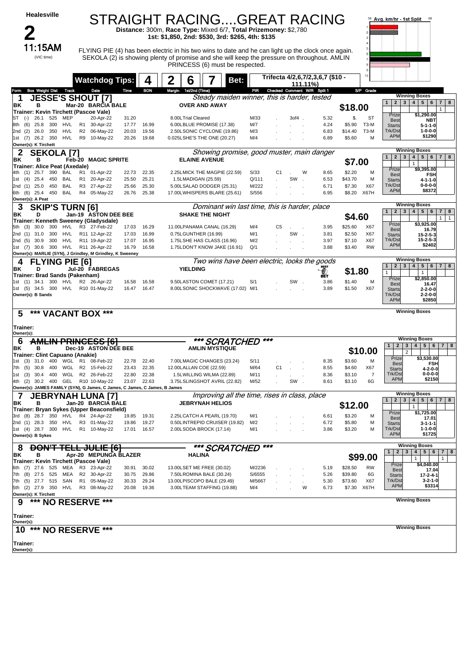

## STRAIGHT RACING....GREAT RACING **Distance:** 300m, **Race Type:** Mixed 6/7, **Total Prizemoney:** \$2,780

**1st: \$1,850, 2nd: \$530, 3rd: \$265, 4th: \$135**

FLYING PIE (4) has been electric in his two wins to date and he can light up the clock once again. SEKOLA (2) is showing plenty of promise and she will keep the pressure on throughout. AMLIN PRINCESS (6) must be respected.



|                          |                                     |            |            |                | <b>Watchdog Tips:</b>                                                      |                | 4              | $\mathbf 2$ | 6                       |                                                          | Bet:                                          |                             |          | 111.11%) | Trifecta 4/2,6,7/2,3,6,7 (\$10 - |                   |             |                                                  |                                                              |
|--------------------------|-------------------------------------|------------|------------|----------------|----------------------------------------------------------------------------|----------------|----------------|-------------|-------------------------|----------------------------------------------------------|-----------------------------------------------|-----------------------------|----------|----------|----------------------------------|-------------------|-------------|--------------------------------------------------|--------------------------------------------------------------|
| Form                     | <b>Box Weight Dist Track</b>        |            |            |                | Date                                                                       | Time           | <b>BON</b>     |             | Margin 1st/2nd (Time)   |                                                          | PIR                                           | Checked Comment W/R Split 1 |          |          |                                  |                   | S/P Grade   |                                                  |                                                              |
| 1                        |                                     |            |            |                | <b>JESSE'S SHOUT [7]</b>                                                   |                |                |             |                         |                                                          | Steady maiden winner, this is harder, tested  |                             |          |          |                                  |                   |             |                                                  | <b>Winning Boxes</b>                                         |
| ΒK                       | в                                   |            |            |                | Mar-20 BARCIA BALE                                                         |                |                |             |                         | <b>OVER AND AWAY</b>                                     |                                               |                             |          |          |                                  | \$18.00           |             | $\overline{2}$<br>$\mathbf{3}$                   | $4 \mid 5 \mid 6$<br>$\overline{7}$<br>8                     |
|                          |                                     |            |            |                | Trainer: Kevin Tirchett (Pascoe Vale)                                      |                |                |             |                         |                                                          |                                               |                             |          |          |                                  |                   |             | Prize                                            | $\mathbf{1}$<br>\$1,290.00                                   |
| $(-)$<br>IS I            | 26.1                                | 525        | MEP        |                | 20-Apr-22                                                                  | 31.20          |                |             | 8.00LTrial Cleared      |                                                          | M/33                                          |                             | $30f4$ . |          | 5.32                             | \$.               | ST          | Best                                             | <b>NBT</b>                                                   |
| (6)<br>8th               | 25.8                                | 300        | HVL        |                | R1 30-Apr-22                                                               | 17.77          | 16.99          |             |                         | 6.00LBLUE PROMISE (17.38)                                | M/7                                           |                             |          |          | 4.24                             | \$5.90            | T3-M        | <b>Starts</b>                                    | $5 - 1 - 1 - 0$                                              |
| 2nd (2)                  | 26.0<br>1st (7) 26.2 350            | 350        | HVL<br>HVL |                | R2 06-May-22<br>R9 10-May-22                                               | 20.03<br>20.26 | 19.56<br>19.68 |             |                         | 2.50LSONIC CYCLONE (19.86)                               | M/3<br>M/4                                    |                             |          |          | 6.83<br>6.89                     | \$14.40<br>\$5.60 | $T3-M$<br>М | Trk/Dst<br><b>APM</b>                            | $1 - 0 - 0 - 0$<br>\$1290                                    |
|                          | Owner(s): K Tirchett                |            |            |                |                                                                            |                |                |             |                         | 0.025LSHE'S THE ONE (20.27)                              |                                               |                             |          |          |                                  |                   |             |                                                  |                                                              |
| 2                        | <b>SEKOLA [7]</b>                   |            |            |                |                                                                            |                |                |             |                         |                                                          | Showing promise, good muster, main danger     |                             |          |          |                                  |                   |             |                                                  | <b>Winning Boxes</b>                                         |
| ΒK                       | в                                   |            |            |                | <b>Feb-20 MAGIC SPRITE</b>                                                 |                |                |             | <b>ELAINE AVENUE</b>    |                                                          |                                               |                             |          |          |                                  |                   |             | 1<br>$\overline{2}$<br>3                         | 5 <sup>5</sup><br>$\overline{4}$<br>6<br>$\overline{7}$<br>8 |
|                          | Trainer: Alice Peat (Axedale)       |            |            |                |                                                                            |                |                |             |                         |                                                          |                                               |                             |          |          |                                  | \$7.00            |             |                                                  | $\mathbf{1}$                                                 |
| 4th                      | $(1)$ 25.7                          | 390        | BAL        | R <sub>1</sub> | 01-Apr-22                                                                  | 22.73          | 22.35          |             |                         | 2.25LMICK THE MAGPIE (22.59)                             | S/33                                          | C1                          |          | W        | 8.65                             | \$2.20            | М           | Prize<br>Best                                    | \$9,395.00<br><b>FSH</b>                                     |
| (4)<br>1st               | 25.4                                | 450        | BAL        | R <sub>1</sub> | 20-Apr-22                                                                  | 25.50          | 25.21          |             | 1.5LMADIGAN (25.59)     |                                                          | Q/111                                         |                             | SW       |          | 6.53                             | \$43.70           | М           | <b>Starts</b>                                    | $4 - 1 - 1 - 0$                                              |
|                          | 2nd (1) 25.0                        | 450        | <b>BAL</b> | R <sub>3</sub> | 27-Apr-22                                                                  | 25.66          | 25.30          |             |                         | 5.00LSALAD DODGER (25.31)                                | M/222                                         |                             |          |          | 6.71                             | \$7.30            | X67         | Trk/Dst<br><b>APM</b>                            | $0 - 0 - 0 - 0$<br>\$8372                                    |
| 6th (6)                  | 25.4                                | 450        | BAL        |                | R4 05-May-22                                                               | 26.76          | 25.38          |             |                         | 17.00LWHISPERS BLARE (25.61)                             | S/556                                         |                             |          |          | 6.95                             |                   | \$8.20 X67H |                                                  |                                                              |
|                          | Owner(s): A Peat                    |            |            |                |                                                                            |                |                |             |                         |                                                          | Dominant win last time, this is harder, place |                             |          |          |                                  |                   |             |                                                  | <b>Winning Boxes</b>                                         |
| 3<br>ΒK                  | <b>SKIP'S TURN [6]</b><br>D         |            |            |                | Jan-19 ASTON DEE BEE                                                       |                |                |             |                         | <b>SHAKE THE NIGHT</b>                                   |                                               |                             |          |          |                                  |                   |             | $\overline{2}$<br>$\mathbf{3}$<br>$\mathbf{1}$   | $\overline{4}$<br>$5 \mid 6$<br>$\overline{7}$<br>8          |
|                          |                                     |            |            |                | Trainer: Kenneth Sweeney (Gladysdale)                                      |                |                |             |                         |                                                          |                                               |                             |          |          |                                  | \$4.60            |             |                                                  | 1<br>$\mathbf{1}$                                            |
| 5th (3)                  | 30.0                                | 300        | HVL        |                | R3 27-Feb-22                                                               | 17.03          | 16.29          |             |                         | 11.00LPANAMA CANAL (16.29)                               | M/4                                           | C5                          | $\sim$   |          | 3.95                             | \$25.60           | X67         | Prize<br>Best                                    | \$3,925.00<br>16.79                                          |
|                          | 2nd (1) 31.0                        | 300        | HVL        |                | R11 12-Apr-22                                                              | 17.03          | 16.99          |             | 0.75LGUNTHER (16.99)    |                                                          | M/1                                           |                             | SW.      |          | 3.81                             | \$2.50            | X67         | <b>Starts</b>                                    | $15 - 2 - 5 - 3$                                             |
| 2nd (5)                  | 30.9                                | 300        | HVL        |                | R11 19-Apr-22                                                              | 17.07          | 16.95          |             |                         | 1.75LSHE HAS CLASS (16.96)                               | M/2                                           |                             |          |          | 3.97                             | \$7.10            | X67         | Trk/Dst<br><b>APM</b>                            | $15 - 2 - 5 - 3$<br>\$2402                                   |
|                          | 1st (7) 30.6 300 HVL                |            |            |                | R11 26-Apr-22                                                              | 16.79          | 16.58          |             |                         | 1.75LDON'T KNOW JAKE (16.91)                             | Q/1                                           |                             |          |          | 3.88                             | \$3.40            | <b>RW</b>   |                                                  |                                                              |
|                          |                                     |            |            |                | Owner(s): MARLIE (SYN), J Grindley, M Grindley, K Sweeney                  |                |                |             |                         |                                                          |                                               |                             |          |          |                                  |                   |             |                                                  | <b>Winning Boxes</b>                                         |
|                          | <b>FLYING PIE [6]</b>               |            |            |                |                                                                            |                |                |             |                         |                                                          | Two wins have been electric, looks the goods  |                             |          |          |                                  |                   |             | $\mathbf{2}$<br>3 <sup>1</sup><br>$\overline{1}$ | $\overline{4}$<br>5 6 <br>78                                 |
| ΒK                       | D<br>Trainer: Brad Sands (Pakenham) |            |            |                | Jul-20 FABREGAS                                                            |                |                |             | <b>YIELDING</b>         |                                                          |                                               |                             |          |          | இ                                | \$1.80            |             | $\mathbf{1}$                                     | $\mathbf{1}$                                                 |
| 1st                      |                                     |            |            |                | (1) 34.1 300 HVL R2 26-Apr-22                                              | 16.58          | 16.58          |             |                         | 9.50LASTON COMET (17.21)                                 | S/1                                           |                             | SW.      |          | 3.86                             | \$1.40            | м           | Prize                                            | \$2,850.00                                                   |
|                          | 1st (5) 34.5 300                    |            |            |                | HVL R10 01-May-22                                                          | 16.47          | 16.47          |             |                         | 8.00LSONIC SHOCKWAVE (17.02) M/1                         |                                               |                             |          |          | 3.89                             | \$1.50            | X67         | Best<br><b>Starts</b>                            | 16.47<br>$2 - 2 - 0 - 0$                                     |
|                          | Owner(s): B Sands                   |            |            |                |                                                                            |                |                |             |                         |                                                          |                                               |                             |          |          |                                  |                   |             | Trk/Dst                                          | $2 - 2 - 0 - 0$                                              |
|                          |                                     |            |            |                |                                                                            |                |                |             |                         |                                                          |                                               |                             |          |          |                                  |                   |             | <b>APM</b>                                       | \$2850                                                       |
| 5                        |                                     |            |            |                | *** VACANT BOX ***                                                         |                |                |             |                         |                                                          |                                               |                             |          |          |                                  |                   |             |                                                  | <b>Winning Boxes</b>                                         |
|                          |                                     |            |            |                |                                                                            |                |                |             |                         |                                                          |                                               |                             |          |          |                                  |                   |             |                                                  |                                                              |
|                          |                                     |            |            |                |                                                                            |                |                |             |                         |                                                          |                                               |                             |          |          |                                  |                   |             |                                                  |                                                              |
| Trainer:                 |                                     |            |            |                |                                                                            |                |                |             |                         |                                                          |                                               |                             |          |          |                                  |                   |             |                                                  |                                                              |
| Owner(s):                |                                     |            |            |                |                                                                            |                |                |             |                         |                                                          |                                               |                             |          |          |                                  |                   |             |                                                  |                                                              |
| 6                        |                                     |            |            |                | <b>AMLIN PRINCESS [6]</b>                                                  |                |                |             |                         |                                                          | *** SCRATCHED                                 | ***                         |          |          |                                  |                   |             |                                                  | <b>Winning Boxes</b>                                         |
| ΙBΚ.                     | в                                   |            |            |                | Dec-19 ASTON DEE BEE                                                       |                |                |             |                         | <b>AMLIN MYSTIQUE</b>                                    |                                               |                             |          |          |                                  |                   | \$10.00     | $2 \mid 3 \mid$<br>1<br>$\overline{2}$           | 4   5   6   7   8                                            |
|                          | Trainer: Clint Capuano (Anakie)     |            |            |                |                                                                            |                |                |             |                         |                                                          |                                               |                             |          |          |                                  |                   |             | Prize                                            | \$3,530.00                                                   |
| (3)<br>1st<br>(5)<br>7th | 31.0<br>30.8                        | 400<br>400 | WGL        |                | R1 08-Feb-22<br>WGL R2 15-Feb-22                                           | 22.78<br>23.43 | 22.40<br>22.35 |             | 12.00LALLAN COE (22.59) | 7.00LMAGIC CHANGES (23.24)                               | S/11<br>M/64                                  | C <sub>1</sub>              |          |          | 8.35<br>8.55                     | \$3.60<br>\$4.60  | М<br>X67    | <b>Best</b>                                      | FSH                                                          |
| (3)<br>1st               | 30.4                                | 400        |            |                | WGL R2 26-Feb-22                                                           | 22.80          | 22.38          |             |                         | 1.5LWILLING WILMA (22.89)                                | M/11                                          |                             |          |          | 8.36                             | \$3.10            | 7           | <b>Starts</b><br>Trk/Dst                         | 4-2-0-0<br>$0 - 0 - 0 - 0$                                   |
|                          |                                     |            |            |                | 4th (2) 30.2 400 GEL R10 10-May-22                                         | 23.07          | 22.63          |             |                         | 3.75LSLINGSHOT AVRIL (22.82)                             | M/52                                          |                             | SW.      |          | 8.61                             | \$3.10            | 6G          | <b>APM</b>                                       | \$2150                                                       |
|                          |                                     |            |            |                | Owner(s): JAMES FAMILY (SYN), G James, C James, C James, C James, B James  |                |                |             |                         |                                                          |                                               |                             |          |          |                                  |                   |             |                                                  |                                                              |
| 7                        |                                     |            |            |                | JEBRYNAH LUNA [7]                                                          |                |                |             |                         |                                                          | Improving all the time, rises in class, place |                             |          |          |                                  |                   |             |                                                  | <b>Winning Boxes</b>                                         |
| ΒK                       | в                                   |            |            |                | Jan-20 BARCIA BALE                                                         |                |                |             |                         | <b>JEBRYNAH HELIOS</b>                                   |                                               |                             |          |          |                                  |                   |             | $\overline{2}$<br>1 <sup>1</sup>                 | $3 \mid 4 \mid$<br>5   6   7  <br>8<br>$\mathbf{1}$          |
|                          |                                     |            |            |                | Trainer: Bryan Sykes (Upper Beaconsfield)                                  |                |                |             |                         |                                                          |                                               |                             |          |          |                                  | \$12.00           |             | Prize                                            | \$1,725.00                                                   |
| 3rd                      | (8) 28.7 350 HVL                    |            |            |                | R4 24-Apr-22<br>R3 01-May-22                                               | 19.85          | 19.31          |             |                         | 2.25LCATCH A PEARL (19.70)                               | M/1<br>M/2                                    |                             |          |          | 6.61<br>6.72                     | \$3.20            | M           | <b>Best</b>                                      | 17.01                                                        |
|                          | 2nd (1) 28.3 350 HVL                |            |            |                | 1st (4) 28.7 300 HVL R1 10-May-22                                          | 19.86<br>17.01 | 19.27<br>16.57 |             |                         | 0.50LINTREPID CRUISER (19.82)<br>2.00LSODA BROCK (17.14) | M/1                                           |                             |          |          | 3.86                             | \$5.80<br>\$3.20  | М<br>М      | <b>Starts</b><br>Trk/Dst                         | $3 - 1 - 1 - 1$<br>1-1-0-0                                   |
|                          | Owner(s): B Sykes                   |            |            |                |                                                                            |                |                |             |                         |                                                          |                                               |                             |          |          |                                  |                   |             | <b>APM</b>                                       | \$1725                                                       |
|                          |                                     |            |            |                |                                                                            |                |                |             |                         |                                                          |                                               |                             |          |          |                                  |                   |             |                                                  | <b>Winning Boxes</b>                                         |
| 8                        |                                     |            |            |                | <del>DON'T TELL JULIE [6]</del>                                            |                |                |             |                         |                                                          | *** SCRATCHED                                 | ***                         |          |          |                                  |                   |             | 2 <sub>1</sub><br>$\mathbf{1}$                   | 3 <sup>1</sup><br>4<br>$5 \mid 6$<br>7   8                   |
| ΒK                       | в                                   |            |            |                | Apr-20 MEPUNGA BLAZER                                                      |                |                |             | HALINA                  |                                                          |                                               |                             |          |          |                                  |                   | \$99.00     |                                                  | $\mathbf{1}$<br>1                                            |
|                          |                                     |            |            |                | Trainer: Kevin Tirchett (Pascoe Vale)<br>6th (7) 27.6 525 MEA R3 23-Apr-22 | 30.91          | 30.02          |             |                         | 13.00LSET ME FREE (30.02)                                | M/2236                                        |                             |          |          | 5.19                             | \$28.50           | RW          | Prize                                            | \$4,040.00                                                   |
|                          | 7th (8) 27.5 525                    |            | MEA        |                | R2 30-Apr-22                                                               | 30.75          | 29.86          |             |                         | 7.50LROMINA BALE (30.24)                                 | S/6555                                        |                             |          |          | 5.26                             | \$39.80           | 6G          | <b>Best</b><br><b>Starts</b>                     | 17.04<br>$17 - 2 - 4 - 1$                                    |
|                          | 7th (5) 27.7 515                    |            |            |                | SAN R1 05-May-22                                                           | 30.33          | 29.24          |             |                         | 13.00LPISCOPO BALE (29.49)                               | M/5667                                        |                             |          |          | 5.30                             | \$73.60           | X67         | Trk/Dst                                          | $3 - 2 - 1 - 0$                                              |
|                          | 5th (2) 27.9 350                    |            | HVL        |                | R3 08-May-22                                                               | 20.08          | 19.36          |             |                         | 3.00LTEAM STAFFING (19.88)                               | M/4                                           |                             |          | W        | 6.73                             | \$7.30            | X67H        | <b>APM</b>                                       | \$3314                                                       |
|                          | Owner(s): K Tirchett                |            |            |                |                                                                            |                |                |             |                         |                                                          |                                               |                             |          |          |                                  |                   |             |                                                  | <b>Winning Boxes</b>                                         |
| 9                        |                                     |            |            |                | *** NO RESERVE ***                                                         |                |                |             |                         |                                                          |                                               |                             |          |          |                                  |                   |             |                                                  |                                                              |
|                          |                                     |            |            |                |                                                                            |                |                |             |                         |                                                          |                                               |                             |          |          |                                  |                   |             |                                                  |                                                              |
| Trainer:<br>Owner(s):    |                                     |            |            |                |                                                                            |                |                |             |                         |                                                          |                                               |                             |          |          |                                  |                   |             |                                                  |                                                              |
| 10                       |                                     |            |            |                |                                                                            |                |                |             |                         |                                                          |                                               |                             |          |          |                                  |                   |             |                                                  | <b>Winning Boxes</b>                                         |
|                          |                                     |            |            |                | *** NO RESERVE ***                                                         |                |                |             |                         |                                                          |                                               |                             |          |          |                                  |                   |             |                                                  |                                                              |
| Trainer:                 |                                     |            |            |                |                                                                            |                |                |             |                         |                                                          |                                               |                             |          |          |                                  |                   |             |                                                  |                                                              |
| Owner(s):                |                                     |            |            |                |                                                                            |                |                |             |                         |                                                          |                                               |                             |          |          |                                  |                   |             |                                                  |                                                              |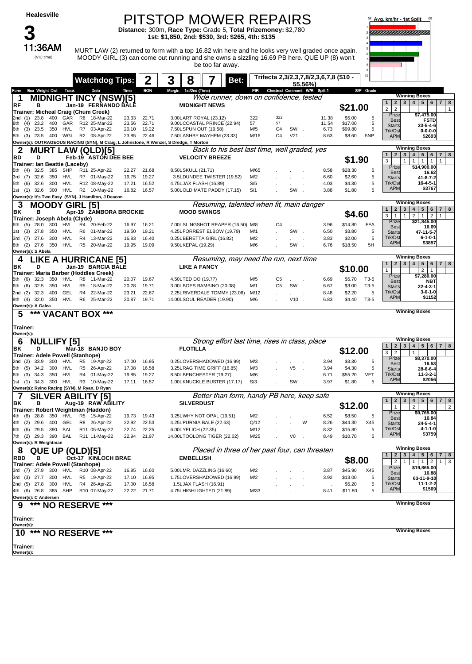(VIC time)

**3**

#### PITSTOP MOWER REPAIRS

MOODY GIRL (3) can come out running and she owns a sizzling 16.69 PB here. QUE UP (8) won't be too far away.

**Distance:** 300m, **Race Type:** Grade 5, **Total Prizemoney:** \$2,780 **1st: \$1,850, 2nd: \$530, 3rd: \$265, 4th: \$135**

:36AM MURT LAW (2) returned to form with a top 16.82 win here and he looks very well graded once again.



**\$7,475.00 FSTD 33-5-4-6 0-0-0-0 \$2693**

 $1 1 1$ 

**\$14,900.00 16.62 41-8-7-2 16-4-5-1 \$3767**

**\$21,845.00 16.69 47-11-5-7 6-1-0-1 \$3857**

 $\sqrt{2}$  1

**\$7,280.00 NBT 22-4-3-1** --<br>3-0 **\$1152**

**\$8,370.00 16.53 28-6-6-4 11-3-2-1 \$2056**

**\$9,765.00 16.84 24-5-4-1 4-1-1-0 \$3759**

**\$19,865.00 16.88 63-11-9-10 11-1-2-2 \$1569**

 $\boxed{1}$   $\boxed{3}$ 

**1 MIDNIGHT INCY (NSW)[5]** Wide runner, down on confidence, tested<br>READ MIDNIGHT INCREALE MIDNIGHT NEWS **Owner(s): OUTRAGEOUS RACING (SYN), M Craig, L Johnstone, R Wenzel, S Dredge, T Morton RF <sup>B</sup> FERNANDO BALE MIDNIGHT NEWS \$21.00 Trainer: Micheal Craig (Chum Creek)** 2nd (1) 23.8 400 GAR R6 18-Mar-22 23.33 22.71 3.00LART ROYAL (23.12) 322 322 11.38 \$5.00 5 8th (4) 23.2 400 GAR R12 25-Mar-22 23.56 22.71 9.00LCOASTAL·PRINCE(22.94) 57 57 11.54 \$17.00 5<br>6th (3) 23.5 350 HVL R7 03-Apr-22 20.10 19.22 7.50LSPUN OUT(19.58) M/5 C4 SW . 6.73 \$99.80 5 8th (3) 23.5 400 WGL R2 08-Apr-22 23.85 22.46 7.50LASHBY MAYHEM (23.33) M/16 C4 V21 . 8.63 \$8.60 5NP **11 INC 1 (NOW)[0]**<br>Jan-19 FERNANDO BALE MIDNIGHT NEWS **121.00**  $\overline{2}$  2 Prize Be<br>Star Starts Trk/Dst **AP Winning Boxes 2 MURT LAW (QLD)[5]** *Back to his best last time, well graded, yes*<br>BD D Feb-19 ASTON DEE BEE VELOCITY BREEZE **Ounce Set Compt Easy (SYN), J Hamilton, J Dead BD <sup>D</sup> ASTON DEE BEE VELOCITY BREEZE \$1.90 Trainer: Ian Beattie (Laceby)** 5th (4) 32.5 385 SHP R11 25-Apr-22 22.27 21.68 8.50LSKULL (21.71) M/65 . . . 8.58 \$28.30 5 3rd (7) 32.6 350 HVL R7 01-May-22 19.75 19.27 3.5LDUNDEE TWISTER (19.52) M/2 . . . 6.60 \$2.60 5 4.75LJAX FLASH (16.89) 1st (1) 32.6 300 HVL R2 10-May-22 16.82 16.57 5.00LOLD MATE PADDY (17.15) S/1 . SW . 3.88 \$1.80 5 **Feb-19 ASTON DEE BEE The CONTRACTER CONTRACTES CONTRACTES CONTRACTES CONTRACTES CONTRACTES CONTRACTES CONTRACTES CONTRACTES CONTRACTES CONTRACTES CONTRACTES CONTRACTES CONTRACTES CONTRACTES** Priz Be Start Trk/Ds  $\overline{AP}$ **Winning Boxe 3 MOODY GIRL [5]** Resuming, talented when fit, main danger<br>BK B Apr-19 ZAMBORA BROCKIE MOOD SWINGS **Owner(s): S Abela BK <sup>B</sup> ZAMBORA BROCKIE MOOD SWINGS \$4.60 Trainer: Joseph Abela (Clyde)** 7.00LSLINGSHOT REAPER (16.50) M/8 1st (3) 27.8 350 HVL R6 01-Mar-22 19.50 19.21 4.25LFORREST ELBOW (19.79) M/1 . SW . 6.50 \$3.80 5 3rd (7) 27.6 300 HVL R4 13-Mar-22 16.83 16.40 0.25LBERETTA GIRL (16.82) M/2 . . . 3.83 \$2.00 5 8th (2) 27.6 350 HVL R5 20-Mar-22 19.95 19.09 9.50LKEPAL (19.29) M/6 . SW . 6.76 \$18.50 5H **Apple 51 19 199 199 199 199 199 199 199 199 199 199 199 199 199 199 199 199 199 199 199 199 199 199 199 199 199 199 199 199 199 199 199 199 199 199 1**  $1 2 1 2$ **Priz** Best Starts Trk/Ds APM **Winning Boxes 4 LIKE A HURRICANE [5]** Resuming, may need the run, next time<br>BK B Resuming, may need the run, next time **Owner(s): A Galea BK <sup>D</sup> BARCIA BALE LIKE A FANCY \$10.00 Trainer: Maria Barber (Hoddles Creek)** 5th (6) 32.3 350 HVL R8 11-Mar-22 20.07 19.67 4.50LTED DO (19.77) M/5 C5 . . 6.69 \$5.70 T3-5 6th (6) 32.5 350 HVL R5 18-Mar-22 20.28 19.71 3.00LBOES BAMBINO (20.08) M/1 C5 SW . 6.67 \$3.00 T3-5  $2n$ d  $(2)$  32.3 400 GEL R4 22-Mar-22 23.21 22.67 2.25LRIVERDALE TOMMY (23.06) 8th (4) 32.0 350 HVL R6 25-Mar-22 20.87 19.71 14.00LSOUL READER (19.90) M/6 . V10 . 6.83 \$4.40 T3-5 **Jan-19 BARCIA BALE LIKE A FANCY CONSIDERED AND <b>EXAMPLE 12 1 2 3 4 5 6 7 8 8 10.00 1 1 2 3 4 5 6 7 8** Prize Best Start Trk/D APM **Winning Boxes 5 \*\*\* VACANT BOX \*\*\* Owner(s): Trainer: Winning Boxes 6 NULLIFY [5]** Strong effort last time, rises in class, place<br>BK B Mar-18 BANJO BOY FLOTILLA **Owner(s): Ryino Racing (SYN), M Ryan, D Ryan BK <sup>D</sup> BANJO BOY FLOTILLA \$12.00 Trainer: Adele Powell (Stanhope)** 2nd (2) 33.9 300 HVL R5 19-Apr-22 17.00 16.95 0.25LOVERSHADOWED (16.99) M/3 . . . . . 3.94 \$3.30 5<br>2nd (2) 33.9 300 HVL R5 26-Apr-22 17.08 16.58 3.25LRAG TIME GRIFF (16.85) M/3 . V5 . 3.94 \$4.30 5 5th (5) 34.2 300 HVL R5 26-Apr-22 17.08 16.58 3.25LRAG TIME GRIFF (16.85)<br>6th (3) 34.3 350 HVL R4 01-May-22 19.85 19.27 8.50LBENCHESTER (19.27) 5th (3) 34.3 350 HVL R4 01-May-22 19.85 19.27 8.50LBENCHESTER(19.27) M/6 . . . . 6.71 \$55.20 VET<br>1st (1) 34.3 300 HVL R3 10-May-22 17.11 16.57 1.00LKNUCKLE.BUSTER(17.17) S/3 . . SW . 3.97 \$1.80 5 1st (1) 34.3 300 HVL R3 10-May-22 17.11 16.57 1.00LKNUCKLE BUSTER (17.17) S/3 . SW . 3.97 \$1.80 5 **Mar-18 <sup>1</sup> <sup>2</sup> <sup>3</sup> <sup>4</sup> <sup>5</sup> <sup>6</sup> <sup>7</sup> <sup>8</sup>**  $3 \mid 2 \mid 1$ Prize Best Star Trk/D APM **Winning Boxes 7 SILVER ABILITY [5]** *Better than form, handy PB here, keep safe*<br>BK B Aug-19 RAW ABILITY **SILVERDUST Owner(s): R Weightman BK <sup>B</sup> RAW ABILITY SILVERDUST \$12.00 Trainer: Robert Weightman (Haddon)** 4th (8) 28.8 350 HVL R5 15-Apr-22 19.73 19.43 3.25LWHY NOT OPAL (19.51) M/2 . . . 6.52 \$8.50 5 4th (2) 29.6 400 GEL R8 26-Apr-22 22.92 22.53 4.25LPURNIA BALE (22.63) Q/12 . . W 8.26 \$44.30 X45 5th (6) 29.5 390 BAL R11 05-May-22 22.74 22.25 6.00LYELICH (22.35) 7th (2) 29.3 390 BAL R11 11-May-22 22.94 21.97 14.00LTOOLONG TIGER (22.02) M/25 . V0 . 8.49 \$10.70 5 **ADILITY**<br>
Aug-19 RAW ABILITY SILVERDUST SILVERDUST **5**<br>  $\frac{40g-19}{1}$  2<br>  $\frac{1}{2}$  2<br>  $\frac{2}{3}$ 1 | 2 | | | | 2 Prize **Best** Start Trk/Ds **AP Winning Boxes 8 QUE UP (QLD)[5]** *Placed in three of her past four, can threaten RBD* **B Placed EMBELLISH Owner(s): C Andersen RBD <sup>B</sup> KINLOCH BRAE EMBELLISH \$8.00 Trainer: Adele Powell (Stanhope)** 5.00 LMR. DAZZLING (16.60) 3rd (3) 27.7 300 HVL R5 19-Apr-22 17.10 16.95 1.75LOVERSHADOWED (16.99) M/2 . . . 3.92 \$13.00 5 2nd (5) 27.8 300 HVL R4 26-Apr-22 17.00 16.58 1.5LJAX FLASH (16.91) . . . . \$5.20 5 4th (6) 26.8 385 SHP R10 07-May-22 22.22 21.71 4.75LHIGHLIGHTED (21.89) M/33 . . . 8.41 \$11.80 5 **OCED)[5]**<br> **OCE-17 ISSUED: COLD)[5]**<br> **OCE-17 EMBELLISH**<br> **COLD EMBELLISH**<br> **COLD EMBELLISH**<br> **COLD EMBELLISH**<br> **COLD EMBELLISH**<br> **COLD EMBELLISH**<br> **COLD EMBELLISH**<br> **COLD EMBELLISH** Prize Best Start Trk/Ds **AP Winning Boxes 9 \*\*\* NO RESERVE \*\*\* Owner(s): Trainer: Winning Boxes 10 \*\*\* NO RESERVE \*\*\*** Owner(s) **Trainer: Winning Boxes Watchdog Tips: 2 3 8 7 Bet: Trifecta 2,3/2,3,7,8/2,3,6,7,8 (\$10 - 55.56%)** Form Box Weight Dist Track Date Time BON Margin 1st/2nd (Time) PIR Checked Comment W/R Split 1 S/P Grade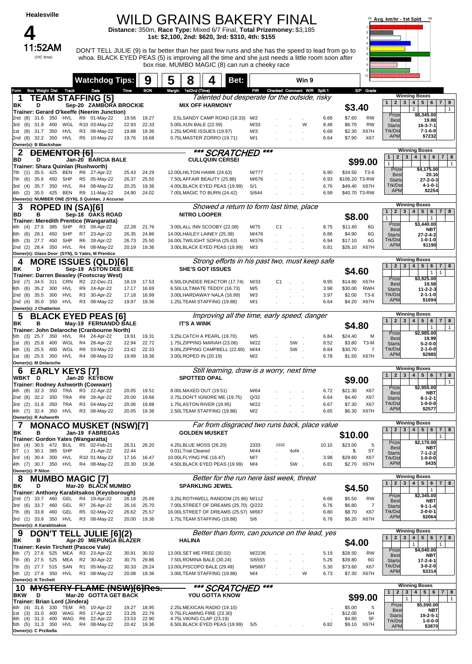|                                             | <b>Healesville</b>      |            | <b>WILD GRAINS BAKERY FINAL</b><br>Avg. km/hr - 1st Split<br>68<br>Distance: 350m, Race Type: Mixed 6/7 Final, Total Prizemoney: \$3,185<br>1st: \$2,100, 2nd: \$620, 3rd: \$310, 4th: \$155 |                      |                                                                                                                                                                                                       |                |                |        |                                                          |                        |                                                                           |                |      |       |                             |              |                           |                        |                                                             |                                                                          |
|---------------------------------------------|-------------------------|------------|----------------------------------------------------------------------------------------------------------------------------------------------------------------------------------------------|----------------------|-------------------------------------------------------------------------------------------------------------------------------------------------------------------------------------------------------|----------------|----------------|--------|----------------------------------------------------------|------------------------|---------------------------------------------------------------------------|----------------|------|-------|-----------------------------|--------------|---------------------------|------------------------|-------------------------------------------------------------|--------------------------------------------------------------------------|
|                                             | 11:52AM<br>(VIC time)   |            |                                                                                                                                                                                              |                      | DON'T TELL JULIE (9) is far better than her past few runs and she has the speed to lead from go to<br>whoa. BLACK EYED PEAS (5) is improving all the time and she just needs a little room soon after |                |                |        |                                                          |                        | box rise. MUMBO MAGIC (8) can run a cheeky race                           |                |      |       |                             |              |                           |                        |                                                             |                                                                          |
|                                             |                         |            |                                                                                                                                                                                              |                      | <b>Watchdog Tips:</b>                                                                                                                                                                                 |                | 9              | 5      | 8                                                        |                        | Bet:                                                                      |                |      |       | Win 9                       |              |                           |                        |                                                             |                                                                          |
| Form                                        | <b>Box Weight Dist</b>  |            | Track                                                                                                                                                                                        |                      | Date                                                                                                                                                                                                  | Time           | <b>BON</b>     | Margin | 1st/2nd (Time)                                           |                        |                                                                           | PR             |      |       | Checked Comment W/R Split 1 |              |                           | S/P Grade              |                                                             | <b>Winning Boxes</b>                                                     |
| 1<br>ΒK                                     | D                       |            |                                                                                                                                                                                              |                      | <b>TEAM STAFFING [5]</b><br>Sep-20 ZAMBORA BROCKIE                                                                                                                                                    |                |                |        | <b>MIX OFF HARMONY</b>                                   |                        | Talented but desperate for the outside, risky                             |                |      |       |                             |              |                           |                        | 2 <br>1 <sup>1</sup>                                        | $3 \mid 4 \mid 5 \mid 6$<br>$\overline{7}$<br>8                          |
|                                             |                         |            |                                                                                                                                                                                              |                      | Trainer: Gerard O'keeffe (Neerim Junction)                                                                                                                                                            |                |                |        |                                                          |                        |                                                                           |                |      |       |                             |              | \$3.40                    |                        | Prize                                                       | $\overline{2}$<br>$\mathbf{1}$<br>\$8,345.00                             |
| 2nd (8)<br>3rd (6)                          | 31.6<br>31.9            | 350        | HVL<br>WGL                                                                                                                                                                                   |                      | R9 01-May-22                                                                                                                                                                                          | 19.56<br>22.93 | 19.27<br>22.33 |        |                                                          |                        | 3.5LSANDY CAMP ROAD (19.33)                                               | M/2<br>M/33    |      |       | W                           | 6.66<br>8.46 | \$7.60<br>\$6.70          | <b>RW</b><br><b>RW</b> | <b>Best</b>                                                 | 19.88                                                                    |
| (8)<br>1st                                  | 31.7                    | 400<br>350 | <b>HVL</b>                                                                                                                                                                                   |                      | R10 03-May-22<br>R3 08-May-22                                                                                                                                                                         | 19.88          | 19.36          |        | 5.00LXUN BALE (22.59)<br>1.25LMORE ISSUES (19.97)        |                        |                                                                           | M/3            |      |       |                             | 6.68         | \$2.30                    | X67H                   | <b>Starts</b><br>Trk/Dst                                    | $16 - 3 - 7 - 1$<br>$7 - 1 - 6 - 0$                                      |
| 2nd (8) 32.2 350                            |                         |            | <b>HVL</b>                                                                                                                                                                                   |                      | R5 10-May-22                                                                                                                                                                                          | 19.76          | 19.68          |        | 0.75LMASTER ZORRO (19.71)                                |                        |                                                                           | M/1            |      |       |                             | 6.64         | \$7.90                    | X67                    | <b>APM</b>                                                  | \$7232                                                                   |
| Owner(s): B Blackshaw<br>2                  | <b>DEMENTOR [6]</b>     |            |                                                                                                                                                                                              |                      |                                                                                                                                                                                                       |                |                |        |                                                          |                        | *** SCRATCHED                                                             | $***$          |      |       |                             |              |                           |                        |                                                             | <b>Winning Boxes</b>                                                     |
| BD                                          | D                       |            |                                                                                                                                                                                              |                      | Jan-20 BARCIA BALE                                                                                                                                                                                    |                |                |        |                                                          | <b>CULLQUIN CERSEI</b> |                                                                           |                |      |       |                             |              |                           | \$99.00                | $\overline{2}$<br>$\mathbf{1}$                              | 3 <sup>1</sup><br>4   5   6<br>$\overline{7}$<br>8                       |
|                                             |                         |            |                                                                                                                                                                                              |                      | Trainer: Shara Quinlan (Rushworth)                                                                                                                                                                    |                |                |        | 12.00LHILTON HAWK (24.63)                                |                        |                                                                           |                |      |       |                             |              |                           |                        | $\mathbf{1}$<br>Prize                                       | $\mathbf{1}$<br>\$4,175.00                                               |
| (1)<br>7th<br>7th<br>(6)                    | 35.5<br>35.6            | 425<br>450 | BEN<br><b>SHP</b>                                                                                                                                                                            | R <sub>5</sub>       | R9 27-Apr-22<br>05-May-22                                                                                                                                                                             | 25.43<br>26.37 | 24.29<br>25.55 |        | 7.50LAFFAIR BEAUTY (25.88)                               |                        |                                                                           | M/777<br>M/676 |      |       |                             | 6.90<br>6.93 | \$34.50<br>\$106.20 T3-RW | T3-6                   | <b>Best</b><br><b>Starts</b>                                | 20.16<br>27-2-0-3                                                        |
| 3rd<br>(4)                                  | 35.7 350                |            | HVL                                                                                                                                                                                          |                      | R4 08-May-22                                                                                                                                                                                          | 20.25          | 19.36          |        | 4.00LBLACK EYED PEAS (19.99)                             |                        |                                                                           | S/1            |      |       |                             | 6.76         | \$49.40 X67H              |                        | Trk/Dst                                                     | 4-1-0-1                                                                  |
| 4th (2)                                     | 35.5                    | 425        | BEN                                                                                                                                                                                          |                      | R9 11-May-22<br>Owner(s): NUMBER ONE (SYN), S Quinlan, J Accurso                                                                                                                                      | 24.90          | 24.02          |        | 7.00LMAGIC TO BURN (24.42)                               |                        |                                                                           | S/644          |      |       |                             | 6.99         | \$40.70 T3-RW             |                        | <b>APM</b>                                                  | \$2254                                                                   |
| З                                           | <b>ROPED IN (SA)[6]</b> |            |                                                                                                                                                                                              |                      |                                                                                                                                                                                                       |                |                |        |                                                          |                        | Showed a return to form last time, place                                  |                |      |       |                             |              |                           |                        |                                                             | <b>Winning Boxes</b>                                                     |
| BD                                          | в                       |            |                                                                                                                                                                                              |                      | Sep-18 OAKS ROAD                                                                                                                                                                                      |                |                |        | <b>NITRO LOOPER</b>                                      |                        |                                                                           |                |      |       |                             |              | \$8.00                    |                        | 2 <sub>1</sub><br>$\mathbf{1}$<br>$\mathbf{1}$              | $3 \mid 4 \mid 5 \mid 6$<br>$7 \mid 8$<br>$\overline{1}$                 |
| 4th (4)                                     | 27.5                    | 385        | SHP                                                                                                                                                                                          |                      | Trainer: Meredith Prentice (Wangaratta)<br>R3 09-Apr-22                                                                                                                                               | 22.28          | 21.76          |        | 3.00LALL INN SCOOBY (22.08)                              |                        |                                                                           | M/75           | C1   |       |                             | 8.75         | \$11.60                   | 6G                     | Prize                                                       | \$3,440.00                                                               |
| (6)<br>6th                                  | 28.1                    | 450        | <b>SHP</b>                                                                                                                                                                                   |                      | R7 23-Apr-22                                                                                                                                                                                          | 26.35          | 24.86          |        | 14.00LHAILEY LAINEY (25.39)                              |                        |                                                                           | M/476          |      |       |                             | 6.86         | \$4.90                    | 6G                     | <b>Best</b><br><b>Starts</b>                                | <b>NBT</b><br>27-2-4-2                                                   |
| 6th<br>(3)                                  | 27.7                    | 450        | <b>SHP</b>                                                                                                                                                                                   | R <sub>6</sub>       | 28-Apr-22                                                                                                                                                                                             | 26.73          | 25.50          |        | 16.00LTWILIGHT SOFIA (25.63)                             |                        |                                                                           | M/376          |      |       |                             | 6.94         | \$17.10                   | 6G                     | Trk/Dst<br><b>APM</b>                                       | $1 - 0 - 1 - 0$<br>\$1190                                                |
| 2nd (2)                                     | 28.4                    | 350        | HVL                                                                                                                                                                                          |                      | R4 08-May-22<br>Owner(s): Glass Door (SYN), G Yates, M Prentice                                                                                                                                       | 20.19          | 19.36          |        | 3.00LBLACK EYED PEAS (19.99)                             |                        |                                                                           | M/3            |      |       |                             | 6.81         | \$26.10                   | X67H                   |                                                             |                                                                          |
| 4                                           |                         |            |                                                                                                                                                                                              |                      | <b>MORE ISSUES (QLD)[6]</b>                                                                                                                                                                           |                |                |        |                                                          |                        | Strong efforts in his past two, must keep safe                            |                |      |       |                             |              |                           |                        |                                                             | <b>Winning Boxes</b>                                                     |
| ΒK                                          | D                       |            |                                                                                                                                                                                              |                      | Sep-19 ASTON DEE BEE                                                                                                                                                                                  |                |                |        | <b>SHE'S GOT ISSUES</b>                                  |                        |                                                                           |                |      |       |                             |              | \$4.60                    |                        | $\mathbf{1}$                                                | 2 3 4 5<br>$6\phantom{.}6$<br>$7 \mid 8$<br>$\mathbf{1}$<br>$\mathbf{1}$ |
| (7)<br>3rd                                  | 34.5                    | 311        | CRN                                                                                                                                                                                          |                      | Trainer: Darren Beasley (Footscray West)<br>R2 22-Dec-21                                                                                                                                              | 18.19          | 17.53          |        | 6.50LDUNDEE REACTOR (17.74)                              |                        |                                                                           | M/33           | C1   |       |                             | 9.95         | \$14.80                   | X67H                   | Prize                                                       | \$3,925.00                                                               |
| (6)<br>6th                                  | 35.2                    | 300        | HVL                                                                                                                                                                                          | R9                   | 24-Apr-22                                                                                                                                                                                             | 17.17          | 16.69          |        | 6.50LULTIMATE TEDDY (16.73)                              |                        |                                                                           | M/5            |      |       |                             | 3.98         | \$30.00                   | <b>RWH</b>             | <b>Best</b><br><b>Starts</b>                                | 19.58<br>11-2-2-3                                                        |
| 2nd (8)                                     | 35.5                    | 300        | <b>HVL</b>                                                                                                                                                                                   | R <sub>3</sub>       | 30-Apr-22                                                                                                                                                                                             | 17.18          | 16.99          |        | 3.00LHARDAWAY NALA (16.99)                               |                        |                                                                           | M/3            |      |       |                             | 3.97         | \$2.00                    | T3-6                   | Trk/Dst<br><b>APM</b>                                       | $2 - 1 - 1 - 0$<br>\$1694                                                |
| 2nd (4)<br>Owner(s): J Chatterton           | 35.0 350                |            | HVL                                                                                                                                                                                          |                      | R3 08-May-22                                                                                                                                                                                          | 19.97          | 19.36          |        | 1.25LTEAM STAFFING (19.88)                               |                        |                                                                           | M/1            |      |       |                             | 6.64         | \$4.20                    | X67H                   |                                                             |                                                                          |
| 5                                           |                         |            |                                                                                                                                                                                              |                      | <b>BLACK EYED PEAS [6]</b>                                                                                                                                                                            |                |                |        |                                                          |                        | Improving all the time, early speed, danger                               |                |      |       |                             |              |                           |                        |                                                             | <b>Winning Boxes</b>                                                     |
| ΒK                                          | в                       |            |                                                                                                                                                                                              |                      | May-19 FERNANDO BALE                                                                                                                                                                                  |                |                |        | <b>IT'S A WINK</b>                                       |                        |                                                                           |                |      |       |                             |              | \$4.80                    |                        | 1 <sup>1</sup><br>2 <sub>1</sub>                            | 3   4   5   6<br>7<br>8<br>$\mathbf{1}$<br>$\mathbf{1}$                  |
| 5th (3)                                     | 25.7                    | 350        | HVL                                                                                                                                                                                          | R4                   | Trainer: John Delaroche (Cranbourne North)<br>24-Apr-22                                                                                                                                               | 19.91          | 19.31          |        | 3.25LCATCH A PEARL (19.70)                               |                        |                                                                           | M/5            |      |       |                             | 6.84         | \$24.40                   | M                      | Prize                                                       | \$2,985.00                                                               |
| 1st<br>(6)                                  | 25.8                    | 400        | WGL                                                                                                                                                                                          | R4                   | 28-Apr-22                                                                                                                                                                                             | 22.94          | 22.72          |        | 1.75LZIPPING MARIAH (23.06)                              |                        |                                                                           | M/22           |      | SW.   |                             | 8.52         | \$3.80                    | <b>T3-M</b>            | <b>Best</b><br><b>Starts</b>                                | 19.99<br>$5 - 2 - 0 - 0$                                                 |
| (3)<br>4th                                  | 25.5                    | 400        | WGL                                                                                                                                                                                          | R9                   | 03-May-22                                                                                                                                                                                             | 23.42          | 22.33          |        |                                                          |                        | 9.00LZIPPING CAMPBELL (22.80)                                             | M/44           |      | SW    |                             | 8.84         | \$30.70                   | 7                      | Trk/Dst<br><b>APM</b>                                       | $2 - 1 - 0 - 0$<br>\$2985                                                |
| (8)<br>1st<br>Owner(s): M Delaroche         | 25.5                    | 350        | HVL                                                                                                                                                                                          | R4                   | 08-May-22                                                                                                                                                                                             | 19.99          | 19.36          |        | 3.00LROPED IN (20.19)                                    |                        |                                                                           | M/2            |      |       |                             | 6.78         | \$1.50                    | X67H                   |                                                             |                                                                          |
| 6                                           | <b>EARLY KEYS [7]</b>   |            |                                                                                                                                                                                              |                      |                                                                                                                                                                                                       |                |                |        |                                                          |                        | Still learning, draw is a worry, next time                                |                |      |       |                             |              |                           |                        | $\mathbf{1}$                                                | <b>Winning Boxes</b><br>2   3   4   5<br>6<br>7 8                        |
| <b>WBKT</b>                                 | D                       |            |                                                                                                                                                                                              |                      | Jan-20 KEYBOW<br>Trainer: Rodney Ashworth (Cowwarr)                                                                                                                                                   |                |                |        | <b>SPOTTED OPAL</b>                                      |                        |                                                                           |                |      |       |                             |              | \$9.00                    |                        |                                                             | $\mathbf{1}$                                                             |
| 4th (8)                                     | 32.3 350                |            | TRA                                                                                                                                                                                          |                      | R3 22-Apr-22                                                                                                                                                                                          | 20.05          | 19.51          |        | 8.00LMAXED OUT (19.51)                                   |                        |                                                                           | M/64           |      |       |                             | 6.72         | \$21.30                   | X67                    | Prize<br><b>Best</b>                                        | \$2,955.00<br><b>NBT</b>                                                 |
| 2nd (8)                                     | 32.2                    | 350        | TRA                                                                                                                                                                                          | R9                   | 28-Apr-22                                                                                                                                                                                             | 20.00          | 19.66          |        | 3.75LDON'T IGNORE ME (19.75)                             |                        |                                                                           | Q/32           |      |       |                             | 6.64         | \$4.40                    | X67                    | <b>Starts</b>                                               | $6 - 1 - 2 - 1$                                                          |
| 3rd<br>4th (7) 32.4 350                     | $(2)$ 31.8 350          |            | TRA<br><b>HVL</b>                                                                                                                                                                            | R3<br>R <sub>3</sub> | 04-May-22<br>08-May-22                                                                                                                                                                                | 20.06<br>20.05 | 19.88<br>19.36 |        | 1.75LASTON RIVER (19.95)<br>2.50LTEAM STAFFING (19.88)   |                        |                                                                           | M/22<br>M/2    |      |       |                             | 6.67<br>6.65 | \$7.30<br>\$6.30          | X67<br>X67H            | Trk/Dst<br><b>APM</b>                                       | 1-0-0-0<br>\$2577                                                        |
| Owner(s): R Ashworth                        |                         |            |                                                                                                                                                                                              |                      |                                                                                                                                                                                                       |                |                |        |                                                          |                        |                                                                           |                |      |       |                             |              |                           |                        |                                                             |                                                                          |
| 7                                           |                         |            |                                                                                                                                                                                              |                      | <b>MONACO MUSKET (NSW)[7]</b>                                                                                                                                                                         |                |                |        |                                                          |                        | Far from disgraced two runs back, place value                             |                |      |       |                             |              |                           |                        | $\mathbf{1}$<br>2                                           | <b>Winning Boxes</b><br>$3 \mid 4 \mid 5 \mid 6$<br>7 8                  |
| BK                                          | в                       |            |                                                                                                                                                                                              |                      | Jan-19 FABREGAS<br>Trainer: Gordon Yates (Wangaratta)                                                                                                                                                 |                |                |        | <b>GOLDEN MUSKET</b>                                     |                        |                                                                           |                |      |       |                             |              | \$10.00                   |                        |                                                             | $\mathbf{1}$                                                             |
| (4)<br>3rd                                  | 30.5                    | 472        | BUL                                                                                                                                                                                          | R <sub>5</sub>       | 02-Feb-21                                                                                                                                                                                             | 26.51          | 26.20          |        | 4.25LBLUE MOSS (26.20)                                   |                        |                                                                           | 2333           | 2333 |       |                             | 10.10        | \$23.00                   | 5                      | Prize<br><b>Best</b>                                        | \$2,170.00<br>NBT                                                        |
| $(-)$<br>ISТ<br>(4)<br>3rd                  | 30.1<br>30.4            | 385<br>300 | SHP<br>HVL                                                                                                                                                                                   |                      | 21-Apr-22<br>R10 01-May-22                                                                                                                                                                            | 22.44<br>17.16 | 16.47          |        | 0.01LTrial Cleared<br>10.00LFLYING PIE (16.47)           |                        |                                                                           | M/44<br>M/7    |      | 4of4. |                             | 3.98         | \$.<br>\$29.60            | ST<br>X67              | <b>Starts</b><br>Trk/Dst                                    | $7 - 1 - 2 - 2$<br>$1 - 0 - 0 - 0$                                       |
| 4th (7) 30.7                                |                         | 350        | HVL                                                                                                                                                                                          |                      | R4 08-May-22                                                                                                                                                                                          | 20.30          | 19.36          |        | 4.50LBLACK EYED PEAS (19.99)                             |                        |                                                                           | M/4            |      | SW.   |                             | 6.81         | \$2.70                    | X67H                   | <b>APM</b>                                                  | \$435                                                                    |
| Owner(s): P Nilon                           |                         |            |                                                                                                                                                                                              |                      |                                                                                                                                                                                                       |                |                |        |                                                          |                        |                                                                           |                |      |       |                             |              |                           |                        |                                                             | <b>Winning Boxes</b>                                                     |
| 8<br>ΒK                                     | D                       |            |                                                                                                                                                                                              |                      | <b>MUMBO MAGIC [7]</b><br>Mar-20 BLACK MUMBO                                                                                                                                                          |                |                |        | <b>SPARKLING JEWEL</b>                                   |                        | Better for the run here last week, threat                                 |                |      |       |                             |              |                           |                        | 2 <br>$\mathbf{1}$<br>3 <sup>1</sup>                        | $4 \mid 5 \mid 6$<br>7 8                                                 |
|                                             |                         |            |                                                                                                                                                                                              |                      | Trainer: Anthony Karabitsakos (Keysborough)                                                                                                                                                           |                |                |        |                                                          |                        |                                                                           |                |      |       |                             |              | \$4.50                    |                        | Prize                                                       | $\overline{1}$<br>\$2,345.00                                             |
| 2nd (7)<br>3rd (6)                          | 33.7<br>33.7            | 460<br>460 | GEL<br>GEL                                                                                                                                                                                   | R4<br>R7             | 19-Apr-22<br>26-Apr-22                                                                                                                                                                                | 26.18<br>26.16 | 25.69<br>25.70 |        |                                                          |                        | 3.25LROTHWELL RANDOM (25.96) M/112<br>7.00LSTREET OF DREAMS (25.70) Q/222 |                |      |       |                             | 6.66<br>6.76 | \$5.50<br>\$6.80          | <b>RW</b><br>7         | <b>Best</b>                                                 | NBT                                                                      |
| 7th (8) 33.8                                |                         | 460        | GEL                                                                                                                                                                                          | R <sub>5</sub>       | 02-May-22                                                                                                                                                                                             | 26.62          | 25.57          |        |                                                          |                        | 16.00LSTREET OF DREAMS (25.57) M/667                                      |                |      |       |                             | 6.80         | \$8.70                    | X67                    | <b>Starts</b><br>Trk/Dst                                    | $9 - 1 - 1 - 4$<br>$2 - 0 - 0 - 1$                                       |
| 3rd (1) 33.8 350 HVL                        |                         |            |                                                                                                                                                                                              |                      | R3 08-May-22                                                                                                                                                                                          | 20.00          | 19.36          |        | 1.75LTEAM STAFFING (19.88)                               |                        |                                                                           | S/6            |      |       |                             | 6.76         | \$6.20                    | X67H                   | <b>APM</b>                                                  | \$2064                                                                   |
| Owner(s): A Karabitsakos<br>9               | <b>DON'T</b>            |            |                                                                                                                                                                                              |                      | <b>TELL JULIE [6](2)</b>                                                                                                                                                                              |                |                |        |                                                          |                        | Better than form, can pounce on the lead, yes                             |                |      |       |                             |              |                           |                        |                                                             | <b>Winning Boxes</b>                                                     |
| BK                                          | в                       |            |                                                                                                                                                                                              |                      | Apr-20 MEPUNGA BLAZER                                                                                                                                                                                 |                |                |        | <b>HALINA</b>                                            |                        |                                                                           |                |      |       |                             |              | \$4.00                    |                        | $\mathbf{2}$<br>$\mathbf{3}$<br>$\mathbf{1}$                | $4 \mid 5 \mid 6$<br>7 8                                                 |
|                                             |                         |            |                                                                                                                                                                                              |                      | Trainer: Kevin Tirchett (Pascoe Vale)                                                                                                                                                                 |                |                |        |                                                          |                        |                                                                           | M/2236         |      |       |                             |              | \$28.50                   | <b>RW</b>              | Prize                                                       | $\mathbf{1}$<br>$\mathbf{1}$<br>\$4,040.00                               |
| 6th (7) 27.6<br>7th (8)                     | 27.5                    | 525<br>525 | MEA<br>MEA                                                                                                                                                                                   | R3<br>R <sub>2</sub> | 23-Apr-22<br>30-Apr-22                                                                                                                                                                                | 30.91<br>30.75 | 30.02<br>29.86 |        | 13.00LSET ME FREE (30.02)<br>7.50LROMINA BALE (30.24)    |                        |                                                                           | S/6555         |      |       |                             | 5.19<br>5.26 | \$39.80                   | 6G                     | <b>Best</b><br><b>Starts</b>                                | NBT<br>$17 - 2 - 4 - 1$                                                  |
| 7th (5) 27.7 515                            |                         |            | SAN                                                                                                                                                                                          | R <sub>1</sub>       | 05-May-22                                                                                                                                                                                             | 30.33          | 29.24          |        | 13.00LPISCOPO BALE (29.49)                               |                        |                                                                           | M/5667         |      |       |                             | 5.30         | \$73.60                   | X67                    | Trk/Dst                                                     | $3 - 0 - 2 - 0$                                                          |
| 5th (2) 27.9 350<br>Owner(s): K Tirchett    |                         |            | <b>HVL</b>                                                                                                                                                                                   | R3                   | 08-May-22                                                                                                                                                                                             | 20.08          | 19.36          |        | 3.00LTEAM STAFFING (19.88)                               |                        |                                                                           | M/4            |      |       | W                           | 6.73         | \$7.30                    | X67H                   | <b>APM</b>                                                  | \$3314                                                                   |
| 10                                          |                         |            |                                                                                                                                                                                              |                      | <b>MYSTERY FLAME (NSW)[6]Res.</b>                                                                                                                                                                     |                |                |        |                                                          |                        | *** SCRATCHED                                                             | $***$          |      |       |                             |              |                           |                        |                                                             | <b>Winning Boxes</b>                                                     |
| <b>BKW</b>                                  | D                       |            |                                                                                                                                                                                              |                      | Mar-20 GOTTA GET BACK                                                                                                                                                                                 |                |                |        |                                                          | <b>YOU GOTTA KNOW</b>  |                                                                           |                |      |       |                             |              |                           | \$99.00                | $2^{\circ}$<br>$\mathbf{1}$<br>$\mathbf{3}$<br>$\mathbf{1}$ | 4 <br>5 <sub>5</sub><br>78<br>6<br>$\mathbf{1}$                          |
| Trainer: Brian Lord (Jindera)<br>(4)<br>4th | 31.6                    | 330        | TEM                                                                                                                                                                                          | R5                   | 10-Apr-22                                                                                                                                                                                             | 19.27          | 18.95          |        | 2.25LMEXICAN RADIO (19.10)                               |                        |                                                                           |                |      |       |                             |              | \$5.00                    | 5                      | Prize                                                       | \$5,590.00                                                               |
| (3)<br>1st                                  | 31.0                    | 400        | WAG                                                                                                                                                                                          | R5                   | 17-Apr-22                                                                                                                                                                                             | 23.26          | 22.76          |        | 0.75LFLAMING FIRE (23.30)                                |                        |                                                                           |                |      |       |                             |              | \$12.00                   | 5H                     | <b>Best</b><br><b>Starts</b>                                | NBT<br>19-2-5-1                                                          |
| (4)<br>4th<br>5th (5) 31.3 350              | 31.3                    | 400        | WAG<br><b>HVL</b>                                                                                                                                                                            | R6<br>R4             | 22-Apr-22<br>08-May-22                                                                                                                                                                                | 23.53<br>20.42 | 22.90<br>19.36 |        | 4.75LVIKING CLAP (23.19)<br>6.50LBLACK EYED PEAS (19.99) |                        |                                                                           | S/5            |      |       |                             | 6.82         | \$4.80<br>\$9.10          | 5F<br>X67H             | Trk/Dst<br><b>APM</b>                                       | $1 - 0 - 0 - 0$<br>\$3870                                                |
| Owner(s): C Przibella                       |                         |            |                                                                                                                                                                                              |                      |                                                                                                                                                                                                       |                |                |        |                                                          |                        |                                                                           |                |      |       |                             |              |                           |                        |                                                             |                                                                          |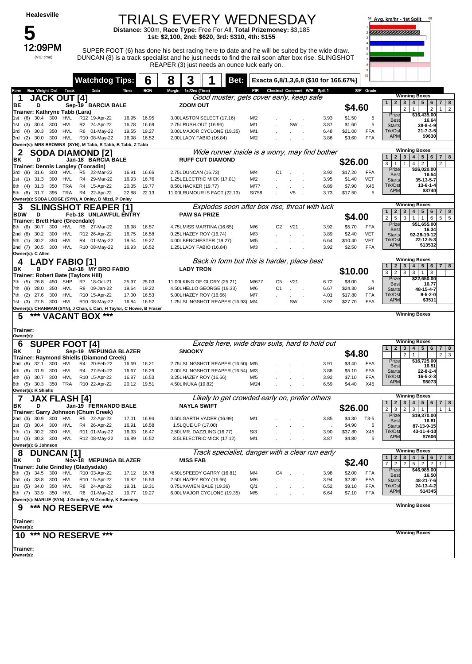5<br>12:09PM

(VIC time)

#### TRIALS EVERY WEDNESDAY

**Distance:** 300m, **Race Type:** Free For All, **Total Prizemoney:** \$3,185 **1st: \$2,100, 2nd: \$620, 3rd: \$310, 4th: \$155**



SUPER FOOT (6) has done his best racing here to date and he will be suited by the wide draw. DUNCAN (8) is a track specialist and he just needs to find the rail soon after box rise. SLINGSHOT REAPER (3) just needs an ounce luck early on.

|                                                                                             | <b>Watchdog Tips:</b>          |                | 6              | 3<br>8<br>Bet:                                                     |              |                                   | Exacta 6,8/1,3,6,8 (\$10 for 166.67%) |                   |                                                                                                                |
|---------------------------------------------------------------------------------------------|--------------------------------|----------------|----------------|--------------------------------------------------------------------|--------------|-----------------------------------|---------------------------------------|-------------------|----------------------------------------------------------------------------------------------------------------|
| <b>Box Weight Dist Track</b><br>Form                                                        | Date                           | Time           | <b>BON</b>     | Margin 1st/2nd (Time)                                              |              | PIR Checked Comment W/R Split 1   |                                       | S/P Grade         |                                                                                                                |
| <b>JACK OUT [4]</b><br>1                                                                    |                                |                |                | Good muster, gets cover early, keep safe                           |              |                                   |                                       |                   | <b>Winning Boxes</b><br>2 3 4 5 6 7 <br>1 <sup>1</sup><br>8                                                    |
| BE<br>D                                                                                     | Sep-19 BARCIA BALE             |                |                | <b>ZOOM OUT</b>                                                    |              |                                   |                                       | \$4.60            | $\overline{2}$<br>$\mathbf{1}$<br>$\overline{2}$<br>$\overline{2}$<br>1 <sup>1</sup>                           |
| Trainer: Kathryne Tabb (Lara)<br>300<br>(6)<br>30.4<br>HVL<br>1st                           | R12 19-Apr-22                  | 16.95          | 16.95          | 3.00LASTON SELECT (17.16)                                          | M/2          |                                   | 3.93                                  | \$1.50            | Prize<br>\$16,435.00<br>5<br><b>Best</b><br>16.64                                                              |
| 30.4<br>300<br>HVL<br>(3)<br>1st                                                            | R2 24-Apr-22                   | 16.78          | 16.69          | 2.75LRUSH OUT (16.96)                                              | M/1          | SW                                | 3.87                                  | \$1.60            | 5<br>38-8-4-9<br><b>Starts</b>                                                                                 |
| 30.3<br>350<br>HVL<br>(4)<br>3rd                                                            | R6 01-May-22                   | 19.55          | 19.27          | 3.00LMAJOR CYCLONE (19.35)                                         | M/1          |                                   | 6.48                                  | \$21.00           | $21 - 7 - 3 - 5$<br>Trk/Dst<br>FFA<br><b>APM</b><br>\$9630                                                     |
| 300 HVL<br>(2)<br>30.0<br>3rd<br>Owner(s): MRS BROWNS (SYN), M Tabb, S Tabb, B Tabb, Z Tabb | R10 08-May-22                  | 16.98          | 16.52          | 2.00LLADY FABIO (16.84)                                            | M/2          |                                   | 3.86                                  | \$3.60            | <b>FFA</b>                                                                                                     |
| <b>SODA DIAMOND [2]</b><br>2                                                                |                                |                |                | Wide runner inside is a worry, may find bother                     |              |                                   |                                       |                   | <b>Winning Boxes</b>                                                                                           |
| D<br>ΒK                                                                                     | Jan-18 BARCIA BALE             |                |                | <b>RUFF CUT DIAMOND</b>                                            |              |                                   |                                       | \$26.00           | 2 <sup>1</sup><br>$\mathbf{3}$<br>4 <sup>1</sup><br>5 <sup>1</sup><br>6<br>7 <sup>1</sup><br>8<br>$\mathbf{1}$ |
| Trainer: Dennis Langley (Tooradin)                                                          |                                |                |                |                                                                    |              |                                   |                                       |                   | 3<br>$\mathbf{1}$<br>$\mathbf{1}$<br>$\overline{4}$<br>$\overline{2}$<br>2<br>Prize<br>\$26,020.00             |
| 3rd (8) 31.6<br>300<br>HVL<br>$(1)$ 31.3<br>300<br>HVL<br>1st                               | R5 22-Mar-22<br>R4 29-Mar-22   | 16.91<br>16.93 | 16.66<br>16.76 | 2.75LDUNCAN (16.73)<br>1.25LELECTRIC MICK (17.01)                  | M/4<br>M/2   | C1                                | 3.92<br>3.95                          | \$17.20<br>\$1.40 | <b>FFA</b><br><b>Best</b><br>16.54<br><b>VET</b>                                                               |
| $(4)$ 31.3<br>350<br>TRA<br>6th                                                             | R4 15-Apr-22                   | 20.35          | 19.77          | 8.50LHACKER (19.77)                                                | M/77         |                                   | 6.89                                  | \$7.90            | <b>Starts</b><br>35-13-5-7<br>Trk/Dst<br>X45<br>13-6-1-4                                                       |
| 8th (8) 31.7 395<br>TRA                                                                     | R4 22-Apr-22                   | 22.88          | 22.13          | 11.00LRUMOUR IS FACT (22.13)                                       | S/758        | V5                                | 3.73                                  | \$17.50           | <b>APM</b><br>\$3740<br>5                                                                                      |
| Owner(s): SODA LODGE (SYN), A Onley, D Mizzi, P Onley                                       |                                |                |                |                                                                    |              |                                   |                                       |                   |                                                                                                                |
| <b>SLINGSHOT REAPER [1]</b>                                                                 |                                |                |                | Explodes soon after box rise, threat with luck                     |              |                                   |                                       |                   | <b>Winning Boxes</b><br>2   3   4   5  <br>$6 \mid 7 \mid$<br>8<br>$\mathbf{1}$                                |
| <b>BDW</b><br>D<br>Trainer: Brett Hare (Greendale)                                          | Feb-18 UNLAWFUL ENTRY          |                |                | <b>PAW SA PRIZE</b>                                                |              |                                   |                                       | \$4.00            | $\overline{2}$<br>5<br>3<br>1<br>1<br>6<br>$5 \mid 5$                                                          |
| 30.7<br>300<br>6th (6)<br>HVL                                                               | R5 27-Mar-22                   | 16.98          | 16.57          | 4.75LMISS MARTINA (16.65)                                          | M/6          | C <sub>2</sub><br>V <sub>21</sub> | 3.92                                  | \$5.70            | Prize<br>\$51,655.00<br><b>FFA</b><br><b>Best</b><br>16.34                                                     |
| 2nd(8)<br>30.2<br>300<br>HVL                                                                | R12 26-Apr-22                  | 16.75          | 16.58          | 0.25LHAZEY ROY (16.74)                                             | M/3          |                                   | 3.89                                  | \$2.40            | <b>VET</b><br>92-28-19-12<br><b>Starts</b>                                                                     |
| 350<br>5th (1) 30.2<br>HVL                                                                  | R4 01-May-22                   | 19.54          | 19.27          | 4.00LBENCHESTER (19.27)                                            | M/5          |                                   | 6.64                                  | \$10.40           | <b>VET</b><br>Trk/Dst<br>$22 - 12 - 5 - 3$<br><b>APM</b><br>\$13532                                            |
| 2nd (7) 30.5 300 HVL<br>Owner(s): C Allen                                                   | R10 08-May-22                  | 16.93          | 16.52          | 1.25LLADY FABIO (16.84)                                            | M/3          |                                   | 3.92                                  | \$2.50            | <b>FFA</b>                                                                                                     |
| ADY FABIO [1].<br>4                                                                         |                                |                |                | Back in form but this is harder, place best                        |              |                                   |                                       |                   | <b>Winning Boxes</b>                                                                                           |
| ΒK<br>в                                                                                     | Jul-18 MY BRO FABIO            |                |                | <b>LADY TRON</b>                                                   |              |                                   |                                       | \$10.00           | 2   3   4  <br>5   6   7  <br>$\mathbf{1}$<br>8<br>3<br>$\overline{2}$<br>3 <br>3<br>$1 \vert$<br>3            |
| Trainer: Robert Bate (Taylors Hill)                                                         | R7 18-Oct-21                   |                |                |                                                                    |              |                                   |                                       |                   | Prize<br>\$22,650.00                                                                                           |
| 450<br>SHP<br>7th (5)<br>26.8<br>(8)<br>28.0<br>350<br>HVL<br>7th                           | R8 09-Jan-22                   | 25.97<br>19.64 | 25.03<br>19.22 | 11.00LKING OF GLORY (25.21)<br>4.50LHELLO GEORGE (19.33)           | M/677<br>M/6 | $V21$ .<br>C5<br>C <sub>1</sub>   | 6.72<br>6.67                          | \$8.00<br>\$24.30 | 5<br><b>Best</b><br>16.77<br><b>SH</b><br>48-15-4-7                                                            |
| (2)<br>300<br>HVL<br>27.6<br>7th                                                            | R10 15-Apr-22                  | 17.00          | 16.53          | 5.00LHAZEY ROY (16.66)                                             | M/7          |                                   | 4.01                                  | \$17.80           | <b>Starts</b><br>Trk/Dst<br>$9 - 5 - 2 - 0$<br><b>FFA</b>                                                      |
| 1st (3) 27.5 300<br>HVL                                                                     | R10 08-May-22                  | 16.84          | 16.52          | 1.25LSLINGSHOT REAPER (16.93) M/4                                  |              | SW.                               | 3.92                                  | \$27.70           | <b>APM</b><br>\$3511<br><b>FFA</b>                                                                             |
| Owner(s): CHANMAN (SYN), J Chan, L Carr, H Taylor, C Howie, B Fraser                        |                                |                |                |                                                                    |              |                                   |                                       |                   | <b>Winning Boxes</b>                                                                                           |
| 5<br>*** VACANT BOX ***                                                                     |                                |                |                |                                                                    |              |                                   |                                       |                   |                                                                                                                |
| Trainer:                                                                                    |                                |                |                |                                                                    |              |                                   |                                       |                   |                                                                                                                |
| Owner(s):<br><b>SUPER FOOT [4]</b><br>6                                                     |                                |                |                |                                                                    |              |                                   |                                       |                   | <b>Winning Boxes</b>                                                                                           |
| ΒK<br>D                                                                                     |                                |                |                |                                                                    |              |                                   |                                       |                   |                                                                                                                |
|                                                                                             | Sep-19 MEPUNGA BLAZER          |                |                | Excels here, wide draw suits, hard to hold out<br><b>SNOOKY</b>    |              |                                   |                                       |                   | $5 \mid 6$<br>$\mathbf{1}$<br>2 <br>$\mathbf{3}$<br>4<br>$\boldsymbol{8}$<br>7 <sup>1</sup>                    |
| Trainer: Raymond Shiells (Diamond Creek)                                                    |                                |                |                |                                                                    |              |                                   |                                       | \$4.80            | $\overline{2}$<br>$\mathbf{1}$<br>$2 \mid 3$                                                                   |
| 32.1<br>300<br>HVL<br>2nd (8)                                                               | R4 20-Feb-22                   | 16.69          | 16.21          | 2.75LSLINGSHOT REAPER (16.50) M/5                                  |              |                                   | 3.91                                  | \$3.40            | \$16,725.00<br>Prize<br><b>FFA</b><br>16.51<br><b>Best</b>                                                     |
| 300<br>HVL<br>4th<br>(8)<br>31.9                                                            | R4 27-Feb-22                   | 16.67          | 16.29          | 2.00LSLINGSHOT REAPER (16.54) M/3                                  |              |                                   | 3.88                                  | \$5.10            | <b>FFA</b><br>$22 - 8 - 2 - 4$<br><b>Starts</b>                                                                |
| 4th (6)<br>30.7<br>300<br>HVL<br>TRA<br>6th (5) 30.3 350                                    | R10 15-Apr-22<br>R10 22-Apr-22 | 16.87<br>20.12 | 16.53<br>19.51 | 3.25LHAZEY ROY (16.66)<br>4.50LINUKA (19.82)                       | M/5<br>M/24  |                                   | 3.92<br>6.59                          | \$7.10<br>\$4.40  | <b>FFA</b><br>$16 - 5 - 2 - 3$<br>Trk/Dst<br><b>APM</b><br>\$5073<br>X45                                       |
| Owner(s): R Shiells                                                                         |                                |                |                |                                                                    |              |                                   |                                       |                   |                                                                                                                |
| JAX FLASH [4]                                                                               |                                |                |                | Likely to get crowded early on, prefer others                      |              |                                   |                                       |                   | <b>Winning Boxes</b><br>$\mathbf{1}$<br>$\mathbf{2}$<br>3<br>4 <br>5 <br>6<br>7 <sup>1</sup><br>8              |
| ΒK<br>D                                                                                     | Jan-19 FERNANDO BALE           |                |                | <b>NAYLA SWIFT</b>                                                 |              |                                   |                                       | \$26.00           | $\overline{2}$<br>3<br>$\overline{2}$<br>3<br>$\mathbf{1}$<br>1   1                                            |
| Trainer: Garry Johnson (Chum Creek)<br>2nd (3) 30.9 300<br>HVL                              | R5 22-Apr-22                   | 17.01          | 16.94          | 0.50LGARTH VADER (16.99)                                           | M/1          |                                   | 3.85                                  | \$4.30<br>T3-5    | Prize<br>\$19,370.00                                                                                           |
| 1st (3) 30.4 300<br>HVL                                                                     | R4 26-Apr-22                   | 16.91          | 16.58          | 1.5LQUE UP (17.00)                                                 |              |                                   |                                       | \$4.90            | <b>Best</b><br>16.81<br>5<br><b>Starts</b><br>87-13-9-15                                                       |
| 7th (1) 30.2 300 HVL R11 01-May-22                                                          |                                | 16.93          | 16.47          | 2.50LMR. DAZZLING (16.77)                                          | S/3          |                                   | 3.90                                  | \$37.80           | Trk/Dst<br>43-11-4-10<br>X45                                                                                   |
| 1st (3) 30.3 300                                                                            | HVL R12 08-May-22              | 16.89          | 16.52          | 3.5LELECTRIC MICK (17.12)                                          | M/1          |                                   | 3.87                                  | \$4.80            | <b>APM</b><br>\$7606<br>5                                                                                      |
| Owner(s): G Johnson                                                                         |                                |                |                |                                                                    |              |                                   |                                       |                   | <b>Winning Boxes</b>                                                                                           |
| 8<br><b>DUNCAN [1]</b><br>D                                                                 |                                |                |                | Track specialist, danger with a clear run early<br><b>MISS FAB</b> |              |                                   |                                       |                   | 4 <br>5 6 <br>$\mathbf{1}$<br>$2^{\circ}$<br>$\mathbf{3}$<br>7 8                                               |
| ΒK<br>Trainer: Julie Grindley (Gladysdale)                                                  | Nov-18 MEPUNGA BLAZER          |                |                |                                                                    |              |                                   |                                       | \$2.40            | $\overline{7}$<br>$\overline{2}$<br>$\overline{2}$<br>$5\overline{)}$<br>2 <br>$\overline{2}$<br>$\mathbf{1}$  |
| 5th (3) 34.5 300<br>HVL                                                                     | R10 03-Apr-22                  | 17.12          | 16.78          | 4.50LSPEEDY GARRY (16.81)                                          | M/4          | C4                                | 3.98                                  | \$2.00            | \$46,985.00<br>Prize<br>FFA<br><b>Best</b><br>16.50                                                            |
| $(4)$ 33.8 300<br>HVL<br>3rd                                                                | R10 15-Apr-22                  | 16.82          | 16.53          | 2.50LHAZEY ROY (16.66)                                             | M/6          |                                   | 3.94                                  | \$2.80            | <b>FFA</b><br>48-21-7-6<br><b>Starts</b>                                                                       |
| HVL<br>1st (5) 34.0 350                                                                     | R8 24-Apr-22                   | 19.31          | 19.31          | 0.75LXAVIEN BALE (19.36)                                           | Q/1          |                                   | 6.52                                  | \$9.10            | 24-13-4-2<br>Trk/Dst<br>FFA<br><b>APM</b><br>\$14345                                                           |
| 5th (7) 33.9 350 HVL<br>Owner(s): MARLIE (SYN), J Grindley, M Grindley, K Sweeney           | R6 01-May-22                   | 19.77          | 19.27          | 6.00LMAJOR CYCLONE (19.35)                                         | M/5          |                                   | 6.64                                  | \$7.10            | <b>FFA</b>                                                                                                     |
| *** NO RESERVE<br>9                                                                         | ***                            |                |                |                                                                    |              |                                   |                                       |                   | <b>Winning Boxes</b>                                                                                           |
|                                                                                             |                                |                |                |                                                                    |              |                                   |                                       |                   |                                                                                                                |
| Trainer:<br>Owner(s):                                                                       |                                |                |                |                                                                    |              |                                   |                                       |                   |                                                                                                                |
| ***<br>10                                                                                   | <b>NO RESERVE ***</b>          |                |                |                                                                    |              |                                   |                                       |                   | <b>Winning Boxes</b>                                                                                           |
|                                                                                             |                                |                |                |                                                                    |              |                                   |                                       |                   |                                                                                                                |
| Trainer:<br>Owner(s):                                                                       |                                |                |                |                                                                    |              |                                   |                                       |                   |                                                                                                                |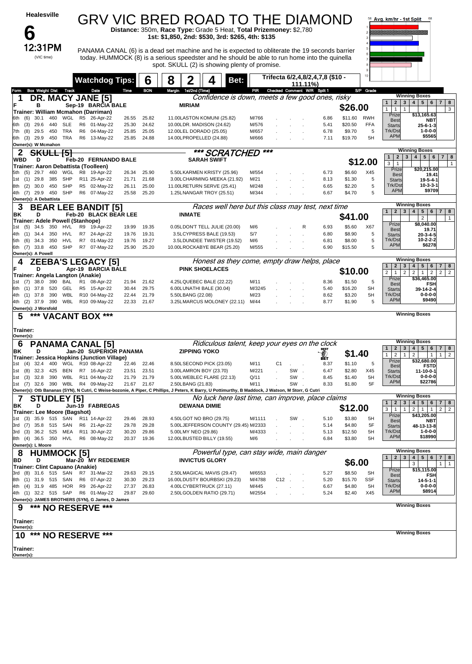| <b>Healesville</b>                                                                                                                                                                       |                                                |                |                | GRV VIC BRED ROAD TO THE DIAMOND                                                                                                                                                                                                                 |                    |      |                 |                 |                                           |                                                    |                   |                 | Avg. km/hr - 1st Split                                  | 68                                                                              |
|------------------------------------------------------------------------------------------------------------------------------------------------------------------------------------------|------------------------------------------------|----------------|----------------|--------------------------------------------------------------------------------------------------------------------------------------------------------------------------------------------------------------------------------------------------|--------------------|------|-----------------|-----------------|-------------------------------------------|----------------------------------------------------|-------------------|-----------------|---------------------------------------------------------|---------------------------------------------------------------------------------|
| b                                                                                                                                                                                        |                                                |                |                | Distance: 350m, Race Type: Grade 5 Heat, Total Prizemoney: \$2,780<br>1st: \$1,850, 2nd: \$530, 3rd: \$265, 4th: \$135                                                                                                                           |                    |      |                 |                 |                                           |                                                    |                   |                 |                                                         |                                                                                 |
| 12:31PM<br>(VIC time)                                                                                                                                                                    |                                                |                |                | PANAMA CANAL (6) is a dead set machine and he is expected to obliterate the 19 seconds barrier<br>today. HUMMOCK (8) is a serious speedster and he should be able to run home into the quinella<br>spot. SKULL (2) is showing plenty of promise. |                    |      |                 |                 |                                           |                                                    |                   |                 |                                                         |                                                                                 |
|                                                                                                                                                                                          | <b>Watchdog Tips:</b>                          |                | 6              | 8<br>2                                                                                                                                                                                                                                           | 4                  | Bet: |                 |                 | 111.11%                                   | Trifecta 6/2,4,8/2,4,7,8 (\$10 -                   |                   |                 |                                                         |                                                                                 |
| <b>Box Weight Dist Track</b><br><b>Form</b>                                                                                                                                              | Date                                           | Time           | <b>BON</b>     | Margin 1st/2nd (Time)                                                                                                                                                                                                                            |                    |      | PIR             |                 | Checked Comment W/R Split 1               |                                                    |                   | S/P Grade       |                                                         | <b>Winning Boxes</b>                                                            |
| DR. MACY JANE [5]<br>в                                                                                                                                                                   | Sep-19 BARCIA BALE                             |                |                | <b>MIRIAM</b>                                                                                                                                                                                                                                    |                    |      |                 |                 |                                           | Confidence is down, meets a few good ones, risky   | \$26.00           |                 | 1<br>$\vert$ 1<br>$\mathbf{1}$                          | $1 \mid 2 \mid 3 \mid 4 \mid 5 \mid 6 \mid 7 \mid 8$<br>3                       |
| Trainer: William Mcmahon (Darriman)<br>30.1<br>460<br>WGL<br>(6)<br>6th                                                                                                                  | R5 26-Apr-22                                   | 26.55          | 25.82          | 11.00LASTON KOMUNI (25.82)                                                                                                                                                                                                                       |                    |      | M/766           |                 |                                           | 6.86                                               | \$11.60 RWH       |                 | Prize<br><b>Best</b>                                    | \$13,165.63<br>NBT                                                              |
| 29.6<br>440<br><b>SLE</b><br>6th<br>(3)<br>TRA<br>29.5<br>450<br>7th<br>(8)                                                                                                              | R6<br>01-May-22<br>04-May-22<br>R <sub>6</sub> | 25.30<br>25.85 | 24.62<br>25.05 | 10.00LDR. MADISON (24.62)<br>12.00LEL DORADO (25.05)                                                                                                                                                                                             |                    |      | M/576<br>M/657  |                 |                                           | 5.41<br>6.78                                       | \$20.50<br>\$9.70 | <b>FFA</b><br>5 | <b>Starts</b><br>Trk/Dst                                | $25 - 6 - 1 - 3$<br>1-0-0-0                                                     |
| TRA<br>$(3)$ 29.9<br>450<br>6th<br>Owner(s): W Mcmahon                                                                                                                                   | R6 13-May-22                                   | 25.85          | 24.88          | 14.00LPROPELLED (24.88)                                                                                                                                                                                                                          |                    |      | M/666           |                 |                                           | 7.11                                               | \$19.70           | 5H              | <b>APM</b>                                              | \$5565                                                                          |
| <b>SKULL [5]</b><br>2                                                                                                                                                                    |                                                |                |                |                                                                                                                                                                                                                                                  | *** SCRATCHED      |      | ***             |                 |                                           |                                                    |                   |                 | $\mathbf{1}$<br>$\overline{2}$                          | <b>Winning Boxes</b><br>4   5   6<br>3 <sup>1</sup><br>7 <sup>1</sup><br>8      |
| WBD<br>D<br>Trainer: Aaron Debattista (Toolleen)                                                                                                                                         | Feb-20 FERNANDO BALE                           |                |                |                                                                                                                                                                                                                                                  | <b>SARAH SWIFT</b> |      |                 |                 |                                           |                                                    |                   | \$12.00         | 3<br>$\mathbf{1}$                                       | $\mathbf{1}$                                                                    |
| WGL<br>29.7<br>460<br>5th (5)<br>SHP<br>29.8<br>385                                                                                                                                      | R8 19-Apr-22<br>R11 25-Apr-22                  | 26.34          | 25.90          | 5.50LKARMEN KRISTY (25.96)                                                                                                                                                                                                                       |                    |      | M/554<br>M/21   |                 |                                           | 6.73<br>8.13                                       | \$6.60<br>\$1.30  | X45<br>5        | Prize<br><b>Best</b>                                    | \$20,215.00<br>19.41                                                            |
| (1)<br>1st<br><b>SHP</b><br>(2)<br>30.0<br>450<br>8th                                                                                                                                    | R5 02-May-22                                   | 21.71<br>26.11 | 21.68<br>25.00 | 3.00LCHARMING MEEKA (21.92)<br>11.00LRETURN SERVE (25.41)                                                                                                                                                                                        |                    |      | M/248           |                 |                                           | 6.65                                               | \$2.20            | 5               | <b>Starts</b><br>Trk/Dst                                | 19-5-4-1<br>$10 - 3 - 3 - 1$                                                    |
| SHP<br>4th (7) 29.9<br>450<br>Owner(s): A Debattista                                                                                                                                     | R6 07-May-22                                   | 25.58          | 25.20          | 1.25LNANGAR TROY (25.51)                                                                                                                                                                                                                         |                    |      | M/344           |                 |                                           | 6.67                                               | \$4.70            | 5               | <b>APM</b>                                              | \$9709                                                                          |
| 3<br><b>BEAR LEE BANDIT [5]</b>                                                                                                                                                          |                                                |                |                |                                                                                                                                                                                                                                                  |                    |      |                 |                 |                                           | Races well here but this class may test, next time |                   |                 | 1 <sup>1</sup>                                          | <b>Winning Boxes</b><br>2 3 4 5 6 7 8                                           |
| ΒK<br>D<br>Trainer: Adele Powell (Stanhope)                                                                                                                                              | Feb-20 BLACK BEAR LEE                          |                |                | <b>INMATE</b>                                                                                                                                                                                                                                    |                    |      |                 |                 |                                           |                                                    | \$41.00           |                 |                                                         | $\overline{c}$<br>$\mathbf{1}$                                                  |
| 34.5<br>350<br>HVL<br>(5)<br>1st                                                                                                                                                         | R9<br>19-Apr-22                                | 19.99          | 19.35          | 0.05LDON'T TELL JULIE (20.00)                                                                                                                                                                                                                    |                    |      | M/6             |                 | R                                         | 6.93                                               | \$5.60            | X67             | Prize<br><b>Best</b>                                    | \$8,040.00<br>19.71                                                             |
| 34.4<br>350<br>HVL<br>4th<br>(1)<br><b>HVL</b><br>34.3<br>350<br>5th<br>(6)                                                                                                              | R7 24-Apr-22<br>R7 01-May-22                   | 19.76<br>19.76 | 19.31<br>19.27 | 3.5LCYPRESS BALE (19.53)<br>3.5LDUNDEE TWISTER (19.52)                                                                                                                                                                                           |                    |      | S/7<br>M/6      |                 |                                           | 6.80<br>6.81                                       | \$8.90<br>\$8.00  | 5<br>5          | <b>Starts</b><br>Trk/Dst                                | $20 - 3 - 4 - 5$<br>10-2-2-2                                                    |
| 33.8 450<br>SHP<br>6th (7)<br>Owner(s): A Powell                                                                                                                                         | R7 07-May-22                                   | 25.90          | 25.20          | 10.00LROCKABYE BEAR (25.20)                                                                                                                                                                                                                      |                    |      | M/555           |                 |                                           | 6.90                                               | \$15.50           | 5               | <b>APM</b>                                              | \$6278                                                                          |
| <b>ZEEBA'S LEGACY [5]</b><br>4                                                                                                                                                           |                                                |                |                |                                                                                                                                                                                                                                                  |                    |      |                 |                 |                                           | Honest as they come, empty draw helps, place       |                   |                 | $1 \mid 2 \mid$                                         | <b>Winning Boxes</b><br>3   4   5   6<br>7 8                                    |
| D<br>Trainer: Angela Langton (Anakie)                                                                                                                                                    | Apr-19 BARCIA BALE                             |                |                | <b>PINK SHOELACES</b>                                                                                                                                                                                                                            |                    |      |                 |                 |                                           |                                                    | \$10.00           |                 | $\overline{2}$<br>2 <br>$\mathbf{1}$                    | 2 <br>2 <br>$1 \mid 2$<br>$\overline{2}$                                        |
| 38.0<br>390<br>BAL<br>1st (7)                                                                                                                                                            | 08-Apr-22<br>R <sub>1</sub>                    | 21.94          | 21.62          | 4.25LQUEBEC BALE (22.22)                                                                                                                                                                                                                         |                    |      | M/11            |                 |                                           | 8.36                                               | \$1.50            | 5               | Prize<br><b>Best</b>                                    | \$36,465.00<br><b>FSH</b>                                                       |
| GEL<br>$(1)$ 37.8<br>520<br>6th<br>WBL<br>$(1)$ 37.8<br>390<br>4th                                                                                                                       | R5 15-Apr-22<br>R10 04-May-22                  | 30.44<br>22.44 | 29.75<br>21.79 | 6.00LUNATHI BALE (30.04)<br>5.50LBANG (22.08)                                                                                                                                                                                                    |                    |      | M/3245<br>M/23  |                 |                                           | 5.40<br>8.62                                       | \$16.20<br>\$3.20 | <b>SH</b><br>5H | <b>Starts</b><br>Trk/Dst                                | 39-14-2-4<br>$0 - 0 - 0 - 0$                                                    |
| <b>WBL</b><br>4th (2) 37.9<br>390<br>Owner(s): J Worsfold                                                                                                                                | R10 09-May-22                                  | 22.33          | 21.67          | 3.25LMARCUS MOLONEY (22.11)                                                                                                                                                                                                                      |                    |      | M/44            |                 |                                           | 8.77                                               | \$1.90            | 5               | <b>APM</b>                                              | \$9490                                                                          |
| *** VACANT BOX ***<br>5                                                                                                                                                                  |                                                |                |                |                                                                                                                                                                                                                                                  |                    |      |                 |                 |                                           |                                                    |                   |                 |                                                         | <b>Winning Boxes</b>                                                            |
| Trainer:<br>Owner(s):                                                                                                                                                                    |                                                |                |                |                                                                                                                                                                                                                                                  |                    |      |                 |                 |                                           |                                                    |                   |                 |                                                         |                                                                                 |
| <b>PANAMA CANAL [5]</b><br>6                                                                                                                                                             |                                                |                |                |                                                                                                                                                                                                                                                  |                    |      |                 |                 |                                           | Ridiculous talent, keep your eyes on the clock     |                   |                 | 2 <sub>1</sub>                                          | <b>Winning Boxes</b><br>$3 \mid 4 \mid 5 \mid 6$<br>$7 \mid 8$                  |
| ΒK<br>D<br>Trainer: Jessica Hopkins (Junction Village)                                                                                                                                   | Jan-20 SUPERIOR PANAMA                         |                |                | <b>ZIPPING YOKO</b>                                                                                                                                                                                                                              |                    |      |                 |                 |                                           | J<br>BÊT                                           | \$1.40            |                 | $\overline{2}$<br>$\mathbf{1}$<br>$\mathbf{1}$<br>Prize | $\overline{2}$<br>$\mathbf{1}$<br>$\mathbf{1}$<br>$\overline{2}$<br>\$32,680.00 |
| 1st<br>(4)<br>32.4<br>400                                                                                                                                                                | WGL R10 08-Apr-22                              | 22.46          | 22.46          | 8.50LSECOND PICK (23.05)<br>3.00LAMRON BOY (23.70)                                                                                                                                                                                               |                    |      | M/11            | C <sub>1</sub>  | SW.                                       | 8.37                                               | \$1.10            | 5               | <b>Best</b>                                             | <b>FSTD</b>                                                                     |
| (8)<br>32.3 425<br>BEN<br>1st<br>1st (3) 32.8 390<br>WBL                                                                                                                                 | R7 16-Apr-22<br>R11 04-May-22                  | 23.51<br>21.79 | 23.51<br>21.79 | 5.00LWEBLEC FLARE (22.13)                                                                                                                                                                                                                        |                    |      | M/221<br>Q/11   |                 | SW.                                       | 6.47<br>8.45                                       | \$2.80<br>\$1.40  | X45<br>5H       | <b>Starts</b><br>Trk/Dst                                | 11-10-0-1<br>$0 - 0 - 0 - 0$                                                    |
| 1st (7) 32.6 390 WBL R4 09-May-22<br>Owner(s): Otb Bananas (SYN), N Cutri, C Weise-bozonie, A Piper, C Phillips, J Peters, K Barry, U Pottimurthy, B Maddock, J Watson, M Storr, G Cutri |                                                | 21.67 21.67    |                | 2.50LBANG (21.83)                                                                                                                                                                                                                                |                    |      | M/11            |                 | SW.                                       | 8.33                                               | \$1.80            | 5F              | <b>APM</b>                                              | \$22786                                                                         |
| 7<br><b>STUDLEY [5]</b>                                                                                                                                                                  |                                                |                |                |                                                                                                                                                                                                                                                  |                    |      |                 |                 |                                           | No luck here last time, can improve, place claims  |                   |                 | $\overline{2}$<br>3 <sup>1</sup><br>$\mathbf{1}$        | <b>Winning Boxes</b><br>4 <sup>1</sup><br>$5 \mid 6$<br>7   8                   |
| ΒK<br>D<br>Trainer: Lee Moore (Bagshot)                                                                                                                                                  | Jun-19 FABREGAS                                |                |                | <b>DEWANA DIMIE</b>                                                                                                                                                                                                                              |                    |      |                 |                 |                                           |                                                    | \$12.00           |                 | 3<br>$\mathbf{1}$<br>$\mathbf{1}$                       | 2 <br>$1 \mid 1$<br>$2 \mid 2$                                                  |
| (3) 35.9 515 SAN R11 14-Apr-22<br>1st                                                                                                                                                    |                                                | 29.46          | 28.93          | 4.50LGOT NO BRO (29.75)                                                                                                                                                                                                                          |                    |      | M/1111          |                 | SW.                                       | 5.10                                               | \$3.80            | 5H              | Prize<br><b>Best</b>                                    | \$43,205.00<br>NBT                                                              |
| 3rd (7) 35.8 515<br>SAN<br>3rd (3) 36.2 525                                                                                                                                              | R6 21-Apr-22<br>MEA R11 30-Apr-22              | 29.78<br>30.20 | 29.28<br>29.86 | 5.00LJEFFERSON COUNTY (29.45) M/2333<br>5.00LMY NEO (29.86)                                                                                                                                                                                      |                    |      | M/4333          |                 |                                           | 5.14<br>5.13                                       | \$4.80<br>\$12.50 | 5F<br>5H        | <b>Starts</b><br>Trk/Dst                                | 48-13-13-8<br>$1 - 0 - 0 - 0$                                                   |
| 8th (4) 36.5 350<br>HVL                                                                                                                                                                  | R6 08-May-22                                   | 20.37          | 19.36          | 12.00LBUSTED BILLY (19.55)                                                                                                                                                                                                                       |                    |      | M/6             |                 |                                           | 6.84                                               | \$3.80            | 5H              | <b>APM</b>                                              | \$18990                                                                         |
| Owner(s): L Moore<br><b>HUMMOCK [5]</b><br>8                                                                                                                                             |                                                |                |                |                                                                                                                                                                                                                                                  |                    |      |                 |                 | Powerful type, can stay wide, main danger |                                                    |                   |                 |                                                         | <b>Winning Boxes</b>                                                            |
| BD<br>D                                                                                                                                                                                  | Mar-20 MY REDEEMER                             |                |                | <b>INVICTUS GLORY</b>                                                                                                                                                                                                                            |                    |      |                 |                 |                                           |                                                    | \$6.00            |                 | $2 \mid 3$<br>1                                         | 4   5   6<br>$7 \mid 8$<br>3<br>$1 \mid$<br>$\overline{1}$                      |
| Trainer: Clint Capuano (Anakie)<br>3rd (8) 31.6 515 SAN                                                                                                                                  | R7 31-Mar-22                                   | 29.63          | 29.15          | 2.50LMAGICAL MAVIS (29.47)                                                                                                                                                                                                                       |                    |      | M/6553          |                 |                                           | 5.27                                               | \$8.50            | SН              | Prize<br><b>Best</b>                                    | \$15,115.00<br><b>FSH</b>                                                       |
| 8th (1) 31.9 515 SAN                                                                                                                                                                     | R6 07-Apr-22                                   | 30.30          | 29.23          | 16.00LDUSTY BOURBSKI (29.23)                                                                                                                                                                                                                     |                    |      | M/4788          | C <sub>12</sub> |                                           | 5.20                                               | \$15.70           | <b>SSF</b>      | <b>Starts</b>                                           | $14 - 5 - 1 - 1$                                                                |
| 4th (4) 31.9 485 HOR R9 26-Apr-22<br>4th (1) 32.2 515 SAP R6 01-May-22                                                                                                                   |                                                | 27.37<br>29.87 | 26.83<br>29.60 | 4.00LCYBERTRUCK (27.11)<br>2.50LGOLDEN RATIO (29.71)                                                                                                                                                                                             |                    |      | M/445<br>M/2554 |                 |                                           | 6.67<br>5.24                                       | \$4.80<br>\$2.40  | 5H<br>X45       | Trk/Dst<br><b>APM</b>                                   | $0 - 0 - 0 - 0$<br>\$8914                                                       |
| Owner(s): JAMES BROTHERS (SYN), G James, D James                                                                                                                                         | ***                                            |                |                |                                                                                                                                                                                                                                                  |                    |      |                 |                 |                                           |                                                    |                   |                 |                                                         | <b>Winning Boxes</b>                                                            |
| *** NO RESERVE<br>9                                                                                                                                                                      |                                                |                |                |                                                                                                                                                                                                                                                  |                    |      |                 |                 |                                           |                                                    |                   |                 |                                                         |                                                                                 |
| Trainer:<br>Owner(s):                                                                                                                                                                    |                                                |                |                |                                                                                                                                                                                                                                                  |                    |      |                 |                 |                                           |                                                    |                   |                 |                                                         |                                                                                 |
| ***<br>10<br><b>NO RESERVE</b>                                                                                                                                                           | ***                                            |                |                |                                                                                                                                                                                                                                                  |                    |      |                 |                 |                                           |                                                    |                   |                 |                                                         | <b>Winning Boxes</b>                                                            |
| Trainer:                                                                                                                                                                                 |                                                |                |                |                                                                                                                                                                                                                                                  |                    |      |                 |                 |                                           |                                                    |                   |                 |                                                         |                                                                                 |
| Owner(s):                                                                                                                                                                                |                                                |                |                |                                                                                                                                                                                                                                                  |                    |      |                 |                 |                                           |                                                    |                   |                 |                                                         |                                                                                 |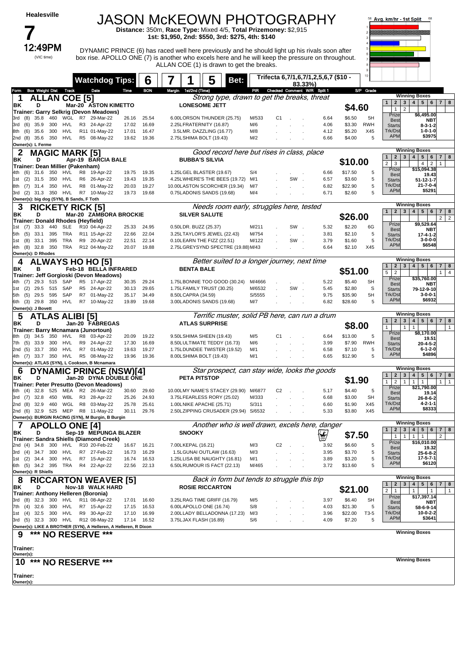### **7**<br>12:49PM (VIC time)

## JASON McKEOWN PHOTOGRAPHY **Distance:** 350m, **Race Type:** Mixed 4/5, **Total Prizemoney:** \$2,915

**1st: \$1,950, 2nd: \$550, 3rd: \$275, 4th: \$140**

12:49PM DYNAMIC PRINCE (6) has raced well here previously and he should light up his rivals soon after box rise. APOLLO ONE (7) is another who excels here and he will keep the pressure on throughout. ALLAN COE (1) is drawn to get the breaks.



|                                                                                                                                                                                                                                                                | <b>Watchdog Tips:</b>                |                | 6              |        |                        | 5<br>Bet:                                               |                 |                |                                                           | Trifecta 6,7/1,6,7/1,2,5,6,7 (\$10 - |                    | 10 <sub>10</sub> |                                                                   |                                                                                                                         |
|----------------------------------------------------------------------------------------------------------------------------------------------------------------------------------------------------------------------------------------------------------------|--------------------------------------|----------------|----------------|--------|------------------------|---------------------------------------------------------|-----------------|----------------|-----------------------------------------------------------|--------------------------------------|--------------------|------------------|-------------------------------------------------------------------|-------------------------------------------------------------------------------------------------------------------------|
| <b>Box Weight Dist Track</b><br>Form                                                                                                                                                                                                                           | Date                                 | Time           | <b>BON</b>     | Margin | 1st/2nd (Time)         |                                                         |                 |                | 83.33%)<br>PIR Checked Comment W/R Split 1                |                                      |                    | S/P Grade        |                                                                   |                                                                                                                         |
| <b>ALLAN COE [5]</b>                                                                                                                                                                                                                                           |                                      |                |                |        |                        | Strong type, drawn to get the breaks, threat            |                 |                |                                                           |                                      |                    |                  |                                                                   | <b>Winning Boxes</b>                                                                                                    |
| ΒK<br>D                                                                                                                                                                                                                                                        | Mar-20 ASTON KIMETTO                 |                |                |        |                        | <b>LONESOME JETT</b>                                    |                 |                |                                                           |                                      |                    |                  | $\overline{2}$<br>3 <br>$\mathbf{1}$                              | 4   5   6   7   8                                                                                                       |
| Trainer: Garry Selkrig (Devon Meadows)                                                                                                                                                                                                                         |                                      |                |                |        |                        |                                                         |                 |                |                                                           |                                      | \$4.60             |                  | $\mathbf{1}$<br>$\overline{2}$                                    |                                                                                                                         |
| 460<br>35.8<br>3rd<br>(8)                                                                                                                                                                                                                                      | WGL R7 29-Mar-22                     | 26.16          | 25.54          |        |                        | 6.00LORSON THUNDER (25.75)                              | M/533           | C <sub>1</sub> |                                                           | 6.64                                 | \$6.50             | 5H               | Prize<br><b>Best</b>                                              | \$6,495.00<br>NBT                                                                                                       |
| (6)<br>35.9<br>300<br>HVL<br>3rd                                                                                                                                                                                                                               | R3 24-Apr-22                         | 17.02          | 16.69          |        |                        | 2.25LFRATERNITY (16.87)                                 | M/6             |                |                                                           | 4.06                                 | \$3.30             | <b>RWH</b>       | <b>Starts</b>                                                     | $8 - 3 - 1 - 2$                                                                                                         |
| (6)<br>35.6<br>300<br>HVL<br>8th                                                                                                                                                                                                                               | R11 01-May-22                        | 17.01          | 16.47          |        |                        | 3.5LMR. DAZZLING (16.77)                                | M/8             |                |                                                           | 4.12                                 | \$5.20             | X45              | Trk/Dst<br><b>APM</b>                                             | $1 - 0 - 1 - 0$<br>\$3975                                                                                               |
| (8)<br>350 HVL<br>35.6<br>2nd<br>Owner(s): L Ferme                                                                                                                                                                                                             | R5 08-May-22                         | 19.62          | 19.36          |        |                        | 2.75LSHIMA BOLT (19.43)                                 | M/2             |                |                                                           | 6.66                                 | \$4.00             | 5                |                                                                   |                                                                                                                         |
|                                                                                                                                                                                                                                                                |                                      |                |                |        |                        | Good record here but rises in class, place              |                 |                |                                                           |                                      |                    |                  |                                                                   | <b>Winning Boxes</b>                                                                                                    |
| 2<br><b>MAGIC MARK [5]</b><br>ΒK<br>D                                                                                                                                                                                                                          | Apr-19 BARCIA BALE                   |                |                |        | <b>BUBBA'S SILVIA</b>  |                                                         |                 |                |                                                           |                                      |                    |                  | 2 <sub>1</sub><br>3 <br>$\mathbf{1}$                              | 5 <sup>1</sup><br>4<br>$6\phantom{.}6$<br>7 <sup>1</sup><br>8                                                           |
| Trainer: Dean Millier (Pakenham)                                                                                                                                                                                                                               |                                      |                |                |        |                        |                                                         |                 |                |                                                           |                                      | \$10.00            |                  | $\overline{2}$<br>3                                               | $\overline{2}$<br>$\overline{4}$<br>$\mathbf 1$                                                                         |
| 350 HVL<br>(6)<br>31.6<br>4th                                                                                                                                                                                                                                  | R8 19-Apr-22                         | 19.75          | 19.35          |        |                        | 1.25LGEL BLASTER (19.67)                                | S/4             |                |                                                           | 6.66                                 | \$17.50            | 5                | Prize<br><b>Best</b>                                              | \$15,094.38<br>19.43                                                                                                    |
| 350 HVL<br>(2)<br>31.5<br>1st                                                                                                                                                                                                                                  | R6 26-Apr-22                         | 19.43          | 19.35          |        |                        | 4.25LWHERE'S THE BEES (19.72)                           | M/1             |                | SW                                                        | 6.57                                 | \$3.60             | 5                | <b>Starts</b>                                                     | $51 - 12 - 1 - 7$                                                                                                       |
| 350 HVL<br>(7)<br>31.4<br>8th                                                                                                                                                                                                                                  | R8 01-May-22                         | 20.03          | 19.27          |        |                        | 10.00LASTON SCORCHER (19.34)                            | M/7             |                |                                                           | 6.82                                 | \$22.90            | 5                | Trk/Dst                                                           | $21 - 7 - 0 - 4$                                                                                                        |
| (2) 31.3 350 HVL<br>3rd                                                                                                                                                                                                                                        | R7 10-May-22                         | 19.73          | 19.68          |        |                        | 0.75LADONIS SANDS (19.68)                               | M/4             |                |                                                           | 6.71                                 | \$2.60             | 5                | <b>APM</b>                                                        | \$5291                                                                                                                  |
| Owner(s): big dog (SYN), B Sands, F Toth                                                                                                                                                                                                                       |                                      |                |                |        |                        |                                                         |                 |                |                                                           |                                      |                    |                  |                                                                   |                                                                                                                         |
| <b>Winning Boxes</b><br>Needs room early, struggles here, tested<br>3<br><b>RICKETY RICK [5]</b><br>4 <br>5 <sup>1</sup><br>$6\phantom{1}$<br>2 <sub>1</sub><br>3 <sup>1</sup><br>$7 \mid 8$<br>$\mathbf{1}$<br><b>SILVER SALUTE</b><br>Mar-20 ZAMBORA BROCKIE |                                      |                |                |        |                        |                                                         |                 |                |                                                           |                                      |                    |                  |                                                                   |                                                                                                                         |
| D<br>BK<br>Trainer: Donald Rhodes (Heyfield)                                                                                                                                                                                                                   |                                      |                |                |        |                        |                                                         |                 |                |                                                           |                                      | \$26.00            |                  |                                                                   | $\overline{2}$<br>2 <sup>1</sup>                                                                                        |
| 33.3<br>440<br>SLE<br>1st (7)                                                                                                                                                                                                                                  | R10 04-Apr-22                        | 25.33          | 24.95          |        | 0.50LDR. BUZZ (25.37)  |                                                         | M/211           |                | SW.                                                       | 5.32                                 | \$2.20             | 6G               | Prize                                                             | \$9,529.64                                                                                                              |
| 395<br>TRA<br>(5)<br>33.1<br>5th                                                                                                                                                                                                                               | R11 15-Apr-22                        | 22.66          | 22.04          |        |                        | 3.25LTAYLOR'S JEWEL (22.43)                             | M/754           |                | $\mathcal{L}^{\text{max}}$ and $\mathcal{L}^{\text{max}}$ | 3.81                                 | \$2.10             | 5                | <b>Best</b><br><b>Starts</b>                                      | NBT<br>$17 - 4 - 1 - 2$                                                                                                 |
| 33.1<br>395<br>TRA<br>(8)<br>1st                                                                                                                                                                                                                               | R9 20-Apr-22                         | 22.51          | 22.14          |        |                        | 0.10LEARN THE FIZZ (22.51)                              | M/122           |                | SW.                                                       | 3.79                                 | \$1.60             | 5                | Trk/Dst                                                           | $3 - 0 - 0 - 0$                                                                                                         |
| 4th (8)<br>32.8 350<br>TRA                                                                                                                                                                                                                                     | R12 04-May-22                        | 20.07          | 19.88          |        |                        | 2.75LGREYSYND SPECTRE (19.88) M/43                      |                 |                |                                                           | 6.64                                 | \$2.10             | X45              | <b>APM</b>                                                        | \$6548                                                                                                                  |
| Owner(s): D Rhodes                                                                                                                                                                                                                                             |                                      |                |                |        |                        |                                                         |                 |                |                                                           |                                      |                    |                  |                                                                   |                                                                                                                         |
| 4                                                                                                                                                                                                                                                              | <b>ALWAYS HO HO [5]</b>              |                |                |        |                        | Better suited to a longer journey, next time            |                 |                |                                                           |                                      |                    |                  | 2 <br>3 <br>$\mathbf{1}$                                          | <b>Winning Boxes</b><br>4 <br>5 <sup>1</sup><br>$6\phantom{.}6$<br>7 <br>8                                              |
| ΒK<br>в                                                                                                                                                                                                                                                        | Feb-18 BELLA INFRARED                |                |                |        | <b>BENTA BALE</b>      |                                                         |                 |                |                                                           |                                      | \$51.00            |                  | $\overline{2}$<br>5                                               | 4<br>1                                                                                                                  |
| Trainer: Jeff Gorgioski (Devon Meadows)<br>515<br>29.3<br>SAP<br>(7)                                                                                                                                                                                           | R5 17-Apr-22                         | 30.35          | 29.24          |        |                        | 1.75LBONNIE TOO GOOD (30.24)                            | M/4666          |                |                                                           | 5.22                                 | \$5.40             | <b>SH</b>        | Prize                                                             | \$35,760.00                                                                                                             |
| 515 SAP<br>(2)<br>29.5<br>1st                                                                                                                                                                                                                                  | R5 24-Apr-22                         | 30.13          | 29.65          |        |                        | 1.75LFAMILY TRUST (30.25)                               | M/6532          |                | SW                                                        | 5.45                                 | \$2.80             | S                | <b>Best</b><br><b>Starts</b>                                      | NBT<br>79-12-9-10                                                                                                       |
| 595 SAP<br>(5)<br>29.5<br>5th                                                                                                                                                                                                                                  | R7 01-May-22                         | 35.17          | 34.49          |        | 8.50LCAPRA (34.59)     |                                                         | S/5555          |                |                                                           | 9.75                                 | \$35.90            | 5H               | Trk/Dst                                                           | $3 - 0 - 0 - 1$                                                                                                         |
| 29.8 350 HVL<br>(3)<br>6th                                                                                                                                                                                                                                     | R7 10-May-22                         | 19.89          | 19.68          |        |                        | 3.00LADONIS SANDS (19.68)                               | M/7             |                |                                                           | 6.82                                 | \$28.60            | 5                | <b>APM</b>                                                        | \$6932                                                                                                                  |
| Owner(s): J Bovett                                                                                                                                                                                                                                             |                                      |                |                |        |                        |                                                         |                 |                |                                                           |                                      |                    |                  |                                                                   |                                                                                                                         |
| <b>ATLAS ALIBI [5]</b><br>5                                                                                                                                                                                                                                    |                                      |                |                |        |                        | Terrific muster, solid PB here, can run a drum          |                 |                |                                                           |                                      |                    |                  | $\mathbf{2}$<br>3 <sup>1</sup><br>$\mathbf{1}$                    | <b>Winning Boxes</b><br>4 <br>5 <sup>1</sup><br>6<br>7 <sup>1</sup><br>8                                                |
| BK<br>D                                                                                                                                                                                                                                                        | Jan-20 FABREGAS                      |                |                |        |                        | <b>ATLAS SURPRISE</b>                                   |                 |                |                                                           |                                      | \$8.00             |                  | $\mathbf{1}$<br>1                                                 | $\mathbf{1}$<br>$\mathbf{1}$                                                                                            |
| Trainer: Barry Mcnamara (Junortoun)<br>34.5<br>350<br>HVL<br>8th                                                                                                                                                                                               | R8 03-Apr-22                         | 20.09          | 19.22          |        |                        | 9.50LSHIMA SHEEN (19.43)                                | M/5             | C <sub>1</sub> |                                                           | 6.64                                 | \$13.00            | 5                | Prize                                                             | \$8,170.00                                                                                                              |
| (3)<br>300 HVL<br>(5)<br>33.9<br>7th                                                                                                                                                                                                                           | R9 24-Apr-22                         | 17.30          | 16.69          |        |                        | 8.50LULTIMATE TEDDY (16.73)                             | M/6             |                |                                                           | 3.99                                 | \$7.90             | <b>RWH</b>       | <b>Best</b>                                                       | 19.51                                                                                                                   |
| (5)<br>33.7<br>350 HVL<br>2nd                                                                                                                                                                                                                                  | R7 01-May-22                         | 19.63          | 19.27          |        |                        | 1.75LDUNDEE TWISTER (19.52)                             | M/1             |                |                                                           | 6.58                                 | \$7.10             | 5                | <b>Starts</b><br>Trk/Dst                                          | $20 - 4 - 5 - 2$<br>$6 - 1 - 2 - 0$                                                                                     |
| 4th (7) 33.7 350 HVL                                                                                                                                                                                                                                           | R5 08-May-22                         | 19.96          | 19.36          |        |                        | 8.00LSHIMA BOLT (19.43)                                 | M/1             |                |                                                           | 6.65                                 | \$12.90            | 5                | <b>APM</b>                                                        | \$4896                                                                                                                  |
| Owner(s): ATLAS (SYN), L Cookson, B Mcnamara                                                                                                                                                                                                                   |                                      |                |                |        |                        |                                                         |                 |                |                                                           |                                      |                    |                  |                                                                   |                                                                                                                         |
| 6                                                                                                                                                                                                                                                              | <b>DYNAMIC PRINCE (NSW)[4]</b>       |                |                |        |                        | Star prospect, can stay wide, looks the goods           |                 |                |                                                           |                                      |                    |                  | 2 <br>3 <br>$\mathbf{1}$                                          | <b>Winning Boxes</b><br>4<br>5 <sup>5</sup><br>6<br>7 <br>8                                                             |
| D<br>ΒK                                                                                                                                                                                                                                                        | Jan-20 DYNA DOUBLE ONE               |                |                |        | <b>PETA PITSTOP</b>    |                                                         |                 |                |                                                           |                                      | \$1.90             |                  | $\overline{2}$<br>1<br>1                                          | 1<br>$\mathbf{1}$<br>$\mathbf{1}$<br>$\mathbf{1}$                                                                       |
| Trainer: Peter Presutto (Devon Meadows)<br>32.8                                                                                                                                                                                                                |                                      |                |                |        |                        | 10.00LMY NAME'S STACEY (29.90)                          |                 | C <sub>2</sub> |                                                           |                                      |                    |                  | Prize                                                             | \$21,790.00                                                                                                             |
| 6th<br>(4)<br>32.8<br>WBL<br>3rd<br>(7)<br>450                                                                                                                                                                                                                 | 525 MEA R2 26-Mar-22<br>R3 28-Apr-22 | 30.60<br>25.26 | 29.60<br>24.93 |        |                        | 3.75LFEARLESS RORY (25.02)                              | M/6877<br>M/333 |                |                                                           | 5.17<br>6.68                         | \$4.40<br>\$3.00   | 5<br><b>SH</b>   | <b>Best</b>                                                       | 19.14                                                                                                                   |
| 460<br>2nd (8)<br>32.9<br>WGL                                                                                                                                                                                                                                  | R8 03-May-22                         | 25.78          | 25.61          |        |                        | 1.00LNIKE APACHE (25.71)                                | S/311           |                |                                                           | 6.60                                 | \$1.90             | X45              | <b>Starts</b><br>Trk/Dst                                          | $26 - 8 - 6 - 2$<br>4-2-1-1                                                                                             |
| 525 MEP<br>(6)<br>32.9<br>2nd                                                                                                                                                                                                                                  | R8 11-May-22                         | 30.11          | 29.76          |        |                        | 2.50LZIPPING CRUSADER (29.94) S/6532                    |                 |                |                                                           | 5.33                                 | \$3.80             | X45              | <b>APM</b>                                                        | \$8333                                                                                                                  |
| Owner(s): BURGIN RACING (SYN), M Burgin, B Burgin                                                                                                                                                                                                              |                                      |                |                |        |                        |                                                         |                 |                |                                                           |                                      |                    |                  |                                                                   |                                                                                                                         |
| 7<br><b>APOLLO ONE [4]</b>                                                                                                                                                                                                                                     |                                      |                |                |        |                        | Another who is well drawn, excels here, danger          |                 |                |                                                           |                                      |                    |                  |                                                                   | <b>Winning Boxes</b>                                                                                                    |
| BK<br>D                                                                                                                                                                                                                                                        | Sep-19 MEPUNGA BLAZER                |                |                |        | <b>SNOOKY</b>          |                                                         |                 |                |                                                           | $\mathbf{\Psi}$                      | \$7.50             |                  | $\mathbf{1}$<br>$\mathbf{2}$<br>3<br>$\mathbf{1}$<br>$\mathbf{1}$ | 5 <sup>5</sup><br>6<br>8<br>$\overline{\mathbf{4}}$<br>7 <sup>1</sup><br>$\overline{2}$<br>$\mathbf{1}$<br>$\mathbf{1}$ |
| Trainer: Sandra Shiells (Diamond Creek)                                                                                                                                                                                                                        |                                      |                |                |        |                        |                                                         |                 |                |                                                           |                                      |                    |                  | Prize                                                             | \$16,010.00                                                                                                             |
| 2nd (4) 34.8<br>300 HVL<br>3rd (4) 34.7 300 HVL                                                                                                                                                                                                                | R10 20-Feb-22<br>R7 27-Feb-22        | 16.67<br>16.73 | 16.21<br>16.29 |        | 7.00LKEPAL (16.21)     | 1.5LGUNAI OUTLAW (16.63)                                | M/3<br>M/3      | C2             |                                                           | 3.92<br>3.95                         | \$6.60<br>\$3.70   | 5<br>5           | Best                                                              | 19.32                                                                                                                   |
| 1st (2) 34.4 300 HVL                                                                                                                                                                                                                                           | R7 15-Apr-22                         | 16.74          | 16.53          |        |                        | 1.25LLISA BE NAUGHTY (16.81)                            | M/1             |                |                                                           | 3.89                                 | \$3.20             | 5                | <b>Starts</b><br>Trk/Dst                                          | $25 - 6 - 8 - 2$<br>$17 - 5 - 7 - 1$                                                                                    |
| 6th (5) 34.2 395 TRA                                                                                                                                                                                                                                           | R4 22-Apr-22                         | 22.56          | 22.13          |        |                        | 6.50LRUMOUR IS FACT (22.13)                             | M/465           |                |                                                           | 3.72                                 | \$13.60            | 5                | <b>APM</b>                                                        | \$6120                                                                                                                  |
| Owner(s): R Shiells                                                                                                                                                                                                                                            |                                      |                |                |        |                        |                                                         |                 |                |                                                           |                                      |                    |                  |                                                                   |                                                                                                                         |
| 8                                                                                                                                                                                                                                                              | <b>RICCARTON WEAVER [5]</b>          |                |                |        |                        | Back in form but tends to struggle this trip            |                 |                |                                                           |                                      |                    |                  |                                                                   | <b>Winning Boxes</b>                                                                                                    |
| BK<br>D                                                                                                                                                                                                                                                        | Nov-18 WALK HARD                     |                |                |        |                        | <b>ROSIE RICCARTON</b>                                  |                 |                |                                                           |                                      | \$21.00            |                  | 2 <br>3 <br>$\mathbf{1}$<br>$\overline{2}$<br>$\mathbf{1}$        | 4 <br>5 <sup>1</sup><br>$6\phantom{.}6$<br>$7 \mid 8$<br>$\mathbf{1}$<br>$\mathbf{1}$<br>$\mathbf{1}$                   |
| Trainer: Anthony Helleren (Boronia)                                                                                                                                                                                                                            |                                      |                |                |        |                        |                                                         |                 |                |                                                           |                                      |                    |                  | Prize                                                             | \$17,397.14                                                                                                             |
| 3rd (8) 32.3 300 HVL                                                                                                                                                                                                                                           | R11 08-Apr-22<br>R7 15-Apr-22        | 17.01          | 16.60          |        |                        | 3.25LRAG TIME GRIFF (16.79)                             | M/5             |                |                                                           | 3.97                                 | \$6.40             | SН               | Best                                                              | NBT                                                                                                                     |
| $(4)$ 32.6<br>300 HVL<br>7th<br>1st (4) 32.5 300 HVL                                                                                                                                                                                                           | R9 30-Apr-22                         | 17.15<br>17.10 | 16.53<br>16.99 |        |                        | 6.00LAPOLLO ONE (16.74)<br>2.00LLADY BELLADONNA (17.23) | S/8<br>M/3      |                |                                                           | 4.03<br>3.96                         | \$21.30<br>\$22.00 | 5<br>T3-5        | <b>Starts</b><br>Trk/Dst                                          | 58-6-9-14<br>$10-0-2-2$                                                                                                 |
| 3rd (5) 32.3 300 HVL R12 08-May-22                                                                                                                                                                                                                             |                                      | 17.14          | 16.52          |        | 3.75LJAX FLASH (16.89) |                                                         | S/6             |                |                                                           | 4.09                                 | \$7.20             | 5                | <b>APM</b>                                                        | \$3641                                                                                                                  |
| Owner(s): LIKE A BROTHER (SYN), A Helleren, A Helleren, R Dixon                                                                                                                                                                                                |                                      |                |                |        |                        |                                                         |                 |                |                                                           |                                      |                    |                  |                                                                   |                                                                                                                         |
| 9                                                                                                                                                                                                                                                              | *** NO RESERVE ***                   |                |                |        |                        |                                                         |                 |                |                                                           |                                      |                    |                  |                                                                   | <b>Winning Boxes</b>                                                                                                    |
|                                                                                                                                                                                                                                                                |                                      |                |                |        |                        |                                                         |                 |                |                                                           |                                      |                    |                  |                                                                   |                                                                                                                         |
| Trainer:                                                                                                                                                                                                                                                       |                                      |                |                |        |                        |                                                         |                 |                |                                                           |                                      |                    |                  |                                                                   |                                                                                                                         |
| Owner(s):                                                                                                                                                                                                                                                      |                                      |                |                |        |                        |                                                         |                 |                |                                                           |                                      |                    |                  |                                                                   | <b>Winning Boxes</b>                                                                                                    |
| 10 *** NO RESERVE ***                                                                                                                                                                                                                                          |                                      |                |                |        |                        |                                                         |                 |                |                                                           |                                      |                    |                  |                                                                   |                                                                                                                         |
| Trainer:                                                                                                                                                                                                                                                       |                                      |                |                |        |                        |                                                         |                 |                |                                                           |                                      |                    |                  |                                                                   |                                                                                                                         |
| Owner(s):                                                                                                                                                                                                                                                      |                                      |                |                |        |                        |                                                         |                 |                |                                                           |                                      |                    |                  |                                                                   |                                                                                                                         |
|                                                                                                                                                                                                                                                                |                                      |                |                |        |                        |                                                         |                 |                |                                                           |                                      |                    |                  |                                                                   |                                                                                                                         |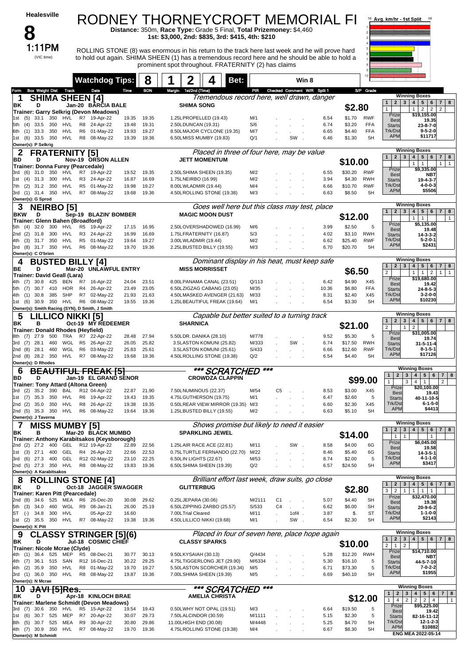| <b>Healesville</b><br>8                                                            |                                                                                                 |                                  | RODNEY THORNEYCROFT MEMORIAL FI<br>Distance: 350m, Race Type: Grade 5 Final, Total Prizemoney: \$4,460<br>1st: \$3,000, 2nd: \$835, 3rd: \$415, 4th: \$210 |                                                                       |                  |                                 |                 |               |                    |                          | 58 Avg. km/hr - 1st Split                                                      | 68                                                                                                                         |
|------------------------------------------------------------------------------------|-------------------------------------------------------------------------------------------------|----------------------------------|------------------------------------------------------------------------------------------------------------------------------------------------------------|-----------------------------------------------------------------------|------------------|---------------------------------|-----------------|---------------|--------------------|--------------------------|--------------------------------------------------------------------------------|----------------------------------------------------------------------------------------------------------------------------|
| 1:11PM<br>(VIC time)                                                               | to hold out again. SHIMA SHEEN (1) has a tremendous record here and he should be able to hold a |                                  | ROLLING STONE (8) was enormous in his return to the track here last week and he will prove hard<br>prominent spot throughout. FRATERNITY (2) has claims    |                                                                       |                  |                                 |                 |               |                    |                          |                                                                                |                                                                                                                            |
|                                                                                    | <b>Watchdog Tips:</b>                                                                           | 8                                | 2                                                                                                                                                          | Bet:                                                                  |                  |                                 | Win 8           |               |                    |                          |                                                                                |                                                                                                                            |
| <b>Box Weight Dist</b><br>Track<br>Form                                            | Date                                                                                            | <b>BON</b><br>Time               | Margin 1st/2nd (Time)                                                                                                                                      | Tremendous record here, well drawn, danger                            |                  | PIR Checked Comment W/R Split 1 |                 |               |                    | S/P Grade                |                                                                                | <b>Winning Boxes</b>                                                                                                       |
| <b>SHIMA SHEEN [4]</b><br>-1<br>ΒK<br>D                                            | Jan-20 BARCIA BALE                                                                              |                                  | <b>SHIMA SONG</b>                                                                                                                                          |                                                                       |                  |                                 |                 |               | \$2.80             |                          | 2 <sub>1</sub><br>$3^{\circ}$<br>$\mathbf{1}$<br>$\mathbf{1}$                  | 4 <br>$5^{\circ}$<br>$6\phantom{.}6$<br>$\overline{7}$<br>8                                                                |
| Trainer: Garry Selkrig (Devon Meadows)<br>33.1<br>350<br>HVL<br>(5)<br>1st         | R7<br>19-Apr-22                                                                                 | 19.35<br>19.35                   | 1.25LPROPELLED (19.43)                                                                                                                                     |                                                                       | M/1              |                                 |                 | 6.54          | \$1.70             | <b>RWF</b>               | Prize                                                                          | $\overline{2}$<br>$\overline{2}$<br>2<br>1<br>\$19,155.00                                                                  |
| 350<br><b>HVL</b><br>(4)<br>33.5<br>5th                                            | R8 24-Apr-22                                                                                    | 19.31<br>19.48                   | 2.50LDUNCAN (19.31)                                                                                                                                        |                                                                       | S/6              |                                 |                 | 6.74          | \$3.20             | <b>FFA</b>               | <b>Best</b><br><b>Starts</b>                                                   | 19.35<br>23-8-7-0                                                                                                          |
| 350<br><b>HVL</b><br>$(1)$ 33.3<br>6th                                             | R <sub>6</sub><br>01-May-22                                                                     | 19.27<br>19.93                   |                                                                                                                                                            | 8.50LMAJOR CYCLONE (19.35)                                            | M/7              |                                 |                 | 6.65          | \$4.40             | <b>FFA</b>               | Trk/Dst<br><b>APM</b>                                                          | $9 - 5 - 2 - 0$<br>\$11717                                                                                                 |
| 350<br>HVL<br>$(6)$ 33.5<br>1st<br>Owner(s): P Selkrig                             | R8 08-May-22                                                                                    | 19.36<br>19.39                   | 6.50LMISS MUMBY (19.83)                                                                                                                                    |                                                                       | Q/1              |                                 | SW              | 6.46          | \$1.30             | 5H                       |                                                                                |                                                                                                                            |
| 2<br><b>FRATERNITY [5]</b>                                                         |                                                                                                 |                                  |                                                                                                                                                            | Placed in three of four here, may be value                            |                  |                                 |                 |               |                    |                          | 1<br>$\overline{2}$<br>3                                                       | <b>Winning Boxes</b><br>$\overline{\mathbf{4}}$<br>5 <sub>5</sub><br>6<br>$\overline{7}$<br>8                              |
| BD<br>D<br>Trainer: Donna Furey (Pearcedale)                                       | Nov-19 ORSON ALLEN                                                                              |                                  |                                                                                                                                                            | <b>JETT MOMENTUM</b>                                                  |                  |                                 |                 |               | \$10.00            |                          |                                                                                | $\mathbf{1}$<br>$\mathbf{1}$<br>$\mathbf{1}$<br>$\mathbf{1}$                                                               |
| 31.0<br>350<br>HVL<br>3rd<br>(6)<br>300<br><b>HVL</b>                              | R7 19-Apr-22<br>R3 24-Apr-22                                                                    | 19.35<br>19.52                   | 2.50LSHIMA SHEEN (19.35)<br>1.75LNEIRBO (16.99)                                                                                                            |                                                                       | M/2<br>M/2       |                                 |                 | 6.55<br>3.94  | \$30.20<br>\$4.30  | <b>RWF</b><br><b>RWH</b> | Prize<br><b>Best</b>                                                           | \$9,335.00<br>NBT                                                                                                          |
| (4)<br>31.3<br>1st<br>350<br>HVL<br>(2)<br>31.2<br>7th                             | R <sub>5</sub><br>01-May-22                                                                     | 16.69<br>16.87<br>19.98<br>19.27 | 8.00LWLADMIR (19.44)                                                                                                                                       |                                                                       | M/4              |                                 |                 | 6.66          | \$10.70            | <b>RWF</b>               | <b>Starts</b><br>Trk/Dst                                                       | 19-4-3-7<br>4-0-0-3                                                                                                        |
| 3rd (1) 31.4<br>350<br>HVL                                                         | R7 08-May-22                                                                                    | 19.68<br>19.36                   |                                                                                                                                                            | 4.50LROLLING STONE (19.38)                                            | M/3              |                                 |                 | 6.63          | \$8.50             | 5H                       | <b>APM</b>                                                                     | \$5506                                                                                                                     |
| Owner(s): G Sprod<br><b>NEIRBO [5]</b><br>3                                        |                                                                                                 |                                  |                                                                                                                                                            | Goes well here but this class may test, place                         |                  |                                 |                 |               |                    |                          |                                                                                | <b>Winning Boxes</b>                                                                                                       |
| <b>BKW</b><br>D                                                                    | Sep-19 BLAZIN' BOMBER                                                                           |                                  |                                                                                                                                                            | <b>MAGIC MOON DUST</b>                                                |                  |                                 |                 |               | \$12.00            |                          | $\mathbf{2}$<br>3<br>$\mathbf{1}$                                              | $\overline{\mathbf{4}}$<br>5 <sub>5</sub><br>$\overline{7}$<br>8<br>6<br>$\mathbf{1}$<br>1<br>$\mathbf{1}$                 |
| Trainer: Glenn Bahen (Broadford)<br>32.0<br>300<br>HVL<br>5th (4)                  | R <sub>5</sub><br>19-Apr-22                                                                     | 16.95<br>17.15                   |                                                                                                                                                            | 2.50LOVERSHADOWED (16.99)                                             | M/6              |                                 |                 | 3.99          | \$2.50             | 5                        | Prize<br><b>Best</b>                                                           | \$5,135.00<br>19.48                                                                                                        |
| 300<br>HVL<br>2nd (2)<br>31.8                                                      | R3 24-Apr-22                                                                                    | 16.99<br>16.69                   | 1.75LFRATERNITY (16.87)                                                                                                                                    |                                                                       | S/3              |                                 |                 | 4.02          | \$3.10             | <b>RWH</b>               | <b>Starts</b>                                                                  | $14 - 3 - 3 - 2$                                                                                                           |
| 350<br>HVL<br>(3)<br>31.7<br>4th<br>3rd (8) 31.7 350<br>HVL                        | R <sub>5</sub><br>01-May-22<br>R6 08-May-22                                                     | 19.27<br>19.64<br>19.36<br>19.70 | 3.00LWLADMIR (19.44)<br>2.25LBUSTED BILLY (19.55)                                                                                                          |                                                                       | M/2<br>M/3       |                                 |                 | 6.62<br>6.70  | \$25.40<br>\$20.70 | <b>RWF</b><br>5H         | Trk/Dst<br><b>APM</b>                                                          | 5-2-0-1<br>\$2431                                                                                                          |
| Owner(s): C O'brien                                                                |                                                                                                 |                                  |                                                                                                                                                            |                                                                       |                  |                                 |                 |               |                    |                          |                                                                                | <b>Winning Boxes</b>                                                                                                       |
| <b>BUSTED BILLY [4]</b><br>BE<br>D                                                 | Mar-20 UNLAWFUL ENTRY                                                                           |                                  |                                                                                                                                                            | Dominant display in his heat, must keep safe<br><b>MISS MORRISSET</b> |                  |                                 |                 |               |                    |                          | $\mathbf{1}$<br>$\mathbf{2}$<br>3                                              | 5 <sub>5</sub><br>4 <sup>1</sup><br>6<br>$\overline{7}$<br>8                                                               |
| Trainer: David Geall (Lara)                                                        |                                                                                                 |                                  |                                                                                                                                                            |                                                                       |                  |                                 |                 |               | \$6.50             |                          | $\overline{2}$<br>Prize                                                        | $\mathbf{1}$<br>1<br>$\mathbf{1}$<br>$\overline{2}$<br>$\mathbf{1}$<br>\$19,680.00                                         |
| 30.8<br>425<br>4th<br>(7)<br>BEN<br><b>HOR</b><br>30.7<br>410<br>(7)<br>5th        | 16-Apr-22<br>R7<br>R4<br>26-Apr-22                                                              | 24.04<br>23.51<br>23.05<br>23.49 |                                                                                                                                                            | 8.00LPANAMA CANAL (23.51)<br>6.50LZIGZAG CABANG (23.05)               | Q/113<br>M/35    |                                 |                 | 6.42<br>10.36 | \$4.90<br>\$6.80   | X45<br><b>FFA</b>        | <b>Best</b><br><b>Starts</b>                                                   | 19.42<br>24-8-5-3                                                                                                          |
| 30.8<br>385<br>SHP<br>(1)<br>4th                                                   | R7<br>02-May-22                                                                                 | 21.63<br>21.93                   |                                                                                                                                                            | 4.50LMASKED AVENGER (21.63)                                           | M/33             |                                 |                 | 8.31          | \$2.40             | X45                      | Trk/Dst                                                                        | $3 - 2 - 0 - 0$                                                                                                            |
| 350<br>HVL<br>(6)<br>30.9<br>1st<br>Owner(s): Smith Racing (SYN), D Smith, J Smith | R <sub>6</sub><br>08-May-22                                                                     | 19.55<br>19.36                   |                                                                                                                                                            | 1.25LBEAUTIFUL FREAK (19.64)                                          | M/1              |                                 |                 | 6.54          | \$3.30             | 5H                       | <b>APM</b>                                                                     | \$10230                                                                                                                    |
| 5<br><b>LILLICO NIKKI [5]</b>                                                      |                                                                                                 |                                  |                                                                                                                                                            | Capable but better suited to a turning track                          |                  |                                 |                 |               |                    |                          |                                                                                | <b>Winning Boxes</b>                                                                                                       |
| ΒK<br>в                                                                            | Oct-19 MY REDEEMER                                                                              |                                  | <b>SHARNICA</b>                                                                                                                                            |                                                                       |                  |                                 |                 |               | \$21.00            |                          | $\mathbf{2}$<br>$\mathbf{3}$<br>$\mathbf{1}$<br>$\overline{2}$<br>$\mathbf{1}$ | 4 <br>5 <sub>5</sub><br>$\overline{7}$<br>8<br>6<br>$\overline{2}$                                                         |
| <b>Trainer: Donald Rhodes (Heyfield)</b><br>27.9<br>500<br>TRA<br>8th (7)          | R7 22-Apr-22                                                                                    | 27.94<br>28.48                   | 5.50LDR. DANIKA (28.10)                                                                                                                                    |                                                                       | M/778            |                                 |                 | 9.52          | \$5.30             | 5                        | Prize<br><b>Best</b>                                                           | \$31,005.00<br>19.74                                                                                                       |
| WGL<br>28.1<br>460<br>(7)<br>3rd                                                   | 26-Apr-22<br>R <sub>5</sub>                                                                     | 26.05<br>25.82                   |                                                                                                                                                            | 3.5LASTON KOMUNI (25.82)                                              | M/333            |                                 | SW              | 6.74          | \$17.50            | <b>RWH</b>               | <b>Starts</b><br>Trk/Dst                                                       | $31 - 5 - 11 - 4$<br>$8 - 1 - 5 - 1$                                                                                       |
| WGL<br>2nd (8) 28.1<br>460<br>2nd(8)<br>28.2<br>350<br><b>HVL</b>                  | R <sub>6</sub><br>03-May-22<br>R7<br>08-May-22                                                  | 25.83<br>25.61<br>19.68<br>19.36 |                                                                                                                                                            | 3.5LASTON KOMUNI (25.61)<br>4.50LROLLING STONE (19.38)                | S/433<br>Q/2     |                                 |                 | 6.66<br>6.54  | \$12.60<br>\$4.40  | <b>RWF</b><br>5H         | <b>APM</b>                                                                     | \$17126                                                                                                                    |
| Owner(s): D Rhodes                                                                 |                                                                                                 |                                  |                                                                                                                                                            |                                                                       | ***              |                                 |                 |               |                    |                          |                                                                                | <b>Winning Boxes</b>                                                                                                       |
| 6<br><del>BEAUTIFUL</del><br>BD<br>D                                               | Jan-19 EL GRAND SENOR                                                                           |                                  |                                                                                                                                                            | <b>SCRATCHED</b><br><b>CROWDZA CLAPPIN</b>                            |                  |                                 |                 |               |                    | \$99.00                  | $\mathbf{1}$<br>$\overline{2}$                                                 | 5 <sub>5</sub><br>3<br>$\overline{\mathbf{4}}$<br>6<br>$\overline{7}$<br>8                                                 |
| Trainer: Tony Attard (Altona Green)                                                |                                                                                                 |                                  |                                                                                                                                                            |                                                                       |                  |                                 |                 |               |                    |                          | $\mathbf{1}$<br>Prize                                                          | 3<br>$\overline{4}$<br>$\overline{2}$<br>$\mathbf{1}$<br>\$20,100.00                                                       |
| (2)<br>35.2 390<br><b>BAL</b><br>3rd<br><b>HVL</b><br>35.3<br>350<br>(7)<br>1st    | R12 04-Apr-22<br>R6 19-Apr-22                                                                   | 21.90<br>22.87<br>19.35<br>19.43 | 7.50LNUMINOUS (22.37)<br>4.75LGUTHERSON (19.75)                                                                                                            |                                                                       | M/54<br>M/1      | C <sub>5</sub>                  |                 | 8.53<br>6.47  | \$3.00<br>\$2.60   | X45<br>5                 | <b>Best</b><br><b>Starts</b>                                                   | 19.43<br>40-11-10-5                                                                                                        |
| 350<br><b>HVL</b><br>2nd (2)<br>35.0                                               | R8 26-Apr-22                                                                                    | 19.38<br>19.35                   |                                                                                                                                                            | 0.50LREAR VIEW MIRROR (19.35)                                         | M/3              |                                 |                 | 6.60          | \$2.30             | X45                      | Trk/Dst<br><b>APM</b>                                                          | $6 - 1 - 5 - 0$<br>\$4413                                                                                                  |
| 2nd $(5)$<br>35.3<br>350<br><b>HVL</b><br>Owner(s): J Taverna                      | R <sub>6</sub><br>08-May-22                                                                     | 19.36<br>19.64                   | 1.25LBUSTED BILLY (19.55)                                                                                                                                  |                                                                       | M/2              |                                 |                 | 6.63          | \$5.10             | 5H                       |                                                                                |                                                                                                                            |
| <b>MISS MUMBY [5]</b><br>7                                                         |                                                                                                 |                                  |                                                                                                                                                            | Shows promise but likely to need it easier                            |                  |                                 |                 |               |                    |                          | $\mathbf{1}$<br>$\mathbf{2}$<br>$\mathbf{3}$                                   | <b>Winning Boxes</b><br>4 <br>$5\overline{ }$<br>$6\phantom{.}6$<br>$\overline{7}$<br>8                                    |
| ΒK<br>в<br>Trainer: Anthony Karabitsakos (Keysborough)                             | Mar-20 BLACK MUMBO                                                                              |                                  |                                                                                                                                                            | <b>SPARKLING JEWEL</b>                                                |                  |                                 |                 |               | \$14.00            |                          | $\mathbf{1}$                                                                   | $\mathbf{1}$                                                                                                               |
| GEL<br>2nd (2) 27.2<br>400                                                         | R12 19-Apr-22                                                                                   | 22.56<br>22.89                   | 1.25LAIR RACE ACE (22.81)                                                                                                                                  |                                                                       | M/11             |                                 | SW.             | 8.58          | \$4.00             | 6G                       | Prize<br><b>Best</b>                                                           | \$6,045.00<br>19.58                                                                                                        |
| GEL<br>$(3)$ 27.1<br>400<br>∣1st<br>GEL<br>$(6)$ 27.3<br>400<br>3rd                | R4 26-Apr-22<br>R12 02-May-22                                                                   | 22.66<br>22.53<br>22.25<br>23.10 | 6.50LIN LIGHTS (22.67)                                                                                                                                     | 0.75LTURTLE FERNANDO (22.70)                                          | M/22<br>M/53     |                                 |                 | 8.46<br>8.74  | \$5.40<br>\$2.00   | 6G<br>5                  | <b>Starts</b><br>Trk/Dst                                                       | $14 - 3 - 5 - 1$<br>4-1-1-0                                                                                                |
| 2nd (5) 27.3 350<br>HVL                                                            | R8 08-May-22                                                                                    | 19.83<br>19.36                   | 6.50LSHIMA SHEEN (19.39)                                                                                                                                   |                                                                       | Q/2              |                                 |                 | 6.57          | \$24.50            | 5H                       | <b>APM</b>                                                                     | \$3417                                                                                                                     |
| Owner(s): A Karabitsakos<br>8                                                      | <b>ROLLING STONE [4]</b>                                                                        |                                  |                                                                                                                                                            | Brilliant effort last week, draw suits, go close                      |                  |                                 |                 |               |                    |                          |                                                                                | <b>Winning Boxes</b>                                                                                                       |
| ΒK<br>D                                                                            | Oct-18 JAGGER SWAGGER                                                                           |                                  | <b>GLITTERBUG</b>                                                                                                                                          |                                                                       |                  |                                 |                 |               | \$2.80             |                          | $\mathbf{2}$<br>3<br>$\mathbf{1}$<br>3<br>$\overline{2}$<br>$\mathbf{1}$       | $\overline{4}$<br>$5^{\circ}$<br>6<br>$\overline{7}$<br>8<br>1<br>$\mathbf{1}$<br>$\overline{1}$                           |
| Trainer: Karen Pitt (Pearcedale)<br>34.6<br>525<br>MEA<br>2nd<br>(8)               | R <sub>6</sub><br>26-Dec-20                                                                     | 30.08<br>29.62                   | 0.25LJEPARA (30.06)                                                                                                                                        |                                                                       | M/2111           | C <sub>1</sub>                  |                 | 5.07          | \$4.40             | SH                       | Prize<br><b>Best</b>                                                           | \$32,470.00<br>19.38                                                                                                       |
| 5th (3)<br>34.0<br>460<br>WGL                                                      | R9<br>08-Jan-21                                                                                 | 26.00<br>25.19                   |                                                                                                                                                            | 6.50LZIPPING ZARBO (25.57)                                            | S/533            | C <sub>4</sub>                  |                 | 6.62          | \$6.00             | SН                       | <b>Starts</b>                                                                  | 20-9-6-2                                                                                                                   |
| 300<br><b>HVL</b><br>lSТ<br>34.8<br>$(-)$<br>1st $(2)$<br>35.5<br>350<br>HVL       | 05-Apr-22<br>R7 08-May-22                                                                       | 16.60<br>19.38<br>19.36          | 7.00LTrial Cleared<br>4.50LLILLICO NIKKI (19.68)                                                                                                           |                                                                       | M/11<br>M/1      |                                 | $10f4$ .<br>SW. | 3.87<br>6.54  | \$.<br>\$2.30      | <b>ST</b><br>5H          | Trk/Dst<br><b>APM</b>                                                          | $1 - 1 - 0 - 0$<br>\$2143                                                                                                  |
| Owner(s): K Pitt                                                                   |                                                                                                 |                                  |                                                                                                                                                            |                                                                       |                  |                                 |                 |               |                    |                          |                                                                                | <b>Winning Boxes</b>                                                                                                       |
| 9<br>D<br>ΒK                                                                       | <b>CLASSY STRINGER [5](6)</b><br>Jul-18 COSMIC CHIEF                                            |                                  | <b>CLASSY SPARKS</b>                                                                                                                                       | Placed in four of seven here, place hope again                        |                  |                                 |                 |               |                    |                          | $\mathbf{2}$<br>3<br>$\mathbf{1}$                                              | 4 <br>$5\overline{ }$<br>$6\phantom{.}6$<br>$\overline{7}$<br>8                                                            |
| Trainer: Nicole Mcrae (Clyde)                                                      |                                                                                                 |                                  |                                                                                                                                                            |                                                                       |                  |                                 |                 |               | \$10.00            |                          | $\overline{2}$<br>$\overline{2}$<br>$\overline{1}$<br>Prize                    | \$14,710.00                                                                                                                |
| 36.4<br>525<br>MEP<br>4th (1)<br>4th (7)<br>36.1<br>515<br>SAN                     | R5 08-Dec-21<br>R12 16-Dec-21                                                                   | 30.13<br>30.77<br>30.22<br>29.25 | 9.50LKYSAIAH (30.13)                                                                                                                                       | 4.75LTIGGERLONG JET (29.90)                                           | Q/4434<br>M/6334 |                                 |                 | 5.28<br>5.30  | \$12.20<br>\$16.10 | <b>RWH</b><br>5          | <b>Best</b><br><b>Starts</b>                                                   | NBT<br>44-5-7-10                                                                                                           |
| (2)<br>35.9<br>350<br>HVL<br>4th                                                   | R8 01-May-22                                                                                    | 19.27<br>19.70                   |                                                                                                                                                            | 5.50LASTON SCORCHER (19.34)                                           | M/5              |                                 |                 | 6.71          | \$73.30            | 5                        | Trk/Dst<br><b>APM</b>                                                          | $7 - 0 - 2 - 2$<br>\$1955                                                                                                  |
| 3rd (1) 36.0 350<br>HVL<br>Owner(s): N Mcrae                                       | R8 08-May-22                                                                                    | 19.87<br>19.36                   | 7.00LSHIMA SHEEN (19.39)                                                                                                                                   |                                                                       | M/5              |                                 |                 | 6.69          | \$40.10            | 5H                       |                                                                                |                                                                                                                            |
| <del>[5]Res.</del><br>10                                                           |                                                                                                 |                                  |                                                                                                                                                            | *** SCRATCHED                                                         | ***              |                                 |                 |               |                    |                          |                                                                                | <b>Winning Boxes</b><br>3                                                                                                  |
| BK<br>D<br>Trainer: Marlene Schmidt (Devon Meadows)                                | Apr-18 KINLOCH BRAE                                                                             |                                  |                                                                                                                                                            | <b>AMELIA CHRISTA</b>                                                 |                  |                                 |                 |               |                    | \$12.00                  | $\mathbf{1}$<br>$\overline{2}$<br>$\mathbf{1}$<br>$\overline{4}$               | 4<br>5 <sub>5</sub><br>6<br>$\overline{7}$<br>8<br>$\overline{2}$<br>$\overline{2}$<br>$\overline{2}$<br>$\mathbf{1}$<br>4 |
| 30.6<br>350<br>(7)<br>HVL<br>3rd                                                   | R5<br>15-Apr-22                                                                                 | 19.54<br>19.43                   | 0.50LWHY NOT OPAL (19.51)                                                                                                                                  |                                                                       | M/3              |                                 |                 | 6.64          | \$19.50            | 5                        | Prize<br><b>Best</b>                                                           | \$95,225.00<br>19.42                                                                                                       |
| <b>MEP</b><br>(6)<br>30.7<br>525<br>1st<br>(5)<br>30.7<br>525<br>MEA<br>8th        | R7 20-Apr-22<br>30-Apr-22<br>R9                                                                 | 29.73<br>30.07<br>30.80<br>29.86 | 7.50LALCINDOR (30.59)<br>11.00LHIGH END (30.08)                                                                                                            |                                                                       | M/1111<br>M/4448 |                                 |                 | 5.15<br>5.25  | \$2.30<br>\$4.70   | 5<br>5H                  | <b>Starts</b><br>Trk/Dst                                                       | 82-16-11-12<br>$12 - 1 - 2 - 3$                                                                                            |
| 30.9<br>350<br><b>HVL</b><br>4th (7)                                               | R7 08-May-22                                                                                    | 19.36<br>19.70                   |                                                                                                                                                            | 4.75LROLLING STONE (19.38)                                            | M/4              |                                 |                 | 6.67          | \$8.30             | 5H                       | <b>APM</b>                                                                     | \$10882                                                                                                                    |
| Owner(s): M Schmidt                                                                |                                                                                                 |                                  |                                                                                                                                                            |                                                                       |                  |                                 |                 |               |                    |                          |                                                                                | ENG MEA 2022-05-14                                                                                                         |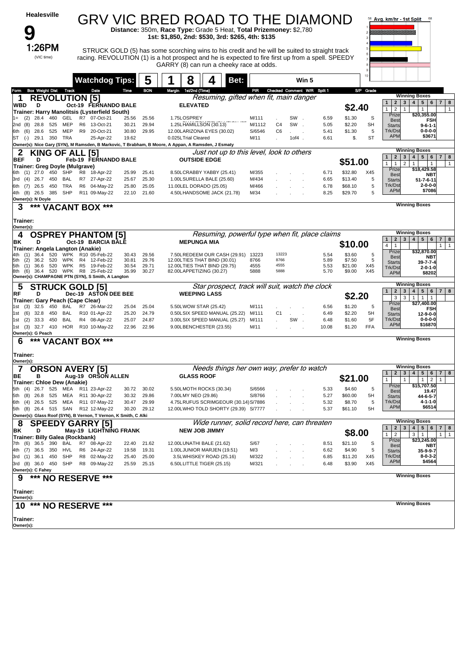| <b>Healesville</b>                                                                      |                                                |                                  | GRV VIC BRED ROAD TO THE DIAMOND<br>Distance: 350m, Race Type: Grade 5 Heat, Total Prizemoney: \$2,780                                        |                                   |            |               |                                      | 58 Avg. km/hr - 1st Split<br>68                                                                                            |
|-----------------------------------------------------------------------------------------|------------------------------------------------|----------------------------------|-----------------------------------------------------------------------------------------------------------------------------------------------|-----------------------------------|------------|---------------|--------------------------------------|----------------------------------------------------------------------------------------------------------------------------|
|                                                                                         |                                                |                                  | 1st: \$1,850, 2nd: \$530, 3rd: \$265, 4th: \$135                                                                                              |                                   |            |               |                                      |                                                                                                                            |
| 1:26PM                                                                                  |                                                |                                  | STRUCK GOLD (5) has some scorching wins to his credit and he will be suited to straight track                                                 |                                   |            |               |                                      |                                                                                                                            |
| (VIC time)                                                                              |                                                |                                  | racing. REVOLUTION (1) is a hot prospect and he is expected to fire first up from a spell. SPEEDY<br>GARRY (8) can run a cheeky race at odds. |                                   |            |               |                                      |                                                                                                                            |
|                                                                                         | <b>Watchdog Tips:</b>                          | 5                                | 8<br>Bet:                                                                                                                                     |                                   | Win 5      |               |                                      |                                                                                                                            |
| <b>Box Weight Dist Track</b><br>Form                                                    | Date                                           | <b>BON</b><br>Time               | Margin 1st/2nd (Time)                                                                                                                         | PIR Checked Comment W/R Split 1   |            |               | S/P Grade                            |                                                                                                                            |
| <b>REVOLUTION [5]</b><br>D                                                              | Oct-19 FERNANDO BALE                           |                                  | Resuming, gifted when fit, main danger<br><b>ELEVATED</b>                                                                                     |                                   |            |               |                                      | <b>Winning Boxes</b><br>$\overline{2}$<br>4   5   6   7<br>8<br>1<br>3 <sup>1</sup>                                        |
| WBD<br>Trainer: Harry Manolitsis (Lysterfield South)                                    |                                                |                                  |                                                                                                                                               |                                   |            |               | \$2.40                               | $\overline{2}$<br>1<br>$\mathbf{1}$<br>$\mathbf{1}$<br>Prize<br>\$20,355.00                                                |
| GEL<br>(2)<br>28.4<br>460<br>28.8<br>2nd (8)<br>525<br>MEP                              | R7 07-Oct-21<br>R6<br>13-Oct-21                | 25.56<br>25.56<br>30.21<br>29.94 | 1.75LOSPREY<br>1.25LHAMILLSON (30.13)                                                                                                         | M/111<br>M/1112<br>C <sub>4</sub> | SW.<br>SW. | 6.59<br>5.05  | \$1.30<br>S<br>\$2.20<br><b>SH</b>   | <b>FSH</b><br><b>Best</b><br><b>Starts</b><br>$9 - 6 - 1 - 1$                                                              |
| 525<br>MEP<br>(6)<br>28.6<br>6th<br>ST (-)<br>29.1<br>350<br>TRA                        | R9<br>20-Oct-21<br>25-Apr-22                   | 30.80<br>29.95<br>19.62          | 12.00LARIZONA EYES (30.02)<br>0.025LTrial Cleared                                                                                             | S/6546<br>C <sub>6</sub><br>M/11  | $10f4$ .   | 5.41<br>6.61  | \$1.30<br>5<br>\$.<br><b>ST</b>      | Trk/Dst<br>$0 - 0 - 0 - 0$<br><b>APM</b><br>\$3671                                                                         |
|                                                                                         |                                                |                                  | Owner(s): Nice Gary (SYN), M Ramsden, B Markovic, T Brabham, B Moore, A Appan, A Ramsden, J Esmaty                                            |                                   |            |               |                                      | <b>Winning Boxes</b>                                                                                                       |
| 2<br>KING OF ALL [5]<br><b>BEF</b><br>D                                                 | Feb-19 FERNANDO BALE                           |                                  | Just not up to this level, look to others<br><b>OUTSIDE EDGE</b>                                                                              |                                   |            |               | \$51.00                              | $\overline{2}$<br>4   5   6<br>$\overline{7}$<br>1<br>$3^{\circ}$<br>8                                                     |
| <b>Trainer: Greg Doyle (Mulgrave)</b><br>450 SHP<br>27.0<br>6th (1)                     | R8<br>18-Apr-22                                | 25.41<br>25.99                   | 8.50LCRABBY YABBY (25.41)                                                                                                                     | M/355                             |            | 6.71          | \$32.80<br>X45                       | 1 <sup>1</sup><br>$\mathbf{1}$<br>$\overline{2}$<br>$\mathbf{1}$<br>$\overline{1}$<br>$\mathbf{1}$<br>Prize<br>\$18,429.58 |
| 26.7<br>BAL<br>3rd<br>(4)<br>450                                                        | R7 27-Apr-22                                   | 25.30<br>25.67                   | 1.00LSURELLA BALE (25.60)                                                                                                                     | M/434                             |            | 6.65          | \$13.40<br>5                         | <b>Best</b><br>NBT<br><b>Starts</b><br>$51 - 7 - 6 - 11$                                                                   |
| 26.5<br>TRA<br>6th (7)<br>450<br>4th (8) 26.5<br>SHP<br>385                             | R <sub>6</sub><br>04-May-22<br>R11 09-May-22   | 25.05<br>25.80<br>22.10<br>21.60 | 11.00LEL DORADO (25.05)<br>4.50LHANDSOME JACK (21.78)                                                                                         | M/466<br>M/34                     |            | 6.78<br>8.25  | \$68.10<br>5<br>\$29.70<br>5         | Trk/Dst<br>$2 - 0 - 0 - 0$<br><b>APM</b><br>\$7086                                                                         |
| Owner(s): N Doyle<br>***<br>3                                                           | <b>VACANT BOX ***</b>                          |                                  |                                                                                                                                               |                                   |            |               |                                      | <b>Winning Boxes</b>                                                                                                       |
|                                                                                         |                                                |                                  |                                                                                                                                               |                                   |            |               |                                      |                                                                                                                            |
| Trainer:<br>Owner(s):                                                                   |                                                |                                  |                                                                                                                                               |                                   |            |               |                                      |                                                                                                                            |
| <b>OSPREY PHANTOM [5]</b><br>ΒK<br>D                                                    | Oct-19 BARCIA BALE                             |                                  | Resuming, powerful type when fit, place claims<br><b>MEPUNGA MIA</b>                                                                          |                                   |            |               |                                      | <b>Winning Boxes</b><br>$3 \mid 4 \mid 5 \mid 6$<br>$\overline{2}$<br>1<br>$\overline{7}$<br>8                             |
| Trainer: Angela Langton (Anakie)                                                        |                                                |                                  |                                                                                                                                               |                                   |            |               | \$10.00                              | 4 <sup>1</sup><br>$\mathbf{1}$<br>$\overline{1}$<br>1<br>Prize<br>\$32,870.00                                              |
| 36.4<br>520<br>WPK<br>(2)<br>36.2<br>520<br>WPK<br>5th                                  | R10 05-Feb-22<br>R4<br>12-Feb-22               | 30.43<br>29.56<br>30.81<br>29.76 | 7.50LREDEEM OUR CASH (29.91) 13223<br>12.00LTIES THAT BIND (30.01)                                                                            | 13223<br>8766<br>8766             |            | 5.54<br>5.89  | \$3.60<br>5<br>5<br>\$7.50           | <b>Best</b><br><b>NBT</b><br><b>Starts</b><br>$39 - 7 - 7 - 4$                                                             |
| <b>WPK</b><br>5th<br>(1)<br>36.6<br>520<br>520 WPK<br>36.4<br>8th<br>(6)                | R <sub>5</sub><br>19-Feb-22<br>R8<br>25-Feb-22 | 30.54<br>29.71<br>30.27<br>35.99 | 12.00LTIES THAT BIND (29.75)<br>82.00LAPPETIZING (30.27)                                                                                      | 4555<br>4555<br>5888<br>5888      |            | 5.53<br>5.70  | \$21.00<br>X45<br>\$9.00<br>X45      | Trk/Dst<br>$2 - 0 - 1 - 0$<br><b>APM</b><br>\$8202                                                                         |
| Owner(s): CHAMPAGNE PTN (SYN), S Smith, A Langton<br><b>STRUCK GOLD [5]</b><br>5        |                                                |                                  | Star prospect, track will suit, watch the clock                                                                                               |                                   |            |               |                                      | <b>Winning Boxes</b>                                                                                                       |
| RF<br>D                                                                                 | Dec-19 ASTON DEE BEE                           |                                  | <b>WEEPING LASS</b>                                                                                                                           |                                   |            |               | \$2.20                               | 4   5   6   7   8<br>2 <sup>1</sup><br>3 <br>$\mathbf{1}$<br>3<br>$1$   1<br>3<br>$\overline{1}$                           |
| Trainer: Gary Peach (Cape Clear)<br>32.5<br>BAL<br>(3)<br>450<br>1st                    | R7 26-Mar-22                                   | 25.04<br>25.04                   | 5.50LWOW STAR (25.42)                                                                                                                         | M/111                             |            | 6.56          | \$1.20<br>5                          | Prize<br>\$27,400.00<br><b>FSH</b><br><b>Best</b>                                                                          |
| (6)<br>32.8<br>450<br>BAL<br>1st                                                        | R10 01-Apr-22                                  | 24.79<br>25.20                   | 0.50LSIX SPEED MANUAL (25.22)                                                                                                                 | C <sub>1</sub><br>M/111           |            | 6.49          | \$2.20<br>5H                         | <b>Starts</b><br>12-9-0-0<br>Trk/Dst<br>$0 - 0 - 0 - 0$                                                                    |
| <b>BAL</b><br>33.3<br>450<br>(2)<br>1st<br>HOR<br>1st (3) 32.7 410                      | R4 08-Apr-22<br>R10 10-May-22                  | 25.07<br>24.87<br>22.96<br>22.96 | 3.00LSIX SPEED MANUAL (25.27)<br>9.00LBENCHESTER (23.55)                                                                                      | M/111<br>M/11                     | SW.        | 6.48<br>10.08 | 5F<br>\$1.60<br><b>FFA</b><br>\$1.20 | <b>APM</b><br>\$16870                                                                                                      |
| Owner(s): G Peach<br>***<br>6<br><b>VACANT BOX</b>                                      | ***                                            |                                  |                                                                                                                                               |                                   |            |               |                                      | <b>Winning Boxes</b>                                                                                                       |
| Trainer:                                                                                |                                                |                                  |                                                                                                                                               |                                   |            |               |                                      |                                                                                                                            |
| Owner(s):                                                                               |                                                |                                  |                                                                                                                                               |                                   |            |               |                                      | <b>Winning Boxes</b>                                                                                                       |
| 7<br><b>ORSON AVERY [5]</b><br>BE<br>в                                                  | Aug-19 ORSON ALLEN                             |                                  | Needs things her own way, prefer to watch<br><b>GLASS ROOF</b>                                                                                |                                   |            |               | \$21.00                              | $\overline{2}$<br>4   5   6  <br>1<br>$3^{\circ}$<br>$\overline{7}$<br>8                                                   |
| Trainer: Chloe Dew (Anakie)                                                             |                                                |                                  |                                                                                                                                               |                                   |            |               |                                      | 1<br>$\overline{2}$<br>$\mathbf{1}$<br>$\mathbf{1}$<br>Prize<br>\$15,707.50                                                |
| 5th (4) 26.7 525 MEA R11 23-Apr-22<br>5th (8)<br>26.8<br>525<br>MEA                     | R11 30-Apr-22                                  | 30.02<br>30.72<br>30.32<br>29.86 | 5.50LMOTH ROCKS (30.34)<br>7.00LMY NEO (29.86)                                                                                                | S/6566<br>S/8766                  |            | 5.33<br>5.27  | \$4.60<br>5<br>5H<br>\$60.00         | Best<br>19.47<br>44-6-5-7<br><b>Starts</b>                                                                                 |
| 6th (4) 26.5 525 MEA                                                                    | R11 07-May-22                                  | 29.99<br>30.47                   | 4.75LRUFUS SCRIMGEOUR (30.14) S/7886                                                                                                          |                                   |            | 5.32          | \$8.70<br>5                          | Trk/Dst<br>$4 - 1 - 1 - 0$<br><b>APM</b><br>\$6514                                                                         |
| 5th (8) 26.4 515 SAN<br>Owner(s): Glass Roof (SYN), B Vernon, T Vernon, K Smith, C Alki | R12 12-May-22                                  | 30.20<br>29.12                   | 12.00LWHO TOLD SHORTY (29.39) S/7777                                                                                                          |                                   |            | 5.37          | \$61.10<br>5H                        |                                                                                                                            |
| <b>SPEEDY GARRY [5]</b><br>8                                                            |                                                |                                  | Wide runner, solid record here, can threaten                                                                                                  |                                   |            |               |                                      | <b>Winning Boxes</b><br>4   5   6   7   8<br>2 <sup>1</sup><br>3 <sup>1</sup><br>1 <sup>1</sup>                            |
| ΒK<br>D<br>Trainer: Billy Galea (Rockbank)                                              | May-19 LIGHTNING FRANK                         |                                  | <b>NEW JOB JIMMY</b>                                                                                                                          |                                   |            |               | \$8.00                               | $1 \mid 2$<br>$3 \mid 1$<br>$\overline{1}$<br>1                                                                            |
| 36.5<br>390<br>BAL<br>7th (6)                                                           | R7 08-Apr-22                                   | 21.62<br>22.40                   | 12.00LUNATHI BALE (21.62)                                                                                                                     | S/67                              |            | 8.51          | \$21.10<br>S                         | Prize<br>\$23,245.00<br><b>Best</b><br>NBT                                                                                 |
| HVL<br>4th (7)<br>36.5<br>350                                                           | R6 24-Apr-22<br>R8 02-May-22                   | 19.58<br>19.31                   | 1.00LJUNIOR MARJEN (19.51)                                                                                                                    | M/3                               |            | 6.62          | \$4.90<br>5                          | 35-9-9-7<br><b>Starts</b><br>Trk/Dst<br>$8 - 0 - 3 - 2$                                                                    |
| 3rd (1) 36.1<br>450<br>SHP<br>3rd (8) 36.0 450 SHP                                      | R8 09-May-22                                   | 25.40<br>25.00<br>25.59 25.15    | 3.5LWHISKEY ROAD (25.16)<br>6.50LLITTLE TIGER (25.15)                                                                                         | M/322<br>M/321                    |            | 6.85<br>6.48  | \$11.20<br>X45<br>\$3.90<br>X45      | <b>APM</b><br>\$4564                                                                                                       |
| Owner(s): C Fahey<br>9<br>***                                                           | <b>NO RESERVE ***</b>                          |                                  |                                                                                                                                               |                                   |            |               |                                      | <b>Winning Boxes</b>                                                                                                       |
|                                                                                         |                                                |                                  |                                                                                                                                               |                                   |            |               |                                      |                                                                                                                            |
| Trainer:<br>Owner(s):                                                                   |                                                |                                  |                                                                                                                                               |                                   |            |               |                                      |                                                                                                                            |
| ***<br>10                                                                               | <b>NO RESERVE ***</b>                          |                                  |                                                                                                                                               |                                   |            |               |                                      | <b>Winning Boxes</b>                                                                                                       |
| Trainer:<br>Owner(s):                                                                   |                                                |                                  |                                                                                                                                               |                                   |            |               |                                      |                                                                                                                            |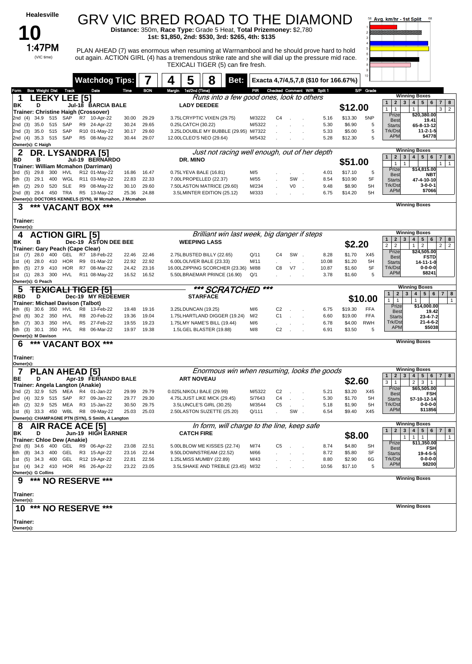| Healesville                                                                            |                                                            |                       |                      | GRV VIC BRED ROAD TO THE DIAMOND<br>Distance: 350m, Race Type: Grade 5 Heat, Total Prizemoney: \$2,780                                                                                                                                 |                  |                                       |                      |                                       |                    |                          | Avg. km/hr - 1st Split                                                   | 68                                                                                 |
|----------------------------------------------------------------------------------------|------------------------------------------------------------|-----------------------|----------------------|----------------------------------------------------------------------------------------------------------------------------------------------------------------------------------------------------------------------------------------|------------------|---------------------------------------|----------------------|---------------------------------------|--------------------|--------------------------|--------------------------------------------------------------------------|------------------------------------------------------------------------------------|
| 1:47PM                                                                                 |                                                            |                       |                      | 1st: \$1,850, 2nd: \$530, 3rd: \$265, 4th: \$135                                                                                                                                                                                       |                  |                                       |                      |                                       |                    |                          |                                                                          |                                                                                    |
| (VIC time)                                                                             |                                                            |                       |                      | PLAN AHEAD (7) was enormous when resuming at Warrnambool and he should prove hard to hold<br>out again. ACTION GIRL (4) has a tremendous strike rate and she will dial up the pressure mid race.<br>TEXICALI TIGER (5) can fire fresh. |                  |                                       |                      |                                       |                    |                          |                                                                          |                                                                                    |
|                                                                                        |                                                            | <b>Watchdog Tips:</b> |                      | 5<br>8<br>4<br>Bet:                                                                                                                                                                                                                    |                  |                                       |                      | Exacta 4,7/4,5,7,8 (\$10 for 166.67%) |                    |                          |                                                                          |                                                                                    |
| <b>Box Weight Dist</b><br><b>Track</b><br>Form                                         | Date                                                       | Time                  | <b>BON</b>           | Margin 1st/2nd (Time)                                                                                                                                                                                                                  | PR               |                                       |                      | Checked Comment W/R Split 1           |                    | S/P Grade                |                                                                          | <b>Winning Boxes</b>                                                               |
| <b>LEEKY LEE [5]</b><br>1<br>ΒK<br>D                                                   | Jul-18 BARCIA BALE                                         |                       |                      | Runs into a few good ones, look to others<br><b>LADY DEEDEE</b>                                                                                                                                                                        |                  |                                       |                      |                                       | \$12.00            |                          | 2 <sup>1</sup><br>$\mathbf{1}$<br>3 <sup>1</sup>                         | $4 \mid 5 \mid 6$<br>7 8                                                           |
| Trainer: Christine Haigh (Crossover)<br>34.9<br>515<br>SAP<br>2nd (4)                  | R7 10-Apr-22                                               | 30.00                 | 29.29                | 3.75LCRYPTIC VIXEN (29.75)                                                                                                                                                                                                             | M/3222           | C4<br>$\sim$                          |                      | 5.16                                  | \$13.30            | 5NP                      | $\mathbf{1}$<br>$\mathbf{1}$<br>Prize                                    | 3<br>$\overline{2}$<br>$\mathbf{1}$<br>\$20,380.00                                 |
| SAP<br>2nd (3)<br>35.0<br>515                                                          | R9 24-Apr-22                                               | 30.24                 | 29.65                | 0.25LCATCH (30.22)                                                                                                                                                                                                                     | M/5322           |                                       | $\ddot{\phantom{a}}$ | 5.30                                  | \$6.90             | 5                        | <b>Best</b><br><b>Starts</b>                                             | 19.41<br>65-8-13-12                                                                |
| 35.0 515<br>SAP<br>2nd (3)<br>2nd (4) 35.3 515 SAP<br>Owner(s): C Haigh                | R10 01-May-22<br>R5 08-May-22                              | 30.17<br>30.44        | 29.60<br>29.07       | 3.25LDOUBLE MY BUBBLE (29.95) M/7322<br>12.00LCLEO'S NEO (29.64)                                                                                                                                                                       | M/5432           |                                       |                      | 5.33<br>5.28                          | \$5.00<br>\$12.30  | 5<br>5                   | Trk/Dst<br><b>APM</b>                                                    | $11 - 2 - 1 - 5$<br>\$4778                                                         |
| 2<br>DR. LYSANDRA [5]<br>BD<br>в                                                       | Jul-19 BERNARDO                                            |                       |                      | Just not racing well enough, out of her depth<br>DR. MINO                                                                                                                                                                              |                  |                                       |                      |                                       |                    |                          | $\overline{2}$<br>$\mathbf{1}$<br>3                                      | <b>Winning Boxes</b><br>4 <br>5 <sub>1</sub><br>6<br>$\overline{\phantom{a}}$<br>8 |
| Trainer: William Mcmahon (Darriman)                                                    |                                                            |                       |                      |                                                                                                                                                                                                                                        |                  |                                       |                      |                                       | \$51.00            |                          | $\mathbf{1}$<br>$\mathbf{1}$<br>Prize                                    | $\mathbf{1}$<br>$\mathbf{1}$<br>\$14,815.00                                        |
| 29.8<br>300<br>HVL<br>3rd<br>(5)<br>WGL<br>5th (3)<br>29.1<br>400                      | R12 01-May-22<br>R11 03-May-22                             | 16.86<br>22.83        | 16.47<br>22.33       | 0.75LYEVA BALE (16.81)<br>7.00LPROPELLED (22.37)                                                                                                                                                                                       | M/5<br>M/55      |                                       | SW.                  | 4.01<br>8.54                          | \$17.10<br>\$10.90 | 5<br>5F                  | <b>Best</b><br><b>Starts</b>                                             | <b>NBT</b><br>47-4-10-10                                                           |
| 29.0<br>520<br>SLE<br>(2)<br>4th                                                       | R9 08-May-22                                               | 30.10                 | 29.60                | 7.50LASTON MATRICE (29.60)                                                                                                                                                                                                             | M/234            |                                       | V0                   | 9.48                                  | \$8.90             | 5H                       | Trk/Dst<br><b>APM</b>                                                    | $3 - 0 - 0 - 1$<br>\$7066                                                          |
| 2nd (8) 29.4 450 TRA<br>Owner(s): DOCTORS KENNELS (SYN), W Mcmahon, J Mcmahon          | R5 13-May-22                                               | 25.36                 | 24.88                | 3.5LMINTER EDITION (25.12)                                                                                                                                                                                                             | M/333            |                                       |                      | 6.75                                  | \$14.20            | 5H                       |                                                                          |                                                                                    |
| *** VACANT BOX ***<br>3                                                                |                                                            |                       |                      |                                                                                                                                                                                                                                        |                  |                                       |                      |                                       |                    |                          |                                                                          | <b>Winning Boxes</b>                                                               |
| <b>Trainer:</b><br>Owner(s):                                                           |                                                            |                       |                      |                                                                                                                                                                                                                                        |                  |                                       |                      |                                       |                    |                          |                                                                          |                                                                                    |
| <b>ACTION GIRL [5]</b><br>4<br>ΒK<br>в                                                 |                                                            | Dec-19 ASTON DEE BEE  |                      | Brilliant win last week, big danger if steps<br><b>WEEPING LASS</b>                                                                                                                                                                    |                  |                                       |                      |                                       |                    |                          | $\mathbf{2}$<br>$\mathbf{1}$<br>3                                        | <b>Winning Boxes</b><br>$5 \mid 6$<br>$\overline{4}$<br>$7 \mid 8$                 |
| Trainer: Gary Peach (Cape Clear)<br>1st (7) 28.0                                       |                                                            |                       | 22.46                |                                                                                                                                                                                                                                        |                  | C4                                    | SW.                  |                                       | \$2.20<br>\$1.70   | X45                      | $\overline{2}$<br>$\overline{2}$<br>Prize                                | 2 <sup>1</sup><br>1<br>$\overline{2}$<br>$\vert$ 2<br>\$24,505.00                  |
| 400<br>GEL<br>1st (4)<br>28.0<br>410<br>HOR                                            | R7 18-Feb-22<br>R9 01-Mar-22                               | 22.46<br>22.92        | 22.92                | 2.75LBUSTED BILLY (22.65)<br>6.00LOLIVER BALE (23.33)                                                                                                                                                                                  | Q/11<br>M/11     |                                       | <b>Contractor</b>    | 8.28<br>10.08                         | \$1.20             | 5H                       | <b>Best</b><br><b>Starts</b>                                             | <b>FSTD</b><br>14-11-1-0                                                           |
| HOR<br>(5)<br>27.9<br>410<br>8th<br>1st (1) 28.3 300<br><b>HVL</b>                     | R7<br>08-Mar-22<br>R11 08-May-22                           | 24.42                 | 23.16<br>16.52 16.52 | 16.00LZIPPING SCORCHER (23.36)<br>5.50LBRAEMAR PRINCE (16.90)                                                                                                                                                                          | M/88<br>Q/1      | C8                                    | V7.                  | 10.87<br>3.78                         | \$1.60<br>\$1.60   | 5F<br>5                  | Trk/Dst<br><b>APM</b>                                                    | $0 - 0 - 0 - 0$<br>\$8241                                                          |
| Owner(s): G Peach<br>5                                                                 | <del>HGEK ISI</del>                                        |                       |                      | *** SCRATCHED                                                                                                                                                                                                                          | ***              |                                       |                      |                                       |                    |                          |                                                                          | <b>Winning Boxes</b>                                                               |
| RBD<br>D                                                                               | Dec-19                                                     | <b>MY REDEEMER</b>    |                      | <b>STARFACE</b>                                                                                                                                                                                                                        |                  |                                       |                      |                                       |                    | \$10.00                  | $\overline{2}$<br>$3\overline{3}$<br>$\mathbf{1}$<br>1<br>$\overline{1}$ | 4<br>5 6 <br>$\overline{7}$<br>8<br>$\mathbf{1}$<br>$\mathbf{1}$                   |
| Trainer: Michael Davison (Talbot)<br>4th (6)<br>30.6<br>350<br>HVL                     | R8 13-Feb-22                                               | 19.48                 | 19.16                | 3.25LDUNCAN (19.25)                                                                                                                                                                                                                    | M/6              | C <sub>2</sub>                        |                      | 6.75                                  | \$19.30            | <b>FFA</b>               | Prize<br><b>Best</b>                                                     | \$14,000.00<br>19.42                                                               |
| <b>HVL</b><br>2nd (6)<br>30.2<br>350<br>350<br>HVL<br>5th (7)<br>30.3                  | R <sub>8</sub><br>20-Feb-22<br>R <sub>5</sub><br>27-Feb-22 | 19.36<br>19.55        | 19.04<br>19.23       | 1.75LHARTLAND DIGGER (19.24)<br>1.75LMY NAME'S BILL (19.44)                                                                                                                                                                            | M/2<br>M/6       | C <sub>1</sub><br>$\sim$              | $\mathbf{r}$         | 6.60<br>6.78                          | \$19.00<br>\$4.00  | <b>FFA</b><br><b>RWH</b> | <b>Starts</b><br>Trk/Dst                                                 | 23-4-7-2<br>$21 - 4 - 6 - 2$                                                       |
| 350<br>5th (3) 30.1<br>HVL<br>Owner(s): M Davison                                      | R8 06-Mar-22                                               | 19.97                 | 19.38                | 1.5LGEL BLASTER (19.88)                                                                                                                                                                                                                | M/8              | C <sub>2</sub><br>$\sim$              |                      | 6.91                                  | \$3.50             | 5                        | <b>APM</b>                                                               | \$5038                                                                             |
| ***<br>6                                                                               | 'ACANT BOX                                                 | ***                   |                      |                                                                                                                                                                                                                                        |                  |                                       |                      |                                       |                    |                          |                                                                          | <b>Winning Boxes</b>                                                               |
| Trainer:<br>Owner(s):                                                                  |                                                            |                       |                      |                                                                                                                                                                                                                                        |                  |                                       |                      |                                       |                    |                          |                                                                          |                                                                                    |
| <b>PLAN AHEAD [5]</b>                                                                  |                                                            |                       |                      | Enormous win when resuming, looks the goods                                                                                                                                                                                            |                  |                                       |                      |                                       |                    |                          | $\mathbf{1}$<br>$\overline{2}$                                           | <b>Winning Boxes</b><br>3   4   5   6   7   8                                      |
| BE<br>D<br>Trainer: Angela Langton (Anakie)                                            |                                                            | Apr-19 FERNANDO BALE  |                      | <b>ART NOVEAU</b>                                                                                                                                                                                                                      |                  |                                       |                      |                                       | \$2.60             |                          | 3<br>1<br>Prize                                                          | 2 <br>$3 \mid 1$<br>\$65,505.00                                                    |
| 2nd (2) 32.9 525 MEA<br>3rd (4) 32.9 515 SAP                                           | R4 01-Jan-22<br>R7 09-Jan-22                               | 29.99<br>29.77        | 29.79<br>29.30       | 0.025LNIKOLI BALE (29.99)<br>4.75LJUST LIKE MICK (29.45)                                                                                                                                                                               | M/5322<br>S/7643 | C <sub>2</sub><br>C4<br>$\mathcal{L}$ |                      | 5.21<br>5.30                          | \$3.20<br>\$1.70   | X45<br>5H                | <b>Best</b><br><b>Starts</b>                                             | FSH<br>57-10-12-14                                                                 |
| 4th (2) 32.9 525 MEA R3 15-Jan-22                                                      |                                                            | 30.50                 | 29.75                | 3.5LUNCLE'S GIRL (30.25)                                                                                                                                                                                                               | M/3544           | C <sub>5</sub>                        |                      | 5.18                                  | \$1.90             | 5H                       | Trk/Dst                                                                  | $0 - 0 - 0 - 0$                                                                    |
| 1st (6) 33.3 450 WBL R8 09-May-22<br>Owner(s): CHAMPAGNE PTN (SYN), S Smith, A Langton |                                                            | 25.03                 | 25.03                | 2.50LASTON SUZETTE (25.20)                                                                                                                                                                                                             | Q/111            |                                       | SW.                  | 6.54                                  | \$9.40             | X45                      | <b>APM</b>                                                               | \$11856                                                                            |
| AIR RACE ACE [5]<br>8                                                                  |                                                            |                       |                      | In form, will charge to the line, keep safe                                                                                                                                                                                            |                  |                                       |                      |                                       |                    |                          | $\mathbf{1}$                                                             | <b>Winning Boxes</b><br>2 3 4 5 6 7 8                                              |
| BK<br>D<br>Trainer: Chloe Dew (Anakie)                                                 | Jun-19 HIGH EARNER                                         |                       |                      | <b>CATCH FIRE</b>                                                                                                                                                                                                                      |                  |                                       |                      |                                       | \$8.00             |                          | 1                                                                        | $\mathbf{1}$<br>$\mathbf{1}$<br>$\mathbf{1}$                                       |
| 2nd (6) 34.6 400 GEL                                                                   | R9 06-Apr-22                                               | 23.08                 | 22.51                | 5.00LBLOW ME KISSES (22.74)                                                                                                                                                                                                            | M/74             | C5<br>$\sim$                          |                      | 8.74                                  | \$4.80             | SН                       | Prize<br><b>Best</b>                                                     | \$11,350.00<br><b>FSH</b>                                                          |
| 6th (8) 34.3 400 GEL<br>1st (5) 34.3 400<br>GEL                                        | R3 15-Apr-22<br>R12 19-Apr-22                              | 23.16<br>22.81        | 22.44<br>22.56       | 9.50LDOWNSTREAM (22.52)<br>1.25LMISS MUMBY (22.89)                                                                                                                                                                                     | M/66<br>M/43     |                                       |                      | 8.72<br>8.80                          | \$5.80<br>\$2.90   | SF<br>6G                 | <b>Starts</b><br>Trk/Dst                                                 | 19-4-5-5<br>$0 - 0 - 0 - 0$                                                        |
| 1st (4) 34.2 410 HOR R6 26-Apr-22<br>Owner(s): G Collins                               |                                                            |                       | 23.22 23.05          | 3.5LSHAKE AND TREBLE (23.45) M/32                                                                                                                                                                                                      |                  |                                       |                      | 10.56                                 | \$17.10            | 5                        | <b>APM</b>                                                               | \$8200                                                                             |
| *** NO RESERVE ***<br>9                                                                |                                                            |                       |                      |                                                                                                                                                                                                                                        |                  |                                       |                      |                                       |                    |                          |                                                                          | <b>Winning Boxes</b>                                                               |
| Trainer:<br>Owner(s):                                                                  |                                                            |                       |                      |                                                                                                                                                                                                                                        |                  |                                       |                      |                                       |                    |                          |                                                                          |                                                                                    |
| 10 *** NO RESERVE ***                                                                  |                                                            |                       |                      |                                                                                                                                                                                                                                        |                  |                                       |                      |                                       |                    |                          |                                                                          | <b>Winning Boxes</b>                                                               |
| Trainer:<br>Owner(s):                                                                  |                                                            |                       |                      |                                                                                                                                                                                                                                        |                  |                                       |                      |                                       |                    |                          |                                                                          |                                                                                    |
|                                                                                        |                                                            |                       |                      |                                                                                                                                                                                                                                        |                  |                                       |                      |                                       |                    |                          |                                                                          |                                                                                    |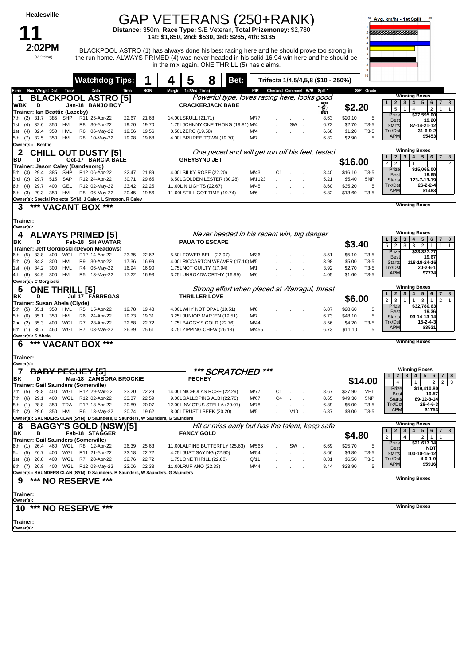| <b>Healesville</b>                                                                                       |                                                |                |                | GAP VETERANS (250+RANK)                                                                                                                                                                                                                     |                |                |            |                                    |                                    | Avg. km/hr - 1st Split                                                                                        | 68                                                                                                                                      |
|----------------------------------------------------------------------------------------------------------|------------------------------------------------|----------------|----------------|---------------------------------------------------------------------------------------------------------------------------------------------------------------------------------------------------------------------------------------------|----------------|----------------|------------|------------------------------------|------------------------------------|---------------------------------------------------------------------------------------------------------------|-----------------------------------------------------------------------------------------------------------------------------------------|
|                                                                                                          |                                                |                |                | Distance: 350m, Race Type: S/E Veteran, Total Prizemoney: \$2,780<br>1st: \$1,850, 2nd: \$530, 3rd: \$265, 4th: \$135                                                                                                                       |                |                |            |                                    |                                    |                                                                                                               |                                                                                                                                         |
| 2:02PM<br>(VIC time)                                                                                     |                                                |                |                | BLACKPOOL ASTRO (1) has always done his best racing here and he should prove too strong in<br>the run home. ALWAYS PRIMED (4) was never headed in his solid 16.94 win here and he should be<br>in the mix again. ONE THRILL (5) has claims. |                |                |            |                                    |                                    |                                                                                                               |                                                                                                                                         |
|                                                                                                          | <b>Watchdog Tips:</b>                          |                |                | 5<br>8<br>Bet:                                                                                                                                                                                                                              |                |                |            | Trifecta 1/4,5/4,5,8 (\$10 - 250%) | 10                                 |                                                                                                               |                                                                                                                                         |
| <b>Box Weight Dist Track</b><br>Form                                                                     | Date                                           | Time           | <b>BON</b>     | Margin 1st/2nd (Time)                                                                                                                                                                                                                       | PIR            |                |            | Checked Comment W/R Split 1        | S/P Grade                          |                                                                                                               |                                                                                                                                         |
| <b>BLACKPOOL ASTRO [5]</b><br>1<br>WBK<br>D                                                              | Jan-18 BANJO BOY                               |                |                | Powerful type, loves racing here, looks good<br><b>CRACKERJACK BABE</b>                                                                                                                                                                     |                |                |            |                                    | \$2.20                             | <b>Winning Boxes</b><br>$\overline{2}$<br>$\mathbf{3}$<br>$\mathbf{1}$                                        | 4 <br>5 <sup>1</sup><br>$\overline{7}$<br>6<br>8                                                                                        |
| Trainer: Ian Beattie (Laceby)<br>385<br>SHP<br>7th<br>(2)<br>31.7                                        | R11 25-Apr-22                                  | 22.67          | 21.68          | 14.00LSKULL (21.71)                                                                                                                                                                                                                         | M/77           |                |            | இ<br>8.63                          | \$20.10                            | 5<br>$\mathbf{1}$<br>Prize<br>5                                                                               | $\overline{4}$<br>$\overline{2}$<br>$\mathbf{1}$<br>$\mathbf{1}$<br>\$27.595.00                                                         |
| 32.6<br>350<br>HVL<br>1st (4)                                                                            | 30-Apr-22<br>R8                                | 19.70          | 19.70          | 1.75LJOHNNY ONE THONG (19.81) M/4                                                                                                                                                                                                           |                |                | SW.        | 6.72                               | \$2.70<br>T3-5                     | <b>Best</b><br><b>Starts</b>                                                                                  | 19.20<br>87-14-21-12                                                                                                                    |
| 350<br><b>HVL</b><br>(4)<br>32.4<br>1st<br>5th (7) 32.5<br>350<br>HVL<br>Owner(s): I Beattie             | R <sub>6</sub><br>06-May-22<br>R8<br>10-May-22 | 19.56<br>19.98 | 19.56<br>19.68 | 0.50LZERO (19.58)<br>4.00LBRUREE TOWN (19.70)                                                                                                                                                                                               | M/4<br>M/7     |                |            | 6.68<br>6.82                       | T3-5<br>\$1.20<br>\$2.90           | Trk/Dst<br><b>APM</b><br>5                                                                                    | $31 - 6 - 9 - 2$<br>\$5453                                                                                                              |
| <b>CHILL OUT DUSTY [5]</b><br>2<br>BD<br>D                                                               | Oct-17 BARCIA BALE                             |                |                | One paced and will get run off his feet, tested<br><b>GREYSYND JET</b>                                                                                                                                                                      |                |                |            |                                    |                                    | $\mathbf{1}$<br>$\overline{2}$<br>3                                                                           | <b>Winning Boxes</b><br>4   5   6   7<br>8                                                                                              |
| Trainer: Jason Caley (Dandenong)                                                                         |                                                |                |                |                                                                                                                                                                                                                                             |                |                |            |                                    | \$16.00                            | $\overline{2}$<br>$\overline{2}$<br>Prize                                                                     | $\overline{2}$<br>$\mathbf{1}$<br>\$15,065.00                                                                                           |
| (3)<br>29.4<br>385<br>SHP<br>5th<br>(2)<br>29.7<br>515<br>SAP<br>3rd                                     | R12 06-Apr-22<br>R12 24-Apr-22                 | 22.47<br>30.71 | 21.89<br>29.65 | 4.00LSILKY ROSE (22.20)<br>6.50LGOLDEN LESTER (30.28)                                                                                                                                                                                       | M/43<br>M/1123 | C <sub>1</sub> | $\sim$ 100 | 8.40<br>5.21                       | \$16.10<br>T3-5<br>5NP<br>\$5.40   | <b>Best</b><br><b>Starts</b>                                                                                  | 19.65<br>123-7-13-19                                                                                                                    |
| 29.7<br>400<br>GEL<br>(4)<br>6th                                                                         | R12 02-May-22                                  | 23.42          | 22.25          | 11.00LIN LIGHTS (22.67)                                                                                                                                                                                                                     | M/45           |                |            | 8.60                               | \$35.20                            | Trk/Dst<br>5<br><b>APM</b>                                                                                    | $26 - 2 - 2 - 4$<br>\$1483                                                                                                              |
| 6th (3) 29.3 350 HVL<br>Owner(s): Special Projects (SYN), J Caley, L Simpson, R Caley                    | R8 06-May-22                                   | 20.45          | 19.56          | 11.00LSTILL GOT TIME (19.74)                                                                                                                                                                                                                | M/6            |                |            | 6.82                               | \$13.60<br>T3-5                    |                                                                                                               |                                                                                                                                         |
| 3                                                                                                        | ***<br><b>BOX</b>                              |                |                |                                                                                                                                                                                                                                             |                |                |            |                                    |                                    | <b>Winning Boxes</b>                                                                                          |                                                                                                                                         |
| Trainer:<br>Owner(s):                                                                                    |                                                |                |                |                                                                                                                                                                                                                                             |                |                |            |                                    |                                    | <b>Winning Boxes</b>                                                                                          |                                                                                                                                         |
| <b>ALWAYS PRIMED [5]</b><br>ΒK<br>D                                                                      | Feb-18 SH AVATAR                               |                |                | Never headed in his recent win, big danger<br><b>PAUA TO ESCAPE</b>                                                                                                                                                                         |                |                |            |                                    |                                    | $\mathbf{2}$<br>3<br>$\mathbf{1}$                                                                             | 4 <sup>1</sup><br>$5 \mid 6$<br>$\overline{7}$<br>8                                                                                     |
| Trainer: Jeff Gorgioski (Devon Meadows)                                                                  |                                                |                |                |                                                                                                                                                                                                                                             |                |                |            |                                    | \$3.40                             | 5<br>$\overline{2}$<br>3<br>Prize                                                                             | 3<br>2<br>$\overline{1}$<br>$\mathbf{1}$<br>$\mathbf{1}$<br>\$33,327.77                                                                 |
| (5)<br>33.8<br>6th<br>(2)<br>34.3<br>300<br>HVL<br>5th                                                   | 400 WGL R12 14-Apr-22<br>R9<br>30-Apr-22       | 23.35<br>17.36 | 22.62<br>16.99 | 5.50LTOWER BELL (22.97)<br>4.00LRICCARTON WEAVER (17.10) M/5                                                                                                                                                                                | M/36           |                |            | 8.51<br>3.98                       | \$5.10<br>$T3-5$<br>T3-5<br>\$5.00 | <b>Best</b><br><b>Starts</b>                                                                                  | 19.67<br>118-18-24-16                                                                                                                   |
| 300<br>HVL<br>(4)<br>34.2<br>1st                                                                         | 06-May-22<br>R4                                | 16.94          | 16.90          | 1.75LNOT GUILTY (17.04)                                                                                                                                                                                                                     | M/1            |                |            | 3.92                               | T3-5<br>\$2.70                     | Trk/Dst<br><b>APM</b>                                                                                         | $20 - 2 - 6 - 1$<br>\$7774                                                                                                              |
| 34.9 300<br>HVL<br>4th<br>(6)<br>Owner(s): C Gorgioski                                                   | R5 13-May-22                                   | 17.22          | 16.93          | 3.25LUNROADWORTHY (16.99)                                                                                                                                                                                                                   | M/6            |                |            | 4.05                               | \$1.60<br>$T3-5$                   |                                                                                                               |                                                                                                                                         |
| <b>ONE THRILL [5]</b><br>5<br>ΒK<br>D<br>Trainer: Susan Abela (Clyde)                                    | Jul-17 FABREGAS                                |                |                | Strong effort when placed at Warragul, threat<br><b>THRILLER LOVE</b>                                                                                                                                                                       |                |                |            |                                    | \$6.00                             | <b>Winning Boxes</b><br>$\overline{2}$<br>$\mathbf{1}$<br>3<br>$\overline{2}$<br>$\mathbf{3}$<br>$\mathbf{1}$ | $5 \mid 6$<br>$\overline{\mathbf{4}}$<br>$\overline{7}$<br>8<br>3<br>$\overline{2}$<br>$\mathbf{1}$<br>$\overline{1}$<br>$\overline{1}$ |
| 35.1<br>350 HVL<br>5th (5)                                                                               | R <sub>5</sub><br>15-Apr-22                    | 19.78          | 19.43          | 4.00LWHY NOT OPAL (19.51)                                                                                                                                                                                                                   | M/8            |                |            | 6.87                               | \$28.60                            | Prize<br>5<br><b>Best</b>                                                                                     | \$32,780.63<br>19.36                                                                                                                    |
| (6)<br>35.1<br>350<br>HVL<br>5th<br>35.3<br>WGL R7<br>(2)<br>400<br>2nd                                  | 24-Apr-22<br>R <sub>6</sub><br>28-Apr-22       | 19.73<br>22.88 | 19.31<br>22.72 | 3.25LJUNIOR MARJEN (19.51)<br>1.75LBAGGY'S GOLD (22.76)                                                                                                                                                                                     | M/7<br>M/44    |                |            | 6.73<br>8.56                       | \$48.10<br>\$4.20<br>T3-5          | 5<br><b>Starts</b><br>Trk/Dst                                                                                 | 93-14-13-14<br>$15 - 2 - 4 - 3$                                                                                                         |
| 6th (1) 35.7 460 WGL R7 03-May-22                                                                        |                                                | 26.39          | 25.61          | 3.75LZIPPING CHEW (26.13)                                                                                                                                                                                                                   | M/455          |                |            | 6.73                               | \$11.10                            | <b>APM</b><br>5                                                                                               | \$3531                                                                                                                                  |
| Owner(s): S Abela<br>***<br><b>VACANT BOX</b>                                                            | ***                                            |                |                |                                                                                                                                                                                                                                             |                |                |            |                                    |                                    | <b>Winning Boxes</b>                                                                                          |                                                                                                                                         |
| Trainer:                                                                                                 |                                                |                |                |                                                                                                                                                                                                                                             |                |                |            |                                    |                                    |                                                                                                               |                                                                                                                                         |
| Owner(s):<br>7<br><b>BABY PECHEY [5]</b>                                                                 |                                                |                |                | *** SCRATCHED                                                                                                                                                                                                                               | $***$          |                |            |                                    |                                    |                                                                                                               | <b>Winning Boxes</b>                                                                                                                    |
| ΒK<br>D                                                                                                  | Mar-18 ZAMBORA BROCKIE                         |                |                | <b>PECHEY</b>                                                                                                                                                                                                                               |                |                |            |                                    | \$14.00                            | 2 <br>3 <sup>1</sup>                                                                                          | 4<br>$5\overline{5}$<br>$6\phantom{.}6$<br>$7 \mid 8$                                                                                   |
| Trainer: Gail Saunders (Somerville)<br>28.8<br>(5)<br>7th                                                | 400 WGL R12 29-Mar-22                          | 23.20          | 22.29          | 14.00LNICHOLAS ROSE (22.29)                                                                                                                                                                                                                 | M/77           | C1             |            | 8.67                               | \$37.90<br><b>VET</b>              | $\overline{4}$<br>Prize                                                                                       | $\overline{2}$<br>2 <br>$\mathbf{3}$<br>$\mathbf{1}$<br>\$19,410.80                                                                     |
| (6)<br>29.1<br>400<br>7th                                                                                | WGL R12 02-Apr-22                              | 23.37          | 22.59          | 9.00LGALLOPING ALBI (22.76)                                                                                                                                                                                                                 | M/67           | C <sub>4</sub> |            | 8.65                               | \$49.30<br>5NP                     | <b>Best</b><br><b>Starts</b>                                                                                  | 19.57<br>89-12-8-14                                                                                                                     |
| 8th (1) 28.8 350<br>TRA                                                                                  | R12 18-Apr-22                                  | 20.89          | 20.07          | 12.00LINVICTUS STELLA (20.07)                                                                                                                                                                                                               | M/78           |                |            | 6.89                               | \$5.00<br>T3-5                     | Trk/Dst<br><b>APM</b>                                                                                         | 28-4-6-3<br>\$1753                                                                                                                      |
| 5th (2) 29.0 350 HVL<br>Owner(s): SAUNDERS CLAN (SYN), D Saunders, B Saunders, W Saunders, G Saunders    | R6 13-May-22                                   | 20.74          | 19.62          | 8.00LTRUST   SEEK (20.20)                                                                                                                                                                                                                   | M/5            |                | V10        | 6.87                               | \$8.00<br>T3-5                     |                                                                                                               |                                                                                                                                         |
| <b>BAGGY'S GOLD (NSW)[5]</b><br>8                                                                        |                                                |                |                | Hit or miss early but has the talent, keep safe                                                                                                                                                                                             |                |                |            |                                    |                                    | <b>Winning Boxes</b><br>$\overline{2}$<br>$3 \mid 4$<br>$\mathbf{1}$                                          | $5 \mid 6$<br>7<br>8                                                                                                                    |
| в<br>ΒK<br>Trainer: Gail Saunders (Somerville)                                                           | Feb-18 STAGGER                                 |                |                | <b>FANCY GOLD</b>                                                                                                                                                                                                                           |                |                |            |                                    | \$4.80                             | $\overline{2}$<br>4                                                                                           | $\overline{2}$<br>$\overline{1}$                                                                                                        |
| 6th (1) 26.4 460 WGL R8 12-Apr-22                                                                        |                                                | 26.39          | 25.63          | 11.00LALPINE BUTTERFLY (25.63)                                                                                                                                                                                                              | M/566          |                | SW.        | 6.69                               | \$25.70                            | Prize<br>5<br><b>Best</b>                                                                                     | \$21,617.14<br>NBT                                                                                                                      |
| 26.7 400<br>$5=$<br>(5)<br>26.8 400<br>(3)<br>1st                                                        | WGL R11 21-Apr-22<br>WGL R7 28-Apr-22          | 23.18<br>22.76 | 22.72<br>22.72 | 4.25LJUST SAYING (22.90)<br>1.75LONE THRILL (22.88)                                                                                                                                                                                         | M/54<br>Q/11   |                |            | 8.66<br>8.31                       | \$6.80<br>T3-5<br>\$6.50<br>T3-5   | <b>Starts</b><br>Trk/Dst                                                                                      | 100-10-15-12<br>$4 - 0 - 1 - 0$                                                                                                         |
| 6th (7) 26.8 400 WGL R12 03-May-22                                                                       |                                                | 23.06          | 22.33          | 11.00LRUFIANO (22.33)                                                                                                                                                                                                                       | M/44           |                |            | 8.44                               | \$23.90                            | <b>APM</b><br>5                                                                                               | \$5916                                                                                                                                  |
| Owner(s): SAUNDERS CLAN (SYN), D Saunders, B Saunders, W Saunders, G Saunders<br>*** NO RESERVE ***<br>9 |                                                |                |                |                                                                                                                                                                                                                                             |                |                |            |                                    |                                    | <b>Winning Boxes</b>                                                                                          |                                                                                                                                         |
| Trainer:                                                                                                 |                                                |                |                |                                                                                                                                                                                                                                             |                |                |            |                                    |                                    |                                                                                                               |                                                                                                                                         |
| Owner(s):<br>*** NO RESERVE ***<br>10                                                                    |                                                |                |                |                                                                                                                                                                                                                                             |                |                |            |                                    |                                    |                                                                                                               | <b>Winning Boxes</b>                                                                                                                    |
| Trainer:<br>Owner(s):                                                                                    |                                                |                |                |                                                                                                                                                                                                                                             |                |                |            |                                    |                                    |                                                                                                               |                                                                                                                                         |